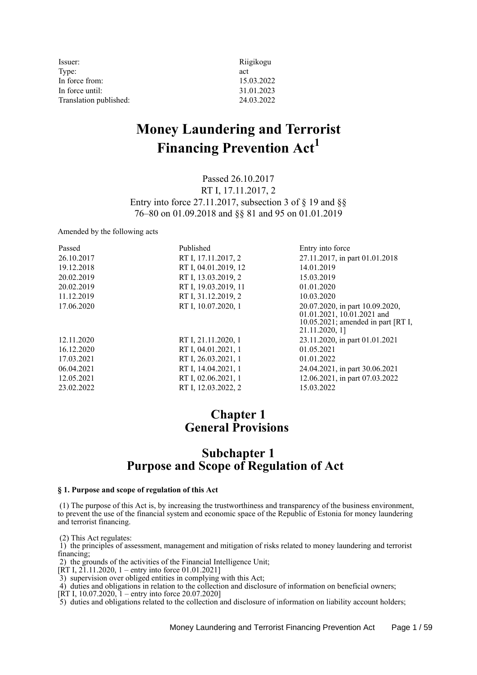| Issuer:                | Riigikogu  |
|------------------------|------------|
| Type:                  | act        |
| In force from:         | 15.03.2022 |
| In force until:        | 31.01.2023 |
| Translation published: | 24.03.2022 |

# **Money Laundering and Terrorist Financing Prevention Act<sup>1</sup>**

Passed 26.10.2017 RT I, 17.11.2017, 2 Entry into force 27.11.2017, subsection 3 of  $\S$  19 and  $\S$ § 76–80 on 01.09.2018 and §§ 81 and 95 on 01.01.2019

Amended by the following acts

| Passed     | Published            | Entry into force                                                                                                         |
|------------|----------------------|--------------------------------------------------------------------------------------------------------------------------|
| 26.10.2017 | RT I, 17.11.2017, 2  | 27.11.2017, in part 01.01.2018                                                                                           |
| 19.12.2018 | RT I, 04.01.2019, 12 | 14.01.2019                                                                                                               |
| 20.02.2019 | RT I, 13.03.2019, 2  | 15.03.2019                                                                                                               |
| 20.02.2019 | RT I, 19.03.2019, 11 | 01.01.2020                                                                                                               |
| 11.12.2019 | RT I, 31.12.2019, 2  | 10.03.2020                                                                                                               |
| 17.06.2020 | RT I, 10.07.2020, 1  | 20.07.2020, in part 10.09.2020,<br>01.01.2021, 10.01.2021 and<br>$10.05.2021$ ; amended in part [RT I,<br>21.11.2020, 1] |
| 12.11.2020 | RT I, 21.11.2020, 1  | 23.11.2020, in part 01.01.2021                                                                                           |
| 16.12.2020 | RT I, 04.01.2021, 1  | 01.05.2021                                                                                                               |
| 17.03.2021 | RT I, 26.03.2021, 1  | 01.01.2022                                                                                                               |
| 06.04.2021 | RT I, 14.04.2021, 1  | 24.04.2021, in part 30.06.2021                                                                                           |
| 12.05.2021 | RT I, 02.06.2021, 1  | 12.06.2021, in part 07.03.2022                                                                                           |
| 23.02.2022 | RT I, 12.03.2022, 2  | 15.03.2022                                                                                                               |

# **Chapter 1 General Provisions**

# **Subchapter 1 Purpose and Scope of Regulation of Act**

## **§ 1. Purpose and scope of regulation of this Act**

 (1) The purpose of this Act is, by increasing the trustworthiness and transparency of the business environment, to prevent the use of the financial system and economic space of the Republic of Estonia for money laundering and terrorist financing.

(2) This Act regulates:

 1) the principles of assessment, management and mitigation of risks related to money laundering and terrorist financing;

2) the grounds of the activities of the Financial Intelligence Unit;

 $[\text{RT I}, 2\text{I}.11.2020, 1 -$  entry into force 01.01.2021]

3) supervision over obliged entities in complying with this Act;

4) duties and obligations in relation to the collection and disclosure of information on beneficial owners;

 $[KT I, 10.07.2020, I - entry into force 20.07.2020]$ 

5) duties and obligations related to the collection and disclosure of information on liability account holders;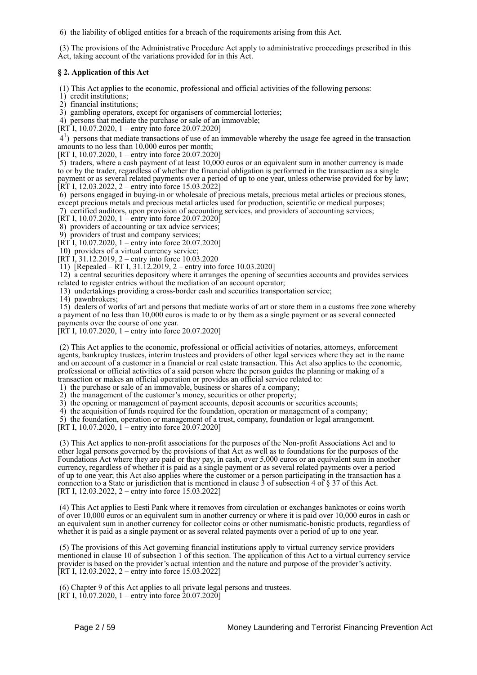6) the liability of obliged entities for a breach of the requirements arising from this Act.

 (3) The provisions of the Administrative Procedure Act apply to administrative proceedings prescribed in this Act, taking account of the variations provided for in this Act.

# **§ 2. Application of this Act**

(1) This Act applies to the economic, professional and official activities of the following persons:

- 1) credit institutions;
- 2) financial institutions;

3) gambling operators, except for organisers of commercial lotteries;

4) persons that mediate the purchase or sale of an immovable;

 $[\overline{RT}I, 10.07.2020, 1 - entry$  into force 20.07.2020]

 41 ) persons that mediate transactions of use of an immovable whereby the usage fee agreed in the transaction amounts to no less than 10,000 euros per month;

[RT I, 10.07.2020, 1 – entry into force 20.07.2020]

 5) traders, where a cash payment of at least 10,000 euros or an equivalent sum in another currency is made to or by the trader, regardless of whether the financial obligation is performed in the transaction as a single payment or as several related payments over a period of up to one year, unless otherwise provided for by law;  $[RT I, 12.03.2022, 2 -$  entry into force 15.03.2022]

 6) persons engaged in buying-in or wholesale of precious metals, precious metal articles or precious stones, except precious metals and precious metal articles used for production, scientific or medical purposes; 7) certified auditors, upon provision of accounting services, and providers of accounting services;

[RT I, 10.07.2020, 1 – entry into force 20.07.2020]

8) providers of accounting or tax advice services;

9) providers of trust and company services;

 $[\hat{R}T]$ , 10.07.2020, 1 – entry into force 20.07.2020]

10) providers of a virtual currency service;

[RT I, 31.12.2019, 2 – entry into force  $10.03.2020$ 

11) [Repealed – RT I, 31.12.2019, 2 – entry into force 10.03.2020]

 12) a central securities depository where it arranges the opening of securities accounts and provides services related to register entries without the mediation of an account operator;

13) undertakings providing a cross-border cash and securities transportation service;

14) pawnbrokers;

 15) dealers of works of art and persons that mediate works of art or store them in a customs free zone whereby a payment of no less than 10,000 euros is made to or by them as a single payment or as several connected payments over the course of one year.

 $[RT I, 10.07.2020, 1 -$  entry into force 20.07.2020]

 (2) This Act applies to the economic, professional or official activities of notaries, attorneys, enforcement agents, bankruptcy trustees, interim trustees and providers of other legal services where they act in the name and on account of a customer in a financial or real estate transaction. This Act also applies to the economic, professional or official activities of a said person where the person guides the planning or making of a transaction or makes an official operation or provides an official service related to:

1) the purchase or sale of an immovable, business or shares of a company;

2) the management of the customer's money, securities or other property;

3) the opening or management of payment accounts, deposit accounts or securities accounts;

4) the acquisition of funds required for the foundation, operation or management of a company;

5) the foundation, operation or management of a trust, company, foundation or legal arrangement.

[RT I, 10.07.2020, 1 – entry into force 20.07.2020]

 (3) This Act applies to non-profit associations for the purposes of the Non-profit Associations Act and to other legal persons governed by the provisions of that Act as well as to foundations for the purposes of the Foundations Act where they are paid or they pay, in cash, over 5,000 euros or an equivalent sum in another currency, regardless of whether it is paid as a single payment or as several related payments over a period of up to one year; this Act also applies where the customer or a person participating in the transaction has a connection to a State or jurisdiction that is mentioned in clause  $\overline{3}$  of subsection 4 of  $\overline{8}$  37 of this Act. [RT I, 12.03.2022, 2 – entry into force 15.03.2022]

 (4) This Act applies to Eesti Pank where it removes from circulation or exchanges banknotes or coins worth of over 10,000 euros or an equivalent sum in another currency or where it is paid over 10,000 euros in cash or an equivalent sum in another currency for collector coins or other numismatic-bonistic products, regardless of whether it is paid as a single payment or as several related payments over a period of up to one year.

 (5) The provisions of this Act governing financial institutions apply to virtual currency service providers mentioned in clause 10 of subsection 1 of this section. The application of this Act to a virtual currency service provider is based on the provider's actual intention and the nature and purpose of the provider's activity. [RT I, 12.03.2022, 2 – entry into force 15.03.2022]

 (6) Chapter 9 of this Act applies to all private legal persons and trustees. [RT I, 10.07.2020, 1 – entry into force  $20.07.2020$ ]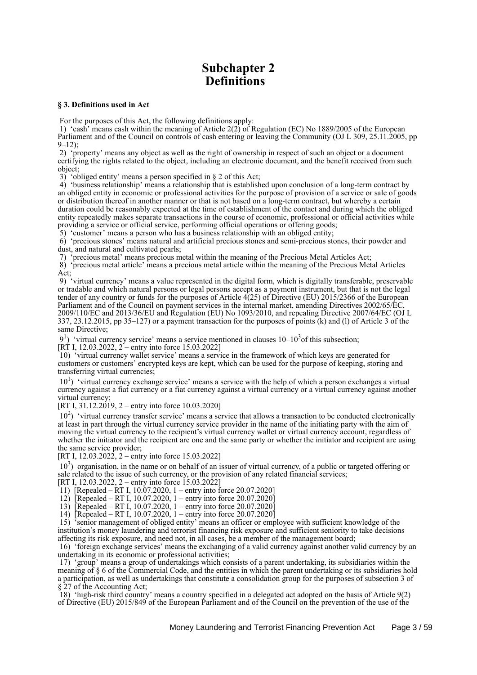# **Subchapter 2 Definitions**

### **§ 3. Definitions used in Act**

For the purposes of this Act, the following definitions apply:

 1) 'cash' means cash within the meaning of Article 2(2) of Regulation (EC) No 1889/2005 of the European Parliament and of the Council on controls of cash entering or leaving the Community (OJ L 309, 25.11.2005, pp  $9 - 12$ 

 2) 'property' means any object as well as the right of ownership in respect of such an object or a document certifying the rights related to the object, including an electronic document, and the benefit received from such object;

3) 'obliged entity' means a person specified in § 2 of this Act;

 4) 'business relationship' means a relationship that is established upon conclusion of a long-term contract by an obliged entity in economic or professional activities for the purpose of provision of a service or sale of goods or distribution thereof in another manner or that is not based on a long-term contract, but whereby a certain duration could be reasonably expected at the time of establishment of the contact and during which the obliged entity repeatedly makes separate transactions in the course of economic, professional or official activities while providing a service or official service, performing official operations or offering goods;

5) 'customer' means a person who has a business relationship with an obliged entity;

 6) 'precious stones' means natural and artificial precious stones and semi-precious stones, their powder and dust, and natural and cultivated pearls;

7) 'precious metal' means precious metal within the meaning of the Precious Metal Articles Act;

 8) 'precious metal article' means a precious metal article within the meaning of the Precious Metal Articles Act;

 9) 'virtual currency' means a value represented in the digital form, which is digitally transferable, preservable or tradable and which natural persons or legal persons accept as a payment instrument, but that is not the legal tender of any country or funds for the purposes of Article  $\hat{4}(25)$  of Directive (EU) 2015/2366 of the European Parliament and of the Council on payment services in the internal market, amending Directives 2002/65/EC, 2009/110/EC and 2013/36/EU and Regulation (EU) No 1093/2010, and repealing Directive 2007/64/EC (OJ L 337, 23.12.2015, pp 35–127) or a payment transaction for the purposes of points (k) and (l) of Article 3 of the same Directive;

 $9<sup>1</sup>$  'virtual currency service' means a service mentioned in clauses 10–10<sup>3</sup> of this subsection;

[RT I, 12.03.2022,  $2$  – entry into force 15.03.2022]

 10) 'virtual currency wallet service' means a service in the framework of which keys are generated for customers or customers' encrypted keys are kept, which can be used for the purpose of keeping, storing and transferring virtual currencies;

10<sup>1</sup>) 'virtual currency exchange service' means a service with the help of which a person exchanges a virtual currency against a fiat currency or a fiat currency against a virtual currency or a virtual currency against another virtual currency;

[RT I, 31.12.2019, 2 – entry into force 10.03.2020]

10<sup>2</sup>) 'virtual currency transfer service' means a service that allows a transaction to be conducted electronically at least in part through the virtual currency service provider in the name of the initiating party with the aim of moving the virtual currency to the recipient's virtual currency wallet or virtual currency account, regardless of whether the initiator and the recipient are one and the same party or whether the initiator and recipient are using the same service provider;

[RT I, 12.03.2022, 2 – entry into force 15.03.2022]

10<sup>3</sup>) organisation, in the name or on behalf of an issuer of virtual currency, of a public or targeted offering or sale related to the issue of such currency, or the provision of any related financial services;

[RT I, 12.03.2022, 2 – entry into force  $15.03.2022$ ]

11) [Repealed – RT I, 10.07.2020, 1 – entry into force 20.07.2020]

12) [Repealed – RT I, 10.07.2020, 1 – entry into force 20.07.2020]

13) [Repealed – RT I, 10.07.2020, 1 – entry into force 20.07.2020]

14) [Repealed – RT I, 10.07.2020, 1 – entry into force 20.07.2020]

 15) 'senior management of obliged entity' means an officer or employee with sufficient knowledge of the institution's money laundering and terrorist financing risk exposure and sufficient seniority to take decisions affecting its risk exposure, and need not, in all cases, be a member of the management board;

 16) 'foreign exchange services' means the exchanging of a valid currency against another valid currency by an undertaking in its economic or professional activities;

 17) 'group' means a group of undertakings which consists of a parent undertaking, its subsidiaries within the meaning of § 6 of the Commercial Code, and the entities in which the parent undertaking or its subsidiaries hold a participation, as well as undertakings that constitute a consolidation group for the purposes of subsection 3 of § 27 of the Accounting Act;

 18) 'high-risk third country' means a country specified in a delegated act adopted on the basis of Article 9(2) of Directive (EU) 2015/849 of the European Parliament and of the Council on the prevention of the use of the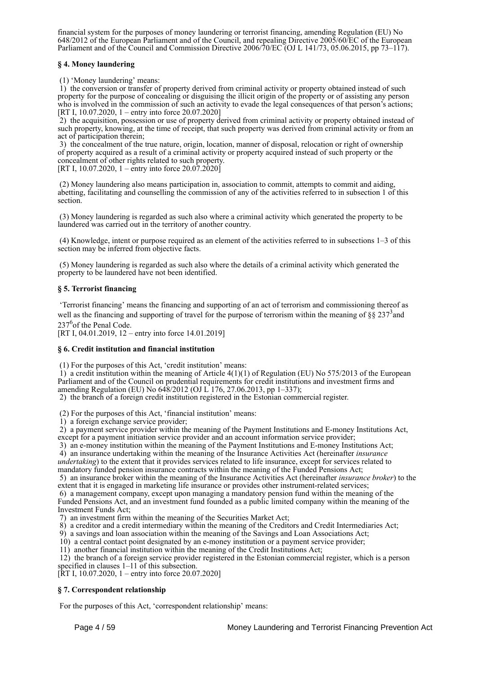financial system for the purposes of money laundering or terrorist financing, amending Regulation (EU) No 648/2012 of the European Parliament and of the Council, and repealing Directive 2005/60/EC of the European Parliament and of the Council and Commission Directive 2006/70/EC (OJ L 141/73, 05.06.2015, pp 73–117).

# **§ 4. Money laundering**

(1) 'Money laundering' means:

 1) the conversion or transfer of property derived from criminal activity or property obtained instead of such property for the purpose of concealing or disguising the illicit origin of the property or of assisting any person who is involved in the commission of such an activity to evade the legal consequences of that person's actions; [RT I, 10.07.2020, 1 – entry into force 20.07.2020]

 2) the acquisition, possession or use of property derived from criminal activity or property obtained instead of such property, knowing, at the time of receipt, that such property was derived from criminal activity or from an act of participation therein;

 3) the concealment of the true nature, origin, location, manner of disposal, relocation or right of ownership of property acquired as a result of a criminal activity or property acquired instead of such property or the concealment of other rights related to such property.

[RT I, 10.07.2020, 1 – entry into force  $20.07.2020$ ]

 (2) Money laundering also means participation in, association to commit, attempts to commit and aiding, abetting, facilitating and counselling the commission of any of the activities referred to in subsection 1 of this section.

 (3) Money laundering is regarded as such also where a criminal activity which generated the property to be laundered was carried out in the territory of another country.

 (4) Knowledge, intent or purpose required as an element of the activities referred to in subsections 1–3 of this section may be inferred from objective facts.

 (5) Money laundering is regarded as such also where the details of a criminal activity which generated the property to be laundered have not been identified.

# **§ 5. Terrorist financing**

 'Terrorist financing' means the financing and supporting of an act of terrorism and commissioning thereof as well as the financing and supporting of travel for the purpose of terrorism within the meaning of  $\S\S 237<sup>3</sup>$  and 237<sup>6</sup> of the Penal Code.

[RT I, 04.01.2019, 12 – entry into force 14.01.2019]

# **§ 6. Credit institution and financial institution**

(1) For the purposes of this Act, 'credit institution' means:

 $1)$  a credit institution within the meaning of Article 4(1)(1) of Regulation (EU) No 575/2013 of the European Parliament and of the Council on prudential requirements for credit institutions and investment firms and amending Regulation (EU) No 648/2012 (OJ L 176, 27.06.2013, pp 1–337);

2) the branch of a foreign credit institution registered in the Estonian commercial register.

(2) For the purposes of this Act, 'financial institution' means:

1) a foreign exchange service provider;

 2) a payment service provider within the meaning of the Payment Institutions and E-money Institutions Act, except for a payment initiation service provider and an account information service provider;

3) an e-money institution within the meaning of the Payment Institutions and E-money Institutions Act;

4) an insurance undertaking within the meaning of the Insurance Activities Act (hereinafter *insurance*

*undertaking*) to the extent that it provides services related to life insurance, except for services related to

mandatory funded pension insurance contracts within the meaning of the Funded Pensions Act; 5) an insurance broker within the meaning of the Insurance Activities Act (hereinafter *insurance broker*) to the

extent that it is engaged in marketing life insurance or provides other instrument-related services; 6) a management company, except upon managing a mandatory pension fund within the meaning of the Funded Pensions Act, and an investment fund founded as a public limited company within the meaning of the Investment Funds Act;

7) an investment firm within the meaning of the Securities Market Act;

8) a creditor and a credit intermediary within the meaning of the Creditors and Credit Intermediaries Act;

9) a savings and loan association within the meaning of the Savings and Loan Associations Act;

10) a central contact point designated by an e-money institution or a payment service provider;

11) another financial institution within the meaning of the Credit Institutions Act;

 12) the branch of a foreign service provider registered in the Estonian commercial register, which is a person specified in clauses 1–11 of this subsection.

[RT I, 10.07.2020, 1 – entry into force 20.07.2020]

# **§ 7. Correspondent relationship**

For the purposes of this Act, 'correspondent relationship' means: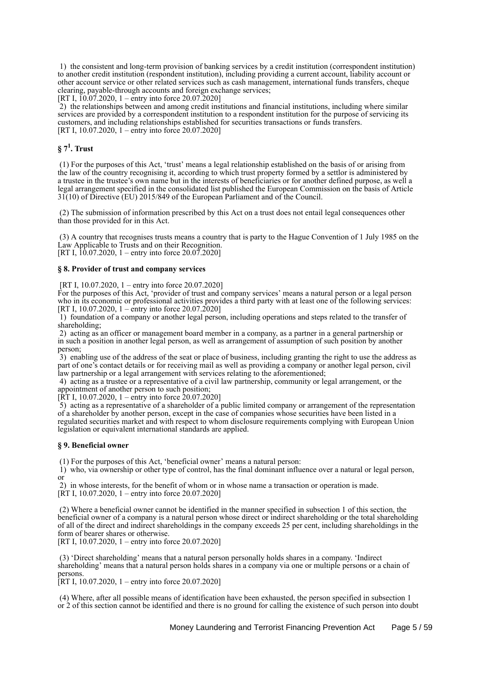1) the consistent and long-term provision of banking services by a credit institution (correspondent institution) to another credit institution (respondent institution), including providing a current account, liability account or other account service or other related services such as cash management, international funds transfers, cheque clearing, payable-through accounts and foreign exchange services;

[RT I, 10.07.2020, 1 – entry into force 20.07.2020]

 2) the relationships between and among credit institutions and financial institutions, including where similar services are provided by a correspondent institution to a respondent institution for the purpose of servicing its customers, and including relationships established for securities transactions or funds transfers. [RT I, 10.07.2020, 1 – entry into force 20.07.2020]

# **§ 7<sup>1</sup> . Trust**

 (1) For the purposes of this Act, 'trust' means a legal relationship established on the basis of or arising from the law of the country recognising it, according to which trust property formed by a settlor is administered by a trustee in the trustee's own name but in the interests of beneficiaries or for another defined purpose, as well a legal arrangement specified in the consolidated list published the European Commission on the basis of Article 31(10) of Directive (EU) 2015/849 of the European Parliament and of the Council.

 (2) The submission of information prescribed by this Act on a trust does not entail legal consequences other than those provided for in this Act.

 (3) A country that recognises trusts means a country that is party to the Hague Convention of 1 July 1985 on the Law Applicable to Trusts and on their Recognition.

[RT I,  $10.07.2020$ , 1 – entry into force 20.07.2020]

### **§ 8. Provider of trust and company services**

[RT I, 10.07.2020, 1 – entry into force 20.07.2020]

For the purposes of this Act, 'provider of trust and company services' means a natural person or a legal person who in its economic or professional activities provides a third party with at least one of the following services: [RT I, 10.07.2020, 1 – entry into force 20.07.2020]

 1) foundation of a company or another legal person, including operations and steps related to the transfer of shareholding;

 2) acting as an officer or management board member in a company, as a partner in a general partnership or in such a position in another legal person, as well as arrangement of assumption of such position by another person;

 3) enabling use of the address of the seat or place of business, including granting the right to use the address as part of one's contact details or for receiving mail as well as providing a company or another legal person, civil law partnership or a legal arrangement with services relating to the aforementioned;

 4) acting as a trustee or a representative of a civil law partnership, community or legal arrangement, or the appointment of another person to such position;

 $[\dot{R}T I, 10.07.2020, 1 - \text{entry} \text{ into force } 20.07.2020]$ 

 5) acting as a representative of a shareholder of a public limited company or arrangement of the representation of a shareholder by another person, except in the case of companies whose securities have been listed in a regulated securities market and with respect to whom disclosure requirements complying with European Union legislation or equivalent international standards are applied.

### **§ 9. Beneficial owner**

(1) For the purposes of this Act, 'beneficial owner' means a natural person:

 1) who, via ownership or other type of control, has the final dominant influence over a natural or legal person, or

 2) in whose interests, for the benefit of whom or in whose name a transaction or operation is made. [RT I, 10.07.2020, 1 – entry into force 20.07.2020]

 (2) Where a beneficial owner cannot be identified in the manner specified in subsection 1 of this section, the beneficial owner of a company is a natural person whose direct or indirect shareholding or the total shareholding of all of the direct and indirect shareholdings in the company exceeds 25 per cent, including shareholdings in the form of bearer shares or otherwise.

[RT I, 10.07.2020, 1 – entry into force 20.07.2020]

 (3) 'Direct shareholding' means that a natural person personally holds shares in a company. 'Indirect shareholding' means that a natural person holds shares in a company via one or multiple persons or a chain of persons.

[RT I, 10.07.2020, 1 – entry into force 20.07.2020]

 (4) Where, after all possible means of identification have been exhausted, the person specified in subsection 1 or 2 of this section cannot be identified and there is no ground for calling the existence of such person into doubt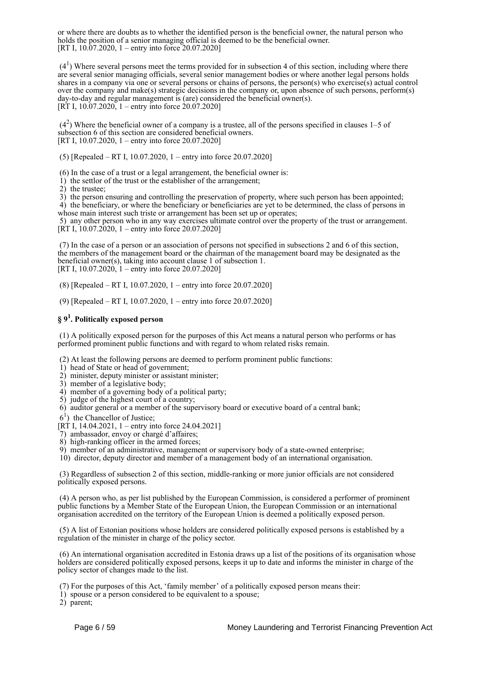or where there are doubts as to whether the identified person is the beneficial owner, the natural person who holds the position of a senior managing official is deemed to be the beneficial owner. [RT I,  $10.\overline{07.2020}$ ,  $1 -$ entry into force 20.07.2020]

 $(4<sup>1</sup>)$  Where several persons meet the terms provided for in subsection 4 of this section, including where there are several senior managing officials, several senior management bodies or where another legal persons holds shares in a company via one or several persons or chains of persons, the person(s) who exercise(s) actual control over the company and make(s) strategic decisions in the company or, upon absence of such persons, perform(s) day-to-day and regular management is (are) considered the beneficial owner(s). [RT I, 10.07.2020, 1 – entry into force 20.07.2020]

 $(4<sup>2</sup>)$  Where the beneficial owner of a company is a trustee, all of the persons specified in clauses 1–5 of subsection 6 of this section are considered beneficial owners. [RT I, 10.07.2020, 1 – entry into force 20.07.2020]

(5) [Repealed – RT I, 10.07.2020, 1 – entry into force 20.07.2020]

(6) In the case of a trust or a legal arrangement, the beneficial owner is:

1) the settlor of the trust or the establisher of the arrangement;

2) the trustee;

 3) the person ensuring and controlling the preservation of property, where such person has been appointed; 4) the beneficiary, or where the beneficiary or beneficiaries are yet to be determined, the class of persons in

whose main interest such triste or arrangement has been set up or operates;

 5) any other person who in any way exercises ultimate control over the property of the trust or arrangement. [RT I, 10.07.2020, 1 – entry into force 20.07.2020]

 (7) In the case of a person or an association of persons not specified in subsections 2 and 6 of this section, the members of the management board or the chairman of the management board may be designated as the beneficial owner(s), taking into account clause 1 of subsection 1. [RT I, 10.07.2020, 1 – entry into force 20.07.2020]

(8) [Repealed – RT I, 10.07.2020, 1 – entry into force 20.07.2020]

(9) [Repealed – RT I, 10.07.2020, 1 – entry into force 20.07.2020]

# **§ 9<sup>1</sup> . Politically exposed person**

 (1) A politically exposed person for the purposes of this Act means a natural person who performs or has performed prominent public functions and with regard to whom related risks remain.

(2) At least the following persons are deemed to perform prominent public functions:

1) head of State or head of government;

2) minister, deputy minister or assistant minister;

3) member of a legislative body;

4) member of a governing body of a political party;

5) judge of the highest court of a country;

6) auditor general or a member of the supervisory board or executive board of a central bank;

 $6<sup>1</sup>$ ) the Chancellor of Justice;

[RT I, 14.04.2021, 1 – entry into force 24.04.2021]

7) ambassador, envoy or chargé d'affaires;

8) high-ranking officer in the armed forces;

9) member of an administrative, management or supervisory body of a state-owned enterprise;

10) director, deputy director and member of a management body of an international organisation.

 (3) Regardless of subsection 2 of this section, middle-ranking or more junior officials are not considered politically exposed persons.

 (4) A person who, as per list published by the European Commission, is considered a performer of prominent public functions by a Member State of the European Union, the European Commission or an international organisation accredited on the territory of the European Union is deemed a politically exposed person.

 (5) A list of Estonian positions whose holders are considered politically exposed persons is established by a regulation of the minister in charge of the policy sector.

 (6) An international organisation accredited in Estonia draws up a list of the positions of its organisation whose holders are considered politically exposed persons, keeps it up to date and informs the minister in charge of the policy sector of changes made to the list.

(7) For the purposes of this Act, 'family member' of a politically exposed person means their:

1) spouse or a person considered to be equivalent to a spouse;

2) parent;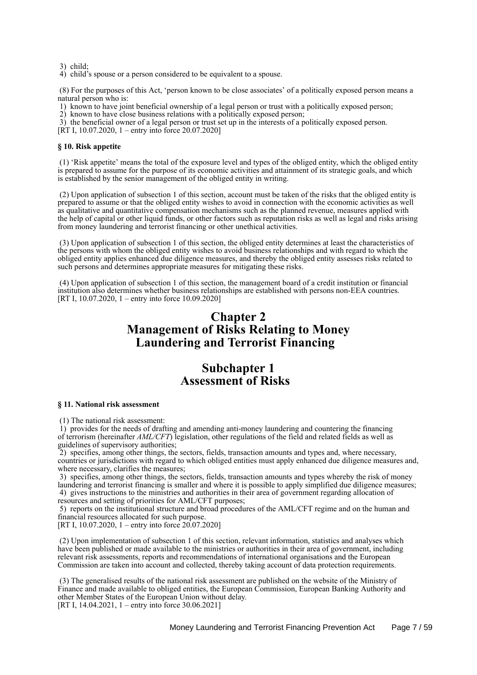3) child;

4) child's spouse or a person considered to be equivalent to a spouse.

 (8) For the purposes of this Act, 'person known to be close associates' of a politically exposed person means a natural person who is:

1) known to have joint beneficial ownership of a legal person or trust with a politically exposed person;

2) known to have close business relations with a politically exposed person;

3) the beneficial owner of a legal person or trust set up in the interests of a politically exposed person.

[RT I, 10.07.2020, 1 – entry into force  $20.07.2020$ ]

### **§ 10. Risk appetite**

 (1) 'Risk appetite' means the total of the exposure level and types of the obliged entity, which the obliged entity is prepared to assume for the purpose of its economic activities and attainment of its strategic goals, and which is established by the senior management of the obliged entity in writing.

 (2) Upon application of subsection 1 of this section, account must be taken of the risks that the obliged entity is prepared to assume or that the obliged entity wishes to avoid in connection with the economic activities as well as qualitative and quantitative compensation mechanisms such as the planned revenue, measures applied with the help of capital or other liquid funds, or other factors such as reputation risks as well as legal and risks arising from money laundering and terrorist financing or other unethical activities.

 (3) Upon application of subsection 1 of this section, the obliged entity determines at least the characteristics of the persons with whom the obliged entity wishes to avoid business relationships and with regard to which the obliged entity applies enhanced due diligence measures, and thereby the obliged entity assesses risks related to such persons and determines appropriate measures for mitigating these risks.

 (4) Upon application of subsection 1 of this section, the management board of a credit institution or financial institution also determines whether business relationships are established with persons non-EEA countries. [RT I, 10.07.2020, 1 – entry into force 10.09.2020]

# **Chapter 2 Management of Risks Relating to Money Laundering and Terrorist Financing**

# **Subchapter 1 Assessment of Risks**

#### **§ 11. National risk assessment**

(1) The national risk assessment:

 1) provides for the needs of drafting and amending anti-money laundering and countering the financing of terrorism (hereinafter *AML/CFT*) legislation, other regulations of the field and related fields as well as guidelines of supervisory authorities;

 2) specifies, among other things, the sectors, fields, transaction amounts and types and, where necessary, countries or jurisdictions with regard to which obliged entities must apply enhanced due diligence measures and, where necessary, clarifies the measures;

 3) specifies, among other things, the sectors, fields, transaction amounts and types whereby the risk of money laundering and terrorist financing is smaller and where it is possible to apply simplified due diligence measures; 4) gives instructions to the ministries and authorities in their area of government regarding allocation of resources and setting of priorities for AML/CFT purposes;

 5) reports on the institutional structure and broad procedures of the AML/CFT regime and on the human and financial resources allocated for such purpose.

[RT I, 10.07.2020, 1 – entry into force 20.07.2020]

 (2) Upon implementation of subsection 1 of this section, relevant information, statistics and analyses which have been published or made available to the ministries or authorities in their area of government, including relevant risk assessments, reports and recommendations of international organisations and the European Commission are taken into account and collected, thereby taking account of data protection requirements.

 (3) The generalised results of the national risk assessment are published on the website of the Ministry of Finance and made available to obliged entities, the European Commission, European Banking Authority and other Member States of the European Union without delay. [RT I, 14.04.2021, 1 – entry into force 30.06.2021]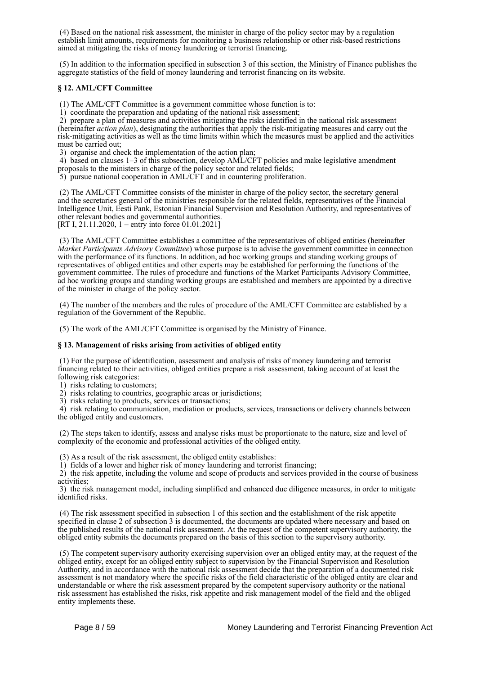(4) Based on the national risk assessment, the minister in charge of the policy sector may by a regulation establish limit amounts, requirements for monitoring a business relationship or other risk-based restrictions aimed at mitigating the risks of money laundering or terrorist financing.

 (5) In addition to the information specified in subsection 3 of this section, the Ministry of Finance publishes the aggregate statistics of the field of money laundering and terrorist financing on its website.

# **§ 12. AML/CFT Committee**

(1) The AML/CFT Committee is a government committee whose function is to:

1) coordinate the preparation and updating of the national risk assessment;

 2) prepare a plan of measures and activities mitigating the risks identified in the national risk assessment (hereinafter *action plan*), designating the authorities that apply the risk-mitigating measures and carry out the risk-mitigating activities as well as the time limits within which the measures must be applied and the activities must be carried out;

3) organise and check the implementation of the action plan;

4) based on clauses 1–3 of this subsection, develop AML/CFT policies and make legislative amendment proposals to the ministers in charge of the policy sector and related fields;

 $\overline{5}$ ) pursue national cooperation in AML/CFT and in countering proliferation.

 (2) The AML/CFT Committee consists of the minister in charge of the policy sector, the secretary general and the secretaries general of the ministries responsible for the related fields, representatives of the Financial Intelligence Unit, Eesti Pank, Estonian Financial Supervision and Resolution Authority, and representatives of other relevant bodies and governmental authorities.

[RT I, 21.11.2020, 1 – entry into force 01.01.2021]

 (3) The AML/CFT Committee establishes a committee of the representatives of obliged entities (hereinafter *Market Participants Advisory Committee*) whose purpose is to advise the government committee in connection with the performance of its functions. In addition, ad hoc working groups and standing working groups of representatives of obliged entities and other experts may be established for performing the functions of the government committee. The rules of procedure and functions of the Market Participants Advisory Committee, ad hoc working groups and standing working groups are established and members are appointed by a directive of the minister in charge of the policy sector.

 (4) The number of the members and the rules of procedure of the AML/CFT Committee are established by a regulation of the Government of the Republic.

(5) The work of the AML/CFT Committee is organised by the Ministry of Finance.

### **§ 13. Management of risks arising from activities of obliged entity**

 (1) For the purpose of identification, assessment and analysis of risks of money laundering and terrorist financing related to their activities, obliged entities prepare a risk assessment, taking account of at least the following risk categories:

1) risks relating to customers;

2) risks relating to countries, geographic areas or jurisdictions;

3) risks relating to products, services or transactions;

 4) risk relating to communication, mediation or products, services, transactions or delivery channels between the obliged entity and customers.

 (2) The steps taken to identify, assess and analyse risks must be proportionate to the nature, size and level of complexity of the economic and professional activities of the obliged entity.

(3) As a result of the risk assessment, the obliged entity establishes:

1) fields of a lower and higher risk of money laundering and terrorist financing;

 2) the risk appetite, including the volume and scope of products and services provided in the course of business activities;

 3) the risk management model, including simplified and enhanced due diligence measures, in order to mitigate identified risks.

 (4) The risk assessment specified in subsection 1 of this section and the establishment of the risk appetite specified in clause 2 of subsection 3 is documented, the documents are updated where necessary and based on the published results of the national risk assessment. At the request of the competent supervisory authority, the obliged entity submits the documents prepared on the basis of this section to the supervisory authority.

 (5) The competent supervisory authority exercising supervision over an obliged entity may, at the request of the obliged entity, except for an obliged entity subject to supervision by the Financial Supervision and Resolution Authority, and in accordance with the national risk assessment decide that the preparation of a documented risk assessment is not mandatory where the specific risks of the field characteristic of the obliged entity are clear and understandable or where the risk assessment prepared by the competent supervisory authority or the national risk assessment has established the risks, risk appetite and risk management model of the field and the obliged entity implements these.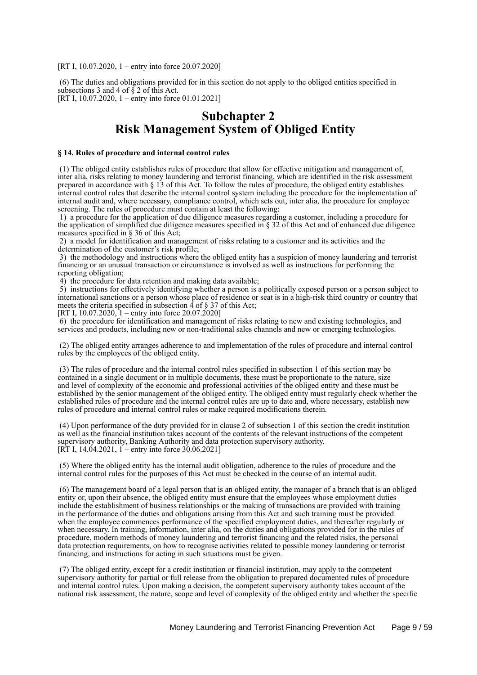[RT I, 10.07.2020, 1 – entry into force 20.07.2020]

 (6) The duties and obligations provided for in this section do not apply to the obliged entities specified in subsections 3 and 4 of  $\S$  2 of this Act. [RT I, 10.07.2020, 1 – entry into force 01.01.2021]

# **Subchapter 2 Risk Management System of Obliged Entity**

## **§ 14. Rules of procedure and internal control rules**

 (1) The obliged entity establishes rules of procedure that allow for effective mitigation and management of, inter alia, risks relating to money laundering and terrorist financing, which are identified in the risk assessment prepared in accordance with § 13 of this Act. To follow the rules of procedure, the obliged entity establishes internal control rules that describe the internal control system including the procedure for the implementation of internal audit and, where necessary, compliance control, which sets out, inter alia, the procedure for employee screening. The rules of procedure must contain at least the following:

 1) a procedure for the application of due diligence measures regarding a customer, including a procedure for the application of simplified due diligence measures specified in § 32 of this Act and of enhanced due diligence measures specified in § 36 of this Act;

 2) a model for identification and management of risks relating to a customer and its activities and the determination of the customer's risk profile;

 3) the methodology and instructions where the obliged entity has a suspicion of money laundering and terrorist financing or an unusual transaction or circumstance is involved as well as instructions for performing the reporting obligation;

4) the procedure for data retention and making data available;

 5) instructions for effectively identifying whether a person is a politically exposed person or a person subject to international sanctions or a person whose place of residence or seat is in a high-risk third country or country that meets the criteria specified in subsection  $\overline{4}$  of  $\S$  37 of this Act;

[RT I, 10.07.2020,  $1 -$ entry into force 20.07.2020]

 6) the procedure for identification and management of risks relating to new and existing technologies, and services and products, including new or non-traditional sales channels and new or emerging technologies.

 (2) The obliged entity arranges adherence to and implementation of the rules of procedure and internal control rules by the employees of the obliged entity.

 (3) The rules of procedure and the internal control rules specified in subsection 1 of this section may be contained in a single document or in multiple documents, these must be proportionate to the nature, size and level of complexity of the economic and professional activities of the obliged entity and these must be established by the senior management of the obliged entity. The obliged entity must regularly check whether the established rules of procedure and the internal control rules are up to date and, where necessary, establish new rules of procedure and internal control rules or make required modifications therein.

 (4) Upon performance of the duty provided for in clause 2 of subsection 1 of this section the credit institution as well as the financial institution takes account of the contents of the relevant instructions of the competent supervisory authority, Banking Authority and data protection supervisory authority. [RT I, 14.04.2021, 1 – entry into force  $30.06.2021$ ]

 (5) Where the obliged entity has the internal audit obligation, adherence to the rules of procedure and the internal control rules for the purposes of this Act must be checked in the course of an internal audit.

 (6) The management board of a legal person that is an obliged entity, the manager of a branch that is an obliged entity or, upon their absence, the obliged entity must ensure that the employees whose employment duties include the establishment of business relationships or the making of transactions are provided with training in the performance of the duties and obligations arising from this Act and such training must be provided when the employee commences performance of the specified employment duties, and thereafter regularly or when necessary. In training, information, inter alia, on the duties and obligations provided for in the rules of procedure, modern methods of money laundering and terrorist financing and the related risks, the personal data protection requirements, on how to recognise activities related to possible money laundering or terrorist financing, and instructions for acting in such situations must be given.

 (7) The obliged entity, except for a credit institution or financial institution, may apply to the competent supervisory authority for partial or full release from the obligation to prepared documented rules of procedure and internal control rules. Upon making a decision, the competent supervisory authority takes account of the national risk assessment, the nature, scope and level of complexity of the obliged entity and whether the specific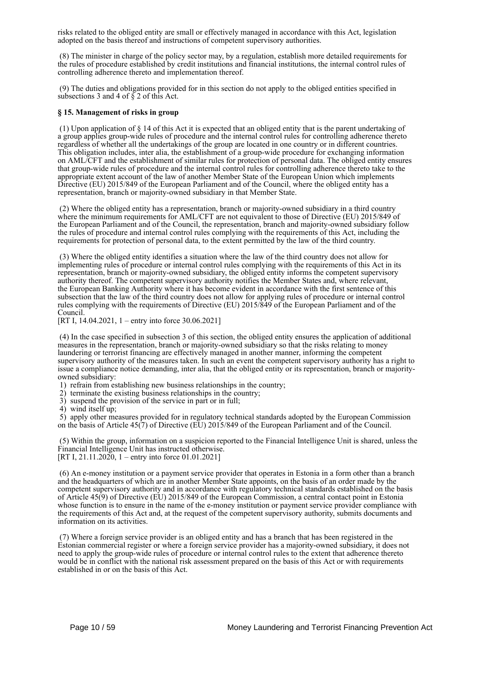risks related to the obliged entity are small or effectively managed in accordance with this Act, legislation adopted on the basis thereof and instructions of competent supervisory authorities.

 (8) The minister in charge of the policy sector may, by a regulation, establish more detailed requirements for the rules of procedure established by credit institutions and financial institutions, the internal control rules of controlling adherence thereto and implementation thereof.

 (9) The duties and obligations provided for in this section do not apply to the obliged entities specified in subsections 3 and 4 of  $\S$  2 of this Act.

## **§ 15. Management of risks in group**

 (1) Upon application of § 14 of this Act it is expected that an obliged entity that is the parent undertaking of a group applies group-wide rules of procedure and the internal control rules for controlling adherence thereto regardless of whether all the undertakings of the group are located in one country or in different countries. This obligation includes, inter alia, the establishment of a group-wide procedure for exchanging information on AML/CFT and the establishment of similar rules for protection of personal data. The obliged entity ensures that group-wide rules of procedure and the internal control rules for controlling adherence thereto take to the appropriate extent account of the law of another Member State of the European Union which implements Directive (EU) 2015/849 of the European Parliament and of the Council, where the obliged entity has a representation, branch or majority-owned subsidiary in that Member State.

 (2) Where the obliged entity has a representation, branch or majority-owned subsidiary in a third country where the minimum requirements for AML/CFT are not equivalent to those of Directive (EU) 2015/849 of the European Parliament and of the Council, the representation, branch and majority-owned subsidiary follow the rules of procedure and internal control rules complying with the requirements of this Act, including the requirements for protection of personal data, to the extent permitted by the law of the third country.

 (3) Where the obliged entity identifies a situation where the law of the third country does not allow for implementing rules of procedure or internal control rules complying with the requirements of this Act in its representation, branch or majority-owned subsidiary, the obliged entity informs the competent supervisory authority thereof. The competent supervisory authority notifies the Member States and, where relevant, the European Banking Authority where it has become evident in accordance with the first sentence of this subsection that the law of the third country does not allow for applying rules of procedure or internal control rules complying with the requirements of Directive (EU) 2015/849 of the European Parliament and of the Council.

[RT I, 14.04.2021, 1 – entry into force 30.06.2021]

 (4) In the case specified in subsection 3 of this section, the obliged entity ensures the application of additional measures in the representation, branch or majority-owned subsidiary so that the risks relating to money laundering or terrorist financing are effectively managed in another manner, informing the competent supervisory authority of the measures taken. In such an event the competent supervisory authority has a right to issue a compliance notice demanding, inter alia, that the obliged entity or its representation, branch or majorityowned subsidiary:

- 1) refrain from establishing new business relationships in the country;
- 2) terminate the existing business relationships in the country;
- 3) suspend the provision of the service in part or in full;
- 4) wind itself up;

 5) apply other measures provided for in regulatory technical standards adopted by the European Commission on the basis of Article 45(7) of Directive (EU) 2015/849 of the European Parliament and of the Council.

 (5) Within the group, information on a suspicion reported to the Financial Intelligence Unit is shared, unless the Financial Intelligence Unit has instructed otherwise. [RT I, 21.11.2020, 1 – entry into force 01.01.2021]

 (6) An e-money institution or a payment service provider that operates in Estonia in a form other than a branch and the headquarters of which are in another Member State appoints, on the basis of an order made by the competent supervisory authority and in accordance with regulatory technical standards established on the basis of Article 45(9) of Directive (EU) 2015/849 of the European Commission, a central contact point in Estonia whose function is to ensure in the name of the e-money institution or payment service provider compliance with the requirements of this Act and, at the request of the competent supervisory authority, submits documents and information on its activities.

 (7) Where a foreign service provider is an obliged entity and has a branch that has been registered in the Estonian commercial register or where a foreign service provider has a majority-owned subsidiary, it does not need to apply the group-wide rules of procedure or internal control rules to the extent that adherence thereto would be in conflict with the national risk assessment prepared on the basis of this Act or with requirements established in or on the basis of this Act.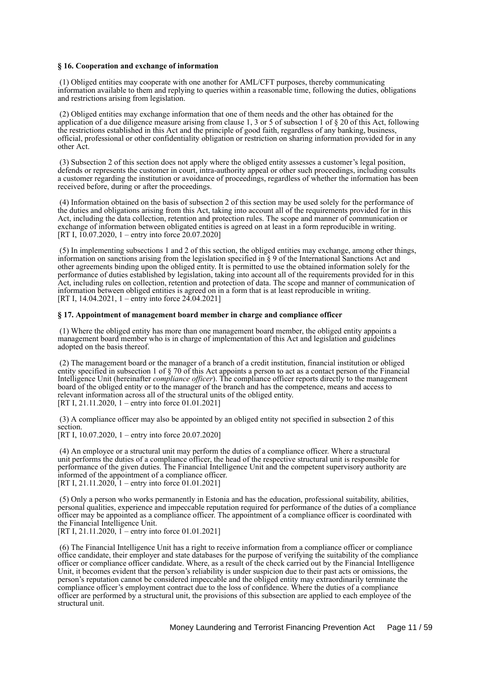#### **§ 16. Cooperation and exchange of information**

 (1) Obliged entities may cooperate with one another for AML/CFT purposes, thereby communicating information available to them and replying to queries within a reasonable time, following the duties, obligations and restrictions arising from legislation.

 (2) Obliged entities may exchange information that one of them needs and the other has obtained for the application of a due diligence measure arising from clause 1, 3 or 5 of subsection 1 of § 20 of this Act, following the restrictions established in this Act and the principle of good faith, regardless of any banking, business, official, professional or other confidentiality obligation or restriction on sharing information provided for in any other Act.

 (3) Subsection 2 of this section does not apply where the obliged entity assesses a customer's legal position, defends or represents the customer in court, intra-authority appeal or other such proceedings, including consults a customer regarding the institution or avoidance of proceedings, regardless of whether the information has been received before, during or after the proceedings.

 (4) Information obtained on the basis of subsection 2 of this section may be used solely for the performance of the duties and obligations arising from this Act, taking into account all of the requirements provided for in this Act, including the data collection, retention and protection rules. The scope and manner of communication or exchange of information between obligated entities is agreed on at least in a form reproducible in writing. [RT I,  $10.07.2020$ , 1 – entry into force 20.07.2020]

 (5) In implementing subsections 1 and 2 of this section, the obliged entities may exchange, among other things, information on sanctions arising from the legislation specified in § 9 of the International Sanctions Act and other agreements binding upon the obliged entity. It is permitted to use the obtained information solely for the performance of duties established by legislation, taking into account all of the requirements provided for in this Act, including rules on collection, retention and protection of data. The scope and manner of communication of information between obliged entities is agreed on in a form that is at least reproducible in writing. [RT I, 14.04.2021, 1 – entry into force 24.04.2021]

#### **§ 17. Appointment of management board member in charge and compliance officer**

 (1) Where the obliged entity has more than one management board member, the obliged entity appoints a management board member who is in charge of implementation of this Act and legislation and guidelines adopted on the basis thereof.

 (2) The management board or the manager of a branch of a credit institution, financial institution or obliged entity specified in subsection 1 of § 70 of this Act appoints a person to act as a contact person of the Financial Intelligence Unit (hereinafter *compliance officer*). The compliance officer reports directly to the management board of the obliged entity or to the manager of the branch and has the competence, means and access to relevant information across all of the structural units of the obliged entity. [RT I, 21.11.2020, 1 – entry into force 01.01.2021]

 (3) A compliance officer may also be appointed by an obliged entity not specified in subsection 2 of this section.

[RT I, 10.07.2020, 1 – entry into force 20.07.2020]

 (4) An employee or a structural unit may perform the duties of a compliance officer. Where a structural unit performs the duties of a compliance officer, the head of the respective structural unit is responsible for performance of the given duties. The Financial Intelligence Unit and the competent supervisory authority are informed of the appointment of a compliance officer. [RT I, 21.11.2020, 1 – entry into force 01.01.2021]

 (5) Only a person who works permanently in Estonia and has the education, professional suitability, abilities, personal qualities, experience and impeccable reputation required for performance of the duties of a compliance officer may be appointed as a compliance officer. The appointment of a compliance officer is coordinated with the Financial Intelligence Unit.

[RT I, 21.11.2020,  $\tilde{I}$  – entry into force 01.01.2021]

 (6) The Financial Intelligence Unit has a right to receive information from a compliance officer or compliance office candidate, their employer and state databases for the purpose of verifying the suitability of the compliance officer or compliance officer candidate. Where, as a result of the check carried out by the Financial Intelligence Unit, it becomes evident that the person's reliability is under suspicion due to their past acts or omissions, the person's reputation cannot be considered impeccable and the obliged entity may extraordinarily terminate the compliance officer's employment contract due to the loss of confidence. Where the duties of a compliance officer are performed by a structural unit, the provisions of this subsection are applied to each employee of the structural unit.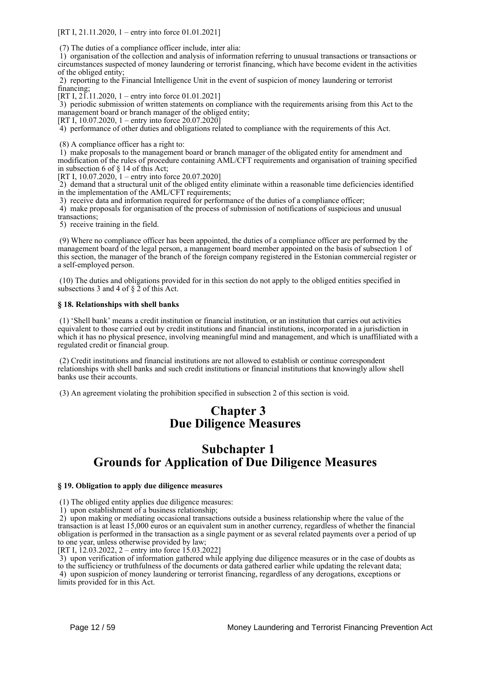[RT I, 21.11.2020, 1 – entry into force 01.01.2021]

(7) The duties of a compliance officer include, inter alia:

 1) organisation of the collection and analysis of information referring to unusual transactions or transactions or circumstances suspected of money laundering or terrorist financing, which have become evident in the activities of the obliged entity;

 2) reporting to the Financial Intelligence Unit in the event of suspicion of money laundering or terrorist financing;

[RT I, 21.11.2020, 1 – entry into force 01.01.2021]

 3) periodic submission of written statements on compliance with the requirements arising from this Act to the management board or branch manager of the obliged entity;

[RT I, 10.07.2020, 1 – entry into force 20.07.2020]

4) performance of other duties and obligations related to compliance with the requirements of this Act.

(8) A compliance officer has a right to:

 1) make proposals to the management board or branch manager of the obligated entity for amendment and modification of the rules of procedure containing AML/CFT requirements and organisation of training specified in subsection 6 of § 14 of this Act;

[RT I, 10.07.2020, 1 – entry into force 20.07.2020]

 2) demand that a structural unit of the obliged entity eliminate within a reasonable time deficiencies identified in the implementation of the AML/CFT requirements;

3) receive data and information required for performance of the duties of a compliance officer;

 4) make proposals for organisation of the process of submission of notifications of suspicious and unusual transactions;

5) receive training in the field.

 (9) Where no compliance officer has been appointed, the duties of a compliance officer are performed by the management board of the legal person, a management board member appointed on the basis of subsection 1 of this section, the manager of the branch of the foreign company registered in the Estonian commercial register or a self-employed person.

 (10) The duties and obligations provided for in this section do not apply to the obliged entities specified in subsections 3 and 4 of  $\S$  2 of this Act.

## **§ 18. Relationships with shell banks**

 (1) 'Shell bank' means a credit institution or financial institution, or an institution that carries out activities equivalent to those carried out by credit institutions and financial institutions, incorporated in a jurisdiction in which it has no physical presence, involving meaningful mind and management, and which is unaffiliated with a regulated credit or financial group.

 (2) Credit institutions and financial institutions are not allowed to establish or continue correspondent relationships with shell banks and such credit institutions or financial institutions that knowingly allow shell banks use their accounts.

(3) An agreement violating the prohibition specified in subsection 2 of this section is void.

# **Chapter 3 Due Diligence Measures**

# **Subchapter 1 Grounds for Application of Due Diligence Measures**

# **§ 19. Obligation to apply due diligence measures**

(1) The obliged entity applies due diligence measures:

1) upon establishment of a business relationship;

 2) upon making or mediating occasional transactions outside a business relationship where the value of the transaction is at least 15,000 euros or an equivalent sum in another currency, regardless of whether the financial obligation is performed in the transaction as a single payment or as several related payments over a period of up to one year, unless otherwise provided by law;

[RT I, 12.03.2022, 2 – entry into force 15.03.2022]

 3) upon verification of information gathered while applying due diligence measures or in the case of doubts as to the sufficiency or truthfulness of the documents or data gathered earlier while updating the relevant data; 4) upon suspicion of money laundering or terrorist financing, regardless of any derogations, exceptions or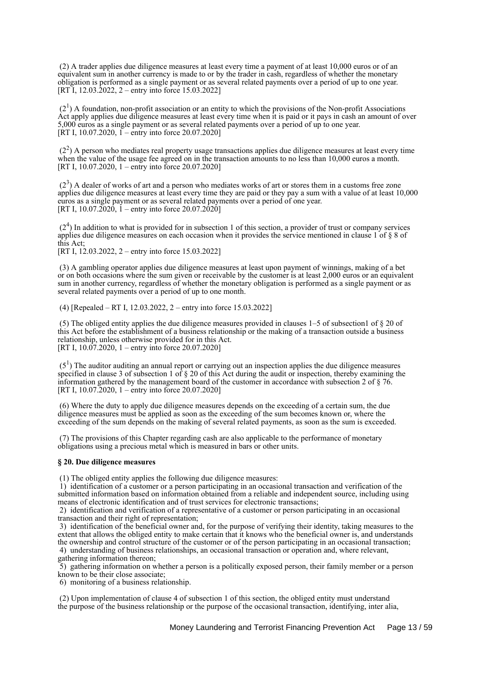(2) A trader applies due diligence measures at least every time a payment of at least 10,000 euros or of an equivalent sum in another currency is made to or by the trader in cash, regardless of whether the monetary obligation is performed as a single payment or as several related payments over a period of up to one year. [RT I, 12.03.2022, 2 – entry into force 15.03.2022]

 $(2<sup>1</sup>)$  A foundation, non-profit association or an entity to which the provisions of the Non-profit Associations Act apply applies due diligence measures at least every time when it is paid or it pays in cash an amount of over 5,000 euros as a single payment or as several related payments over a period of up to one year. [RT I, 10.07.2020,  $\tilde{1}$  – entry into force 20.07.2020]

 $(2<sup>2</sup>)$  A person who mediates real property usage transactions applies due diligence measures at least every time when the value of the usage fee agreed on in the transaction amounts to no less than 10,000 euros a month. [RT I, 10.07.2020, 1 – entry into force 20.07.2020]

 $(2<sup>3</sup>)$  A dealer of works of art and a person who mediates works of art or stores them in a customs free zone applies due diligence measures at least every time they are paid or they pay a sum with a value of at least 10,000 euros as a single payment or as several related payments over a period of one year. [RT I,  $10.07.\overline{2}020$ ,  $\overline{1}$  – entry into force  $20.07.\overline{2}0201$ 

 $(2<sup>4</sup>)$  In addition to what is provided for in subsection 1 of this section, a provider of trust or company services applies due diligence measures on each occasion when it provides the service mentioned in clause 1 of § 8 of this Act;

[RT I, 12.03.2022, 2 – entry into force 15.03.2022]

 (3) A gambling operator applies due diligence measures at least upon payment of winnings, making of a bet or on both occasions where the sum given or receivable by the customer is at least 2,000 euros or an equivalent sum in another currency, regardless of whether the monetary obligation is performed as a single payment or as several related payments over a period of up to one month.

(4) [Repealed – RT I, 12.03.2022, 2 – entry into force 15.03.2022]

 (5) The obliged entity applies the due diligence measures provided in clauses 1–5 of subsection1 of § 20 of this Act before the establishment of a business relationship or the making of a transaction outside a business relationship, unless otherwise provided for in this Act. [RT I,  $10.07.2020$ , 1 – entry into force 20.07.2020]

 $(5<sup>1</sup>)$  The auditor auditing an annual report or carrying out an inspection applies the due diligence measures specified in clause 3 of subsection 1 of  $\S$  20 of this Act during the audit or inspection, thereby examining the information gathered by the management board of the customer in accordance with subsection 2 of § 76. [RT I, 10.07.2020, 1 – entry into force 20.07.2020]

 (6) Where the duty to apply due diligence measures depends on the exceeding of a certain sum, the due diligence measures must be applied as soon as the exceeding of the sum becomes known or, where the exceeding of the sum depends on the making of several related payments, as soon as the sum is exceeded.

 (7) The provisions of this Chapter regarding cash are also applicable to the performance of monetary obligations using a precious metal which is measured in bars or other units.

### **§ 20. Due diligence measures**

(1) The obliged entity applies the following due diligence measures:

 1) identification of a customer or a person participating in an occasional transaction and verification of the submitted information based on information obtained from a reliable and independent source, including using means of electronic identification and of trust services for electronic transactions;

 2) identification and verification of a representative of a customer or person participating in an occasional transaction and their right of representation;

 3) identification of the beneficial owner and, for the purpose of verifying their identity, taking measures to the extent that allows the obliged entity to make certain that it knows who the beneficial owner is, and understands the ownership and control structure of the customer or of the person participating in an occasional transaction; 4) understanding of business relationships, an occasional transaction or operation and, where relevant,

gathering information thereon;

 5) gathering information on whether a person is a politically exposed person, their family member or a person known to be their close associate;

6) monitoring of a business relationship.

 (2) Upon implementation of clause 4 of subsection 1 of this section, the obliged entity must understand the purpose of the business relationship or the purpose of the occasional transaction, identifying, inter alia,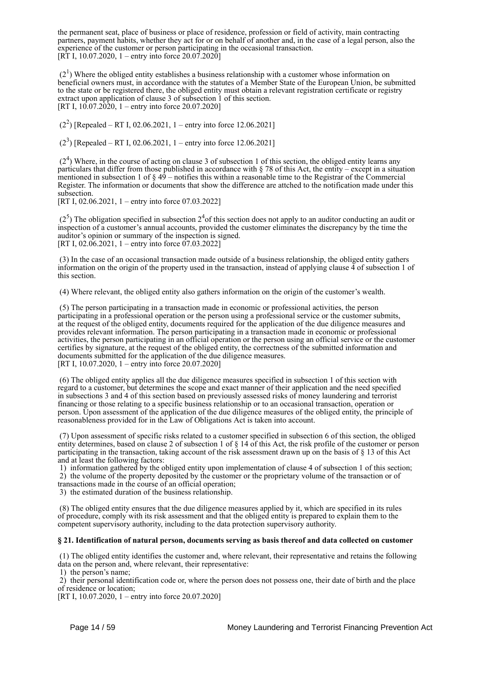the permanent seat, place of business or place of residence, profession or field of activity, main contracting partners, payment habits, whether they act for or on behalf of another and, in the case of a legal person, also the experience of the customer or person participating in the occasional transaction. [RT I, 10.07.2020, 1 – entry into force  $20.07.2020$ ]

 $(2<sup>1</sup>)$  Where the obliged entity establishes a business relationship with a customer whose information on beneficial owners must, in accordance with the statutes of a Member State of the European Union, be submitted to the state or be registered there, the obliged entity must obtain a relevant registration certificate or registry extract upon application of clause 3 of subsection 1 of this section. [RT I, 10.07.2020, 1 – entry into force 20.07.2020]

 $(2^2)$  [Repealed – RT I, 02.06.2021, 1 – entry into force 12.06.2021]

 $(2^3)$  [Repealed – RT I, 02.06.2021, 1 – entry into force 12.06.2021]

 $(2<sup>4</sup>)$  Where, in the course of acting on clause 3 of subsection 1 of this section, the obliged entity learns any particulars that differ from those published in accordance with § 78 of this Act, the entity – except in a situation mentioned in subsection 1 of  $\S 49$  – notifies this within a reasonable time to the Registrar of the Commercial Register. The information or documents that show the difference are attched to the notification made under this subsection.

[RT I, 02.06.2021, 1 – entry into force 07.03.2022]

 $(2<sup>5</sup>)$  The obligation specified in subsection  $2<sup>4</sup>$  of this section does not apply to an auditor conducting an audit or inspection of a customer's annual accounts, provided the customer eliminates the discrepancy by the time the auditor's opinion or summary of the inspection is signed. [RT I, 02.06.2021, 1 – entry into force 07.03.2022]

 (3) In the case of an occasional transaction made outside of a business relationship, the obliged entity gathers information on the origin of the property used in the transaction, instead of applying clause  $\tilde{4}$  of subsection 1 of this section.

(4) Where relevant, the obliged entity also gathers information on the origin of the customer's wealth.

 (5) The person participating in a transaction made in economic or professional activities, the person participating in a professional operation or the person using a professional service or the customer submits, at the request of the obliged entity, documents required for the application of the due diligence measures and provides relevant information. The person participating in a transaction made in economic or professional activities, the person participating in an official operation or the person using an official service or the customer certifies by signature, at the request of the obliged entity, the correctness of the submitted information and documents submitted for the application of the due diligence measures. [RT I, 10.07.2020, 1 – entry into force 20.07.2020]

 (6) The obliged entity applies all the due diligence measures specified in subsection 1 of this section with regard to a customer, but determines the scope and exact manner of their application and the need specified in subsections 3 and 4 of this section based on previously assessed risks of money laundering and terrorist financing or those relating to a specific business relationship or to an occasional transaction, operation or person. Upon assessment of the application of the due diligence measures of the obliged entity, the principle of reasonableness provided for in the Law of Obligations Act is taken into account.

 (7) Upon assessment of specific risks related to a customer specified in subsection 6 of this section, the obliged entity determines, based on clause 2 of subsection 1 of § 14 of this Act, the risk profile of the customer or person participating in the transaction, taking account of the risk assessment drawn up on the basis of § 13 of this Act and at least the following factors:

 1) information gathered by the obliged entity upon implementation of clause 4 of subsection 1 of this section; 2) the volume of the property deposited by the customer or the proprietary volume of the transaction or of transactions made in the course of an official operation;

3) the estimated duration of the business relationship.

 (8) The obliged entity ensures that the due diligence measures applied by it, which are specified in its rules of procedure, comply with its risk assessment and that the obliged entity is prepared to explain them to the competent supervisory authority, including to the data protection supervisory authority.

### **§ 21. Identification of natural person, documents serving as basis thereof and data collected on customer**

 (1) The obliged entity identifies the customer and, where relevant, their representative and retains the following data on the person and, where relevant, their representative:

1) the person's name;

 2) their personal identification code or, where the person does not possess one, their date of birth and the place of residence or location;

[RT I, 10.07.2020, 1 – entry into force 20.07.2020]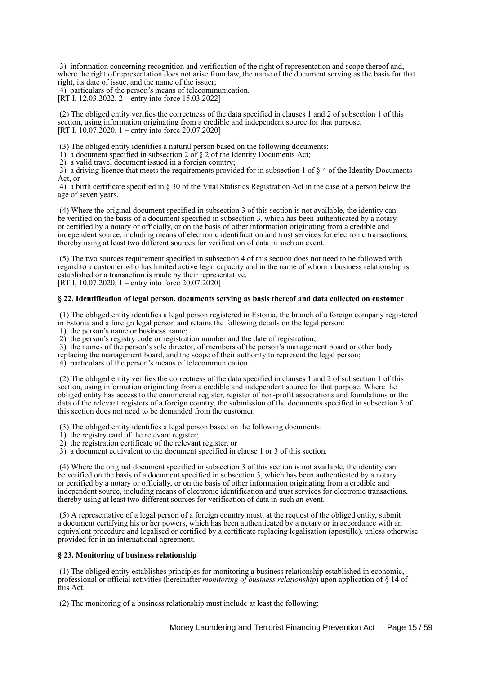3) information concerning recognition and verification of the right of representation and scope thereof and, where the right of representation does not arise from law, the name of the document serving as the basis for that right, its date of issue, and the name of the issuer;

4) particulars of the person's means of telecommunication.

[RT I, 12.03.2022, 2 – entry into force 15.03.2022]

 (2) The obliged entity verifies the correctness of the data specified in clauses 1 and 2 of subsection 1 of this section, using information originating from a credible and independent source for that purpose. [RT I, 10.07.2020, 1 – entry into force 20.07.2020]

(3) The obliged entity identifies a natural person based on the following documents:

1) a document specified in subsection 2 of  $\S$  2 of the Identity Documents Act;

2) a valid travel document issued in a foreign country;

 3) a driving licence that meets the requirements provided for in subsection 1 of § 4 of the Identity Documents Act, or

 4) a birth certificate specified in § 30 of the Vital Statistics Registration Act in the case of a person below the age of seven years.

 (4) Where the original document specified in subsection 3 of this section is not available, the identity can be verified on the basis of a document specified in subsection 3, which has been authenticated by a notary or certified by a notary or officially, or on the basis of other information originating from a credible and independent source, including means of electronic identification and trust services for electronic transactions, thereby using at least two different sources for verification of data in such an event.

 (5) The two sources requirement specified in subsection 4 of this section does not need to be followed with regard to a customer who has limited active legal capacity and in the name of whom a business relationship is established or a transaction is made by their representative.

[RT I, 10.07.2020, 1 – entry into force 20.07.2020]

## **§ 22. Identification of legal person, documents serving as basis thereof and data collected on customer**

 (1) The obliged entity identifies a legal person registered in Estonia, the branch of a foreign company registered in Estonia and a foreign legal person and retains the following details on the legal person:

1) the person's name or business name;

2) the person's registry code or registration number and the date of registration;

3) the names of the person's sole director, of members of the person's management board or other body

replacing the management board, and the scope of their authority to represent the legal person;

4) particulars of the person's means of telecommunication.

 (2) The obliged entity verifies the correctness of the data specified in clauses 1 and 2 of subsection 1 of this section, using information originating from a credible and independent source for that purpose. Where the obliged entity has access to the commercial register, register of non-profit associations and foundations or the data of the relevant registers of a foreign country, the submission of the documents specified in subsection 3 of this section does not need to be demanded from the customer.

(3) The obliged entity identifies a legal person based on the following documents:

- 1) the registry card of the relevant register;
- 2) the registration certificate of the relevant register, or
- 3) a document equivalent to the document specified in clause 1 or 3 of this section.

 (4) Where the original document specified in subsection 3 of this section is not available, the identity can be verified on the basis of a document specified in subsection 3, which has been authenticated by a notary or certified by a notary or officially, or on the basis of other information originating from a credible and independent source, including means of electronic identification and trust services for electronic transactions, thereby using at least two different sources for verification of data in such an event.

 (5) A representative of a legal person of a foreign country must, at the request of the obliged entity, submit a document certifying his or her powers, which has been authenticated by a notary or in accordance with an equivalent procedure and legalised or certified by a certificate replacing legalisation (apostille), unless otherwise provided for in an international agreement.

# **§ 23. Monitoring of business relationship**

 (1) The obliged entity establishes principles for monitoring a business relationship established in economic, professional or official activities (hereinafter *monitoring of business relationship*) upon application of § 14 of this Act.

(2) The monitoring of a business relationship must include at least the following: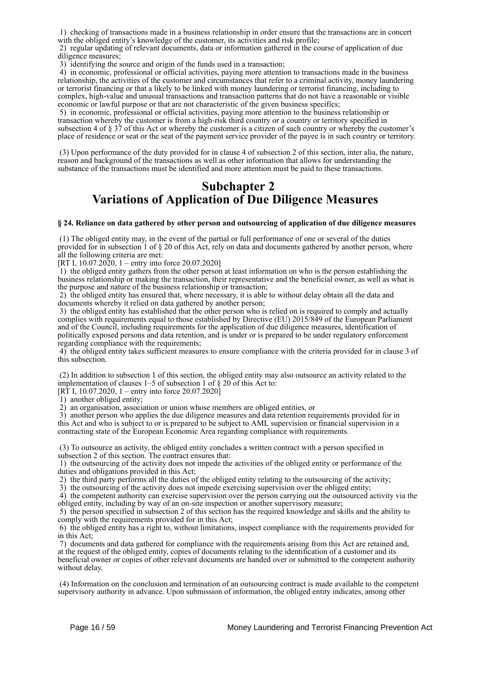1) checking of transactions made in a business relationship in order ensure that the transactions are in concert with the obliged entity's knowledge of the customer, its activities and risk profile;

 2) regular updating of relevant documents, data or information gathered in the course of application of due diligence measures;

3) identifying the source and origin of the funds used in a transaction;

 4) in economic, professional or official activities, paying more attention to transactions made in the business relationship, the activities of the customer and circumstances that refer to a criminal activity, money laundering or terrorist financing or that a likely to be linked with money laundering or terrorist financing, including to complex, high-value and unusual transactions and transaction patterns that do not have a reasonable or visible economic or lawful purpose or that are not characteristic of the given business specifics;

 5) in economic, professional or official activities, paying more attention to the business relationship or transaction whereby the customer is from a high-risk third country or a country or territory specified in subsection 4 of § 37 of this Act or whereby the customer is a citizen of such country or whereby the customer's place of residence or seat or the seat of the payment service provider of the payee is in such country or territory.

 (3) Upon performance of the duty provided for in clause 4 of subsection 2 of this section, inter alia, the nature, reason and background of the transactions as well as other information that allows for understanding the substance of the transactions must be identified and more attention must be paid to these transactions.

# **Subchapter 2 Variations of Application of Due Diligence Measures**

### **§ 24. Reliance on data gathered by other person and outsourcing of application of due diligence measures**

 (1) The obliged entity may, in the event of the partial or full performance of one or several of the duties provided for in subsection 1 of § 20 of this Act, rely on data and documents gathered by another person, where all the following criteria are met:

[RT I,  $10.07.2020$ , 1 – entry into force 20.07.2020]

 1) the obliged entity gathers from the other person at least information on who is the person establishing the business relationship or making the transaction, their representative and the beneficial owner, as well as what is the purpose and nature of the business relationship or transaction;

 2) the obliged entity has ensured that, where necessary, it is able to without delay obtain all the data and documents whereby it relied on data gathered by another person;

 3) the obliged entity has established that the other person who is relied on is required to comply and actually complies with requirements equal to those established by Directive (EU) 2015/849 of the European Parliament and of the Council, including requirements for the application of due diligence measures, identification of politically exposed persons and data retention, and is under or is prepared to be under regulatory enforcement regarding compliance with the requirements;

 4) the obliged entity takes sufficient measures to ensure compliance with the criteria provided for in clause 3 of this subsection.

 (2) In addition to subsection 1 of this section, the obliged entity may also outsource an activity related to the implementation of clauses  $1-5$  of subsection 1 of  $\S 20$  of this Act to:

[RT I, 10.07.2020, 1 – entry into force 20.07.2020]

1) another obliged entity;

2) an organisation, association or union whose members are obliged entities, or

 3) another person who applies the due diligence measures and data retention requirements provided for in this Act and who is subject to or is prepared to be subject to AML supervision or financial supervision in a contracting state of the European Economic Area regarding compliance with requirements.

 (3) To outsource an activity, the obliged entity concludes a written contract with a person specified in subsection 2 of this section. The contract ensures that:

 1) the outsourcing of the activity does not impede the activities of the obliged entity or performance of the duties and obligations provided in this Act;

2) the third party performs all the duties of the obliged entity relating to the outsourcing of the activity;

3) the outsourcing of the activity does not impede exercising supervision over the obliged entity;

 4) the competent authority can exercise supervision over the person carrying out the outsourced activity via the obliged entity, including by way of an on-site inspection or another supervisory measure;

 5) the person specified in subsection 2 of this section has the required knowledge and skills and the ability to comply with the requirements provided for in this Act;

 6) the obliged entity has a right to, without limitations, inspect compliance with the requirements provided for in this Act;

 7) documents and data gathered for compliance with the requirements arising from this Act are retained and, at the request of the obliged entity, copies of documents relating to the identification of a customer and its beneficial owner or copies of other relevant documents are handed over or submitted to the competent authority without delay.

 (4) Information on the conclusion and termination of an outsourcing contract is made available to the competent supervisory authority in advance. Upon submission of information, the obliged entity indicates, among other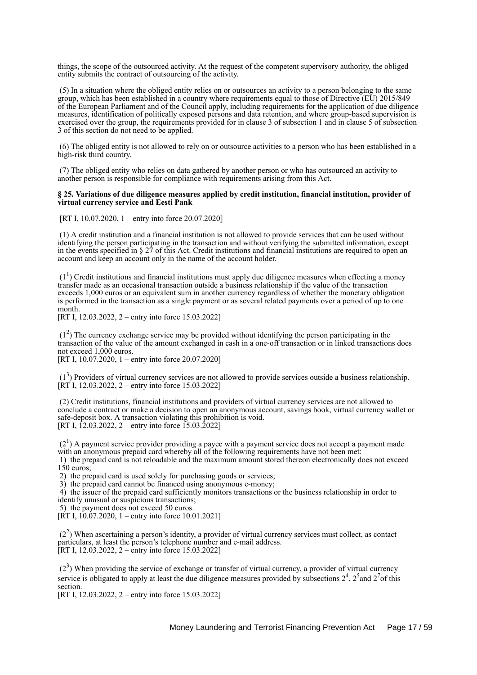things, the scope of the outsourced activity. At the request of the competent supervisory authority, the obliged entity submits the contract of outsourcing of the activity.

 (5) In a situation where the obliged entity relies on or outsources an activity to a person belonging to the same group, which has been established in a country where requirements equal to those of Directive (EU) 2015/849 of the European Parliament and of the Council apply, including requirements for the application of due diligence measures, identification of politically exposed persons and data retention, and where group-based supervision is exercised over the group, the requirements provided for in clause 3 of subsection 1 and in clause 5 of subsection 3 of this section do not need to be applied.

 (6) The obliged entity is not allowed to rely on or outsource activities to a person who has been established in a high-risk third country.

 (7) The obliged entity who relies on data gathered by another person or who has outsourced an activity to another person is responsible for compliance with requirements arising from this Act.

### **§ 25. Variations of due diligence measures applied by credit institution, financial institution, provider of virtual currency service and Eesti Pank**

[RT I, 10.07.2020, 1 – entry into force 20.07.2020]

 (1) A credit institution and a financial institution is not allowed to provide services that can be used without identifying the person participating in the transaction and without verifying the submitted information, except in the events specified in § 27 of this Act. Credit institutions and financial institutions are required to open an account and keep an account only in the name of the account holder.

 $(1<sup>1</sup>)$  Credit institutions and financial institutions must apply due diligence measures when effecting a money transfer made as an occasional transaction outside a business relationship if the value of the transaction exceeds 1,000 euros or an equivalent sum in another currency regardless of whether the monetary obligation is performed in the transaction as a single payment or as several related payments over a period of up to one month.

[RT I, 12,03,2022, 2 – entry into force 15,03,2022]

 (1<sup>2</sup> ) The currency exchange service may be provided without identifying the person participating in the transaction of the value of the amount exchanged in cash in a one-off transaction or in linked transactions does not exceed 1,000 euros.

[RT I, 10.07.2020, 1 – entry into force 20.07.2020]

 $(1<sup>3</sup>)$  Providers of virtual currency services are not allowed to provide services outside a business relationship.  $[\overline{RT} I, 12.03.2022, 2 -$  entry into force 15.03.2022]

 (2) Credit institutions, financial institutions and providers of virtual currency services are not allowed to conclude a contract or make a decision to open an anonymous account, savings book, virtual currency wallet or safe-deposit box. A transaction violating this prohibition is void. [RT I, 12.03.2022, 2 – entry into force 15.03.2022]

 $(2<sup>1</sup>)$  A payment service provider providing a payee with a payment service does not accept a payment made with an anonymous prepaid card whereby all of the following requirements have not been met:

 1) the prepaid card is not reloadable and the maximum amount stored thereon electronically does not exceed 150 euros;

2) the prepaid card is used solely for purchasing goods or services;

3) the prepaid card cannot be financed using anonymous e-money;

 4) the issuer of the prepaid card sufficiently monitors transactions or the business relationship in order to identify unusual or suspicious transactions;

5) the payment does not exceed 50 euros.

[RT I,  $10.07.2020$ , 1 – entry into force 10.01.2021]

 (2<sup>2</sup> ) When ascertaining a person's identity, a provider of virtual currency services must collect, as contact particulars, at least the person's telephone number and e-mail address. [RT I, 12.03.2022, 2 – entry into force 15.03.2022]

 $(2<sup>3</sup>)$  When providing the service of exchange or transfer of virtual currency, a provider of virtual currency service is obligated to apply at least the due diligence measures provided by subsections  $2^4$ ,  $2^5$  and  $2^7$  of this section.

[RT I, 12.03.2022, 2 – entry into force 15.03.2022]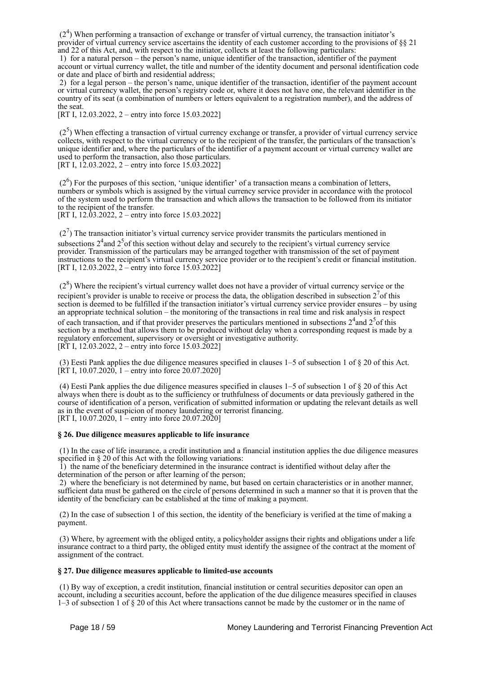(2<sup>4</sup>) When performing a transaction of exchange or transfer of virtual currency, the transaction initiator's provider of virtual currency service ascertains the identity of each customer according to the provisions of §§ 21 and 22 of this Act, and, with respect to the initiator, collects at least the following particulars:

 1) for a natural person – the person's name, unique identifier of the transaction, identifier of the payment account or virtual currency wallet, the title and number of the identity document and personal identification code or date and place of birth and residential address;

 2) for a legal person – the person's name, unique identifier of the transaction, identifier of the payment account or virtual currency wallet, the person's registry code or, where it does not have one, the relevant identifier in the country of its seat (a combination of numbers or letters equivalent to a registration number), and the address of the seat.

[RT I, 12.03.2022, 2 – entry into force 15.03.2022]

 $(2<sup>5</sup>)$  When effecting a transaction of virtual currency exchange or transfer, a provider of virtual currency service collects, with respect to the virtual currency or to the recipient of the transfer, the particulars of the transaction's unique identifier and, where the particulars of the identifier of a payment account or virtual currency wallet are used to perform the transaction, also those particulars. [RT I, 12.03.2022, 2 – entry into force 15.03.2022]

(2<sup>6</sup>) For the purposes of this section, 'unique identifier' of a transaction means a combination of letters, numbers or symbols which is assigned by the virtual currency service provider in accordance with the protocol of the system used to perform the transaction and which allows the transaction to be followed from its initiator to the recipient of the transfer.

[RT I, 12.03.2022, 2 – entry into force 15.03.2022]

 $(2<sup>7</sup>)$  The transaction initiator's virtual currency service provider transmits the particulars mentioned in subsections  $2<sup>4</sup>$  and  $2<sup>5</sup>$  of this section without delay and securely to the recipient's virtual currency service provider. Transmission of the particulars may be arranged together with transmission of the set of payment instructions to the recipient's virtual currency service provider or to the recipient's credit or financial institution. [RT I, 12.03.2022, 2 – entry into force 15.03.2022]

(2<sup>8</sup>) Where the recipient's virtual currency wallet does not have a provider of virtual currency service or the recipient's provider is unable to receive or process the data, the obligation described in subsection  $2<sup>7</sup>$  of this section is deemed to be fulfilled if the transaction initiator's virtual currency service provider ensures – by using an appropriate technical solution – the monitoring of the transactions in real time and risk analysis in respect of each transaction, and if that provider preserves the particulars mentioned in subsections  $2^4$  and  $2^5$  of this section by a method that allows them to be produced without delay when a corresponding request is made by a regulatory enforcement, supervisory or oversight or investigative authority. [RT I, 12.03.2022, 2 – entry into force 15.03.2022]

 (3) Eesti Pank applies the due diligence measures specified in clauses 1–5 of subsection 1 of § 20 of this Act. [RT I, 10.07.2020] – entry into force 20.07.2020]

(4) Eesti Pank applies the due diligence measures specified in clauses  $1-5$  of subsection 1 of  $\S 20$  of this Act always when there is doubt as to the sufficiency or truthfulness of documents or data previously gathered in the course of identification of a person, verification of submitted information or updating the relevant details as well as in the event of suspicion of money laundering or terrorist financing. [RT I, 10.07.2020, 1 – entry into force 20.07.2020]

### **§ 26. Due diligence measures applicable to life insurance**

 (1) In the case of life insurance, a credit institution and a financial institution applies the due diligence measures specified in § 20 of this Act with the following variations:

 1) the name of the beneficiary determined in the insurance contract is identified without delay after the determination of the person or after learning of the person;

 2) where the beneficiary is not determined by name, but based on certain characteristics or in another manner, sufficient data must be gathered on the circle of persons determined in such a manner so that it is proven that the identity of the beneficiary can be established at the time of making a payment.

 (2) In the case of subsection 1 of this section, the identity of the beneficiary is verified at the time of making a payment.

 (3) Where, by agreement with the obliged entity, a policyholder assigns their rights and obligations under a life insurance contract to a third party, the obliged entity must identify the assignee of the contract at the moment of assignment of the contract.

### **§ 27. Due diligence measures applicable to limited-use accounts**

 (1) By way of exception, a credit institution, financial institution or central securities depositor can open an account, including a securities account, before the application of the due diligence measures specified in clauses 1–3 of subsection 1 of § 20 of this Act where transactions cannot be made by the customer or in the name of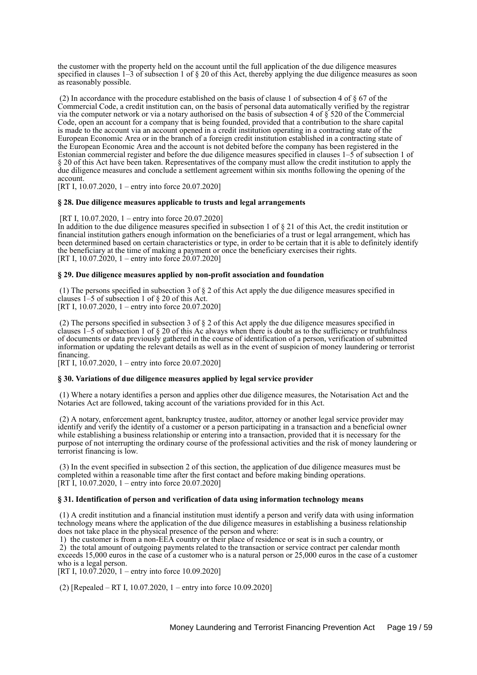the customer with the property held on the account until the full application of the due diligence measures specified in clauses  $1-\overline{3}$  of subsection 1 of § 20 of this Act, thereby applying the due diligence measures as soon as reasonably possible.

 (2) In accordance with the procedure established on the basis of clause 1 of subsection 4 of § 67 of the Commercial Code, a credit institution can, on the basis of personal data automatically verified by the registrar via the computer network or via a notary authorised on the basis of subsection 4 of § 520 of the Commercial Code, open an account for a company that is being founded, provided that a contribution to the share capital is made to the account via an account opened in a credit institution operating in a contracting state of the European Economic Area or in the branch of a foreign credit institution established in a contracting state of the European Economic Area and the account is not debited before the company has been registered in the Estonian commercial register and before the due diligence measures specified in clauses 1–5 of subsection 1 of § 20 of this Act have been taken. Representatives of the company must allow the credit institution to apply the due diligence measures and conclude a settlement agreement within six months following the opening of the account.

[RT I, 10.07.2020, 1 – entry into force 20.07.2020]

#### **§ 28. Due diligence measures applicable to trusts and legal arrangements**

[RT I, 10.07.2020, 1 – entry into force 20.07.2020]

In addition to the due diligence measures specified in subsection 1 of § 21 of this Act, the credit institution or financial institution gathers enough information on the beneficiaries of a trust or legal arrangement, which has been determined based on certain characteristics or type, in order to be certain that it is able to definitely identify the beneficiary at the time of making a payment or once the beneficiary exercises their rights. [RT I, 10.07.2020, 1 – entry into force  $20.07.2020$ ]

#### **§ 29. Due diligence measures applied by non-profit association and foundation**

 (1) The persons specified in subsection 3 of § 2 of this Act apply the due diligence measures specified in clauses 1–5 of subsection 1 of § 20 of this Act. [RT I, 10.07.2020, 1 – entry into force 20.07.2020]

 (2) The persons specified in subsection 3 of § 2 of this Act apply the due diligence measures specified in clauses 1–5 of subsection 1 of  $\S$  20 of this Ac always when there is doubt as to the sufficiency or truthfulness of documents or data previously gathered in the course of identification of a person, verification of submitted information or updating the relevant details as well as in the event of suspicion of money laundering or terrorist financing.

[RT I,  $10.07.2020$ , 1 – entry into force 20.07.2020]

#### **§ 30. Variations of due diligence measures applied by legal service provider**

 (1) Where a notary identifies a person and applies other due diligence measures, the Notarisation Act and the Notaries Act are followed, taking account of the variations provided for in this Act.

 (2) A notary, enforcement agent, bankruptcy trustee, auditor, attorney or another legal service provider may identify and verify the identity of a customer or a person participating in a transaction and a beneficial owner while establishing a business relationship or entering into a transaction, provided that it is necessary for the purpose of not interrupting the ordinary course of the professional activities and the risk of money laundering or terrorist financing is low.

 (3) In the event specified in subsection 2 of this section, the application of due diligence measures must be completed within a reasonable time after the first contact and before making binding operations. [RT I, 10.07.2020, 1 – entry into force 20.07.2020]

#### **§ 31. Identification of person and verification of data using information technology means**

 (1) A credit institution and a financial institution must identify a person and verify data with using information technology means where the application of the due diligence measures in establishing a business relationship does not take place in the physical presence of the person and where:

 1) the customer is from a non-EEA country or their place of residence or seat is in such a country, or 2) the total amount of outgoing payments related to the transaction or service contract per calendar month exceeds 15,000 euros in the case of a customer who is a natural person or 25,000 euros in the case of a customer who is a legal person.

[RT I,  $10.07.2020$ , 1 – entry into force 10.09.2020]

(2) [Repealed – RT I, 10.07.2020, 1 – entry into force 10.09.2020]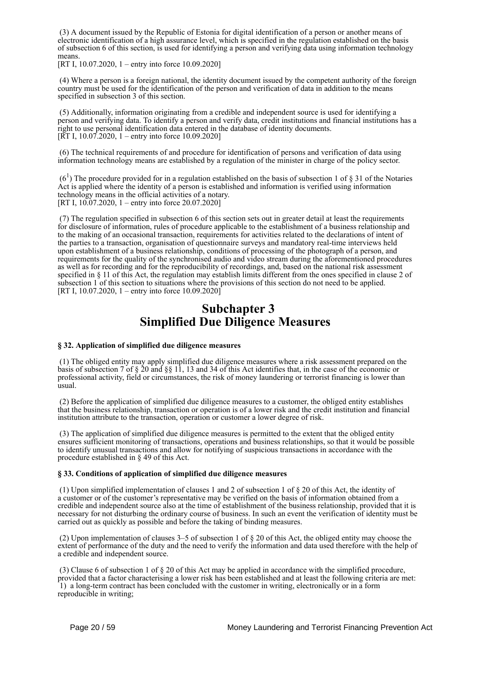(3) A document issued by the Republic of Estonia for digital identification of a person or another means of electronic identification of a high assurance level, which is specified in the regulation established on the basis of subsection 6 of this section, is used for identifying a person and verifying data using information technology means.

[RT I, 10.07.2020, 1 – entry into force 10.09.2020]

 (4) Where a person is a foreign national, the identity document issued by the competent authority of the foreign country must be used for the identification of the person and verification of data in addition to the means specified in subsection 3 of this section.

 (5) Additionally, information originating from a credible and independent source is used for identifying a person and verifying data. To identify a person and verify data, credit institutions and financial institutions has a right to use personal identification data entered in the database of identity documents. [RT I, 10.07.2020, 1 – entry into force 10.09.2020]

 (6) The technical requirements of and procedure for identification of persons and verification of data using information technology means are established by a regulation of the minister in charge of the policy sector.

 $(6<sup>1</sup>)$  The procedure provided for in a regulation established on the basis of subsection 1 of § 31 of the Notaries Act is applied where the identity of a person is established and information is verified using information technology means in the official activities of a notary. [RT I, 10.07.2020, 1 – entry into force 20.07.2020]

 (7) The regulation specified in subsection 6 of this section sets out in greater detail at least the requirements for disclosure of information, rules of procedure applicable to the establishment of a business relationship and to the making of an occasional transaction, requirements for activities related to the declarations of intent of the parties to a transaction, organisation of questionnaire surveys and mandatory real-time interviews held upon establishment of a business relationship, conditions of processing of the photograph of a person, and requirements for the quality of the synchronised audio and video stream during the aforementioned procedures as well as for recording and for the reproducibility of recordings, and, based on the national risk assessment specified in § 11 of this Act, the regulation may establish limits different from the ones specified in clause 2 of subsection 1 of this section to situations where the provisions of this section do not need to be applied. [RT I, 10.07.2020, 1 – entry into force 10.09.2020]

# **Subchapter 3 Simplified Due Diligence Measures**

### **§ 32. Application of simplified due diligence measures**

 (1) The obliged entity may apply simplified due diligence measures where a risk assessment prepared on the basis of subsection 7 of § 20 and §§ 11, 13 and 34 of this Act identifies that, in the case of the economic or professional activity, field or circumstances, the risk of money laundering or terrorist financing is lower than usual.

 (2) Before the application of simplified due diligence measures to a customer, the obliged entity establishes that the business relationship, transaction or operation is of a lower risk and the credit institution and financial institution attribute to the transaction, operation or customer a lower degree of risk.

 (3) The application of simplified due diligence measures is permitted to the extent that the obliged entity ensures sufficient monitoring of transactions, operations and business relationships, so that it would be possible to identify unusual transactions and allow for notifying of suspicious transactions in accordance with the procedure established in § 49 of this Act.

### **§ 33. Conditions of application of simplified due diligence measures**

 (1) Upon simplified implementation of clauses 1 and 2 of subsection 1 of § 20 of this Act, the identity of a customer or of the customer's representative may be verified on the basis of information obtained from a credible and independent source also at the time of establishment of the business relationship, provided that it is necessary for not disturbing the ordinary course of business. In such an event the verification of identity must be carried out as quickly as possible and before the taking of binding measures.

 (2) Upon implementation of clauses 3–5 of subsection 1 of § 20 of this Act, the obliged entity may choose the extent of performance of the duty and the need to verify the information and data used therefore with the help of a credible and independent source.

 (3) Clause 6 of subsection 1 of § 20 of this Act may be applied in accordance with the simplified procedure, provided that a factor characterising a lower risk has been established and at least the following criteria are met: 1) a long-term contract has been concluded with the customer in writing, electronically or in a form reproducible in writing;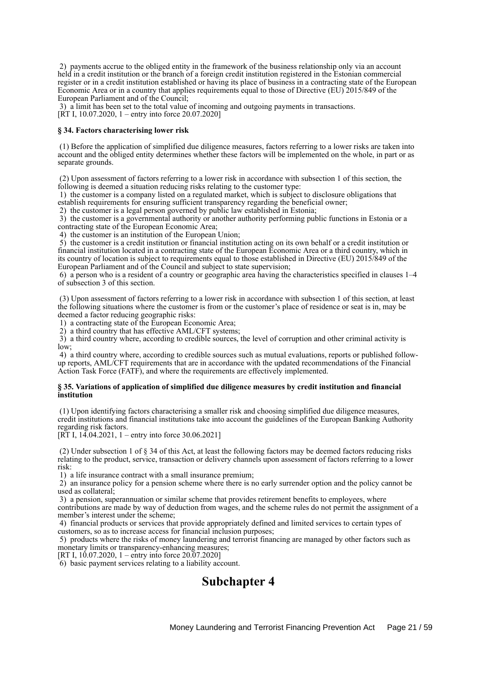2) payments accrue to the obliged entity in the framework of the business relationship only via an account held in a credit institution or the branch of a foreign credit institution registered in the Estonian commercial register or in a credit institution established or having its place of business in a contracting state of the European Economic Area or in a country that applies requirements equal to those of Directive (EU) 2015/849 of the European Parliament and of the Council;

 3) a limit has been set to the total value of incoming and outgoing payments in transactions. [RT I, 10.07.2020, 1 – entry into force 20.07.2020]

#### **§ 34. Factors characterising lower risk**

 (1) Before the application of simplified due diligence measures, factors referring to a lower risks are taken into account and the obliged entity determines whether these factors will be implemented on the whole, in part or as separate grounds.

 (2) Upon assessment of factors referring to a lower risk in accordance with subsection 1 of this section, the following is deemed a situation reducing risks relating to the customer type:

 1) the customer is a company listed on a regulated market, which is subject to disclosure obligations that establish requirements for ensuring sufficient transparency regarding the beneficial owner;

2) the customer is a legal person governed by public law established in Estonia;

 3) the customer is a governmental authority or another authority performing public functions in Estonia or a contracting state of the European Economic Area;

4) the customer is an institution of the European Union;

 5) the customer is a credit institution or financial institution acting on its own behalf or a credit institution or financial institution located in a contracting state of the European Economic Area or a third country, which in its country of location is subject to requirements equal to those established in Directive (EU) 2015/849 of the European Parliament and of the Council and subject to state supervision;

 6) a person who is a resident of a country or geographic area having the characteristics specified in clauses 1–4 of subsection 3 of this section.

 (3) Upon assessment of factors referring to a lower risk in accordance with subsection 1 of this section, at least the following situations where the customer is from or the customer's place of residence or seat is in, may be deemed a factor reducing geographic risks:

1) a contracting state of the European Economic Area;

2) a third country that has effective AML/CFT systems;

 3) a third country where, according to credible sources, the level of corruption and other criminal activity is low;

 4) a third country where, according to credible sources such as mutual evaluations, reports or published followup reports, AML/CFT requirements that are in accordance with the updated recommendations of the Financial Action Task Force (FATF), and where the requirements are effectively implemented.

#### **§ 35. Variations of application of simplified due diligence measures by credit institution and financial institution**

 (1) Upon identifying factors characterising a smaller risk and choosing simplified due diligence measures, credit institutions and financial institutions take into account the guidelines of the European Banking Authority regarding risk factors.

[RT I, 14.04.2021, 1 – entry into force 30.06.2021]

 (2) Under subsection 1 of § 34 of this Act, at least the following factors may be deemed factors reducing risks relating to the product, service, transaction or delivery channels upon assessment of factors referring to a lower risk:

1) a life insurance contract with a small insurance premium;

 2) an insurance policy for a pension scheme where there is no early surrender option and the policy cannot be used as collateral;

 3) a pension, superannuation or similar scheme that provides retirement benefits to employees, where contributions are made by way of deduction from wages, and the scheme rules do not permit the assignment of a member's interest under the scheme;

 4) financial products or services that provide appropriately defined and limited services to certain types of customers, so as to increase access for financial inclusion purposes;

 5) products where the risks of money laundering and terrorist financing are managed by other factors such as monetary limits or transparency-enhancing measures;

[RT I,  $10.07.2020$ , 1 – entry into force 20.07.2020]

6) basic payment services relating to a liability account.

# **Subchapter 4**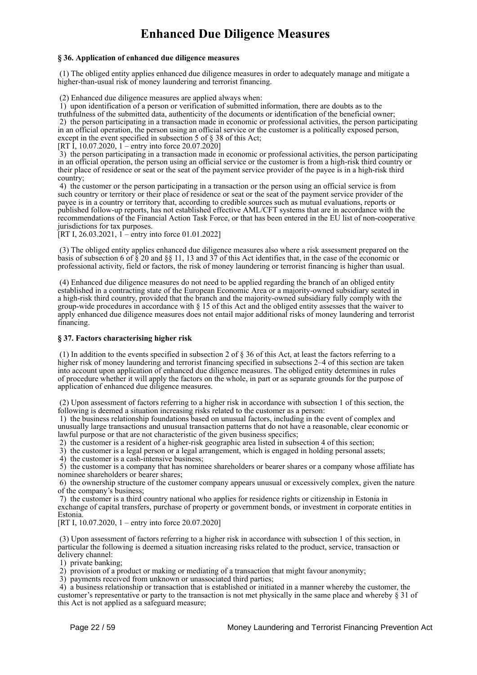# **Enhanced Due Diligence Measures**

## **§ 36. Application of enhanced due diligence measures**

 (1) The obliged entity applies enhanced due diligence measures in order to adequately manage and mitigate a higher-than-usual risk of money laundering and terrorist financing.

(2) Enhanced due diligence measures are applied always when:

 1) upon identification of a person or verification of submitted information, there are doubts as to the truthfulness of the submitted data, authenticity of the documents or identification of the beneficial owner; 2) the person participating in a transaction made in economic or professional activities, the person participating in an official operation, the person using an official service or the customer is a politically exposed person, except in the event specified in subsection 5 of § 38 of this Act;

[RT I, 10.07.2020, 1 – entry into force  $20.07.20201$ 

 3) the person participating in a transaction made in economic or professional activities, the person participating in an official operation, the person using an official service or the customer is from a high-risk third country or their place of residence or seat or the seat of the payment service provider of the payee is in a high-risk third country;

 4) the customer or the person participating in a transaction or the person using an official service is from such country or territory or their place of residence or seat or the seat of the payment service provider of the payee is in a country or territory that, according to credible sources such as mutual evaluations, reports or published follow-up reports, has not established effective AML/CFT systems that are in accordance with the recommendations of the Financial Action Task Force, or that has been entered in the EU list of non-cooperative jurisdictions for tax purposes.

[RT I, 26.03.2021, 1 – entry into force 01.01.2022]

 (3) The obliged entity applies enhanced due diligence measures also where a risk assessment prepared on the basis of subsection 6 of § 20 and §§ 11, 13 and 37 of this Act identifies that, in the case of the economic or professional activity, field or factors, the risk of money laundering or terrorist financing is higher than usual.

 (4) Enhanced due diligence measures do not need to be applied regarding the branch of an obliged entity established in a contracting state of the European Economic Area or a majority-owned subsidiary seated in a high-risk third country, provided that the branch and the majority-owned subsidiary fully comply with the group-wide procedures in accordance with § 15 of this Act and the obliged entity assesses that the waiver to apply enhanced due diligence measures does not entail major additional risks of money laundering and terrorist financing.

# **§ 37. Factors characterising higher risk**

 (1) In addition to the events specified in subsection 2 of § 36 of this Act, at least the factors referring to a higher risk of money laundering and terrorist financing specified in subsections 2–4 of this section are taken into account upon application of enhanced due diligence measures. The obliged entity determines in rules of procedure whether it will apply the factors on the whole, in part or as separate grounds for the purpose of application of enhanced due diligence measures.

 (2) Upon assessment of factors referring to a higher risk in accordance with subsection 1 of this section, the following is deemed a situation increasing risks related to the customer as a person:

 1) the business relationship foundations based on unusual factors, including in the event of complex and unusually large transactions and unusual transaction patterns that do not have a reasonable, clear economic or lawful purpose or that are not characteristic of the given business specifics;

2) the customer is a resident of a higher-risk geographic area listed in subsection 4 of this section;

3) the customer is a legal person or a legal arrangement, which is engaged in holding personal assets;

4) the customer is a cash-intensive business;

 5) the customer is a company that has nominee shareholders or bearer shares or a company whose affiliate has nominee shareholders or bearer shares;

 6) the ownership structure of the customer company appears unusual or excessively complex, given the nature of the company's business;

 7) the customer is a third country national who applies for residence rights or citizenship in Estonia in exchange of capital transfers, purchase of property or government bonds, or investment in corporate entities in Estonia.

[RT I, 10.07.2020, 1 – entry into force 20.07.2020]

 (3) Upon assessment of factors referring to a higher risk in accordance with subsection 1 of this section, in particular the following is deemed a situation increasing risks related to the product, service, transaction or delivery channel:

1) private banking;

2) provision of a product or making or mediating of a transaction that might favour anonymity;

3) payments received from unknown or unassociated third parties;

 4) a business relationship or transaction that is established or initiated in a manner whereby the customer, the customer's representative or party to the transaction is not met physically in the same place and whereby § 31 of this Act is not applied as a safeguard measure;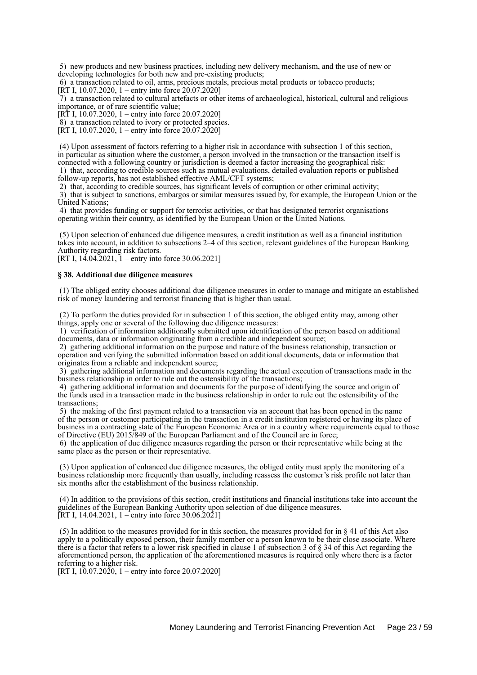5) new products and new business practices, including new delivery mechanism, and the use of new or developing technologies for both new and pre-existing products;

 6) a transaction related to oil, arms, precious metals, precious metal products or tobacco products; [RT I, 10.07.2020, 1 – entry into force 20.07.2020]

 7) a transaction related to cultural artefacts or other items of archaeological, historical, cultural and religious importance, or of rare scientific value;

[RT I, 10.07.2020, 1 – entry into force 20.07.2020]

8) a transaction related to ivory or protected species.

[RT I, 10.07.2020, 1 – entry into force  $20.07.20201$ 

 (4) Upon assessment of factors referring to a higher risk in accordance with subsection 1 of this section, in particular as situation where the customer, a person involved in the transaction or the transaction itself is connected with a following country or jurisdiction is deemed a factor increasing the geographical risk: 1) that, according to credible sources such as mutual evaluations, detailed evaluation reports or published

follow-up reports, has not established effective AML/CFT systems;

2) that, according to credible sources, has significant levels of corruption or other criminal activity;

 3) that is subject to sanctions, embargos or similar measures issued by, for example, the European Union or the United Nations;

 4) that provides funding or support for terrorist activities, or that has designated terrorist organisations operating within their country, as identified by the European Union or the United Nations.

 (5) Upon selection of enhanced due diligence measures, a credit institution as well as a financial institution takes into account, in addition to subsections 2–4 of this section, relevant guidelines of the European Banking Authority regarding risk factors.

[RT I,  $14.04.2021$ ,  $1 -$ entry into force 30.06.2021]

#### **§ 38. Additional due diligence measures**

 (1) The obliged entity chooses additional due diligence measures in order to manage and mitigate an established risk of money laundering and terrorist financing that is higher than usual.

 (2) To perform the duties provided for in subsection 1 of this section, the obliged entity may, among other things, apply one or several of the following due diligence measures:

 1) verification of information additionally submitted upon identification of the person based on additional documents, data or information originating from a credible and independent source;

 2) gathering additional information on the purpose and nature of the business relationship, transaction or operation and verifying the submitted information based on additional documents, data or information that originates from a reliable and independent source;

 3) gathering additional information and documents regarding the actual execution of transactions made in the business relationship in order to rule out the ostensibility of the transactions;

 4) gathering additional information and documents for the purpose of identifying the source and origin of the funds used in a transaction made in the business relationship in order to rule out the ostensibility of the transactions;

 5) the making of the first payment related to a transaction via an account that has been opened in the name of the person or customer participating in the transaction in a credit institution registered or having its place of business in a contracting state of the European Economic Area or in a country where requirements equal to those of Directive (EU) 2015/849 of the European Parliament and of the Council are in force;

 6) the application of due diligence measures regarding the person or their representative while being at the same place as the person or their representative.

 (3) Upon application of enhanced due diligence measures, the obliged entity must apply the monitoring of a business relationship more frequently than usually, including reassess the customer's risk profile not later than six months after the establishment of the business relationship.

 (4) In addition to the provisions of this section, credit institutions and financial institutions take into account the guidelines of the European Banking Authority upon selection of due diligence measures. [RT I, 14.04.2021, 1 – entry into force  $30.06.2021$ ]

 (5) In addition to the measures provided for in this section, the measures provided for in § 41 of this Act also apply to a politically exposed person, their family member or a person known to be their close associate. Where there is a factor that refers to a lower risk specified in clause 1 of subsection 3 of § 34 of this Act regarding the aforementioned person, the application of the aforementioned measures is required only where there is a factor referring to a higher risk.

[RT I,  $10.07.2020$ , 1 – entry into force 20.07.2020]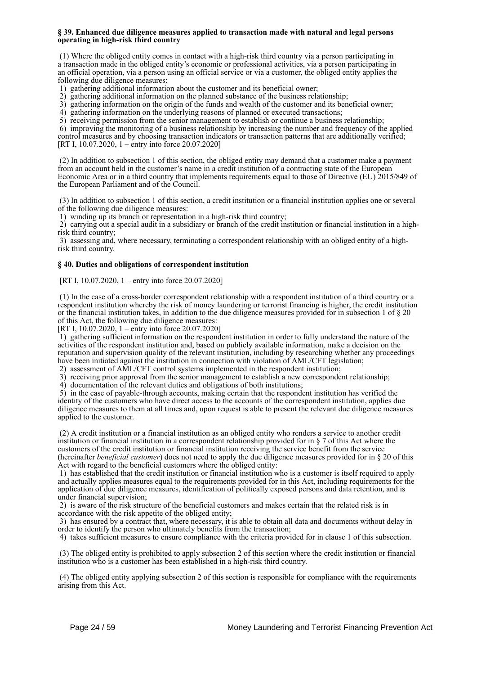#### **§ 39. Enhanced due diligence measures applied to transaction made with natural and legal persons operating in high-risk third country**

 (1) Where the obliged entity comes in contact with a high-risk third country via a person participating in a transaction made in the obliged entity's economic or professional activities, via a person participating in an official operation, via a person using an official service or via a customer, the obliged entity applies the following due diligence measures:

1) gathering additional information about the customer and its beneficial owner;

2) gathering additional information on the planned substance of the business relationship;

3) gathering information on the origin of the funds and wealth of the customer and its beneficial owner;

4) gathering information on the underlying reasons of planned or executed transactions;

5) receiving permission from the senior management to establish or continue a business relationship;

 6) improving the monitoring of a business relationship by increasing the number and frequency of the applied control measures and by choosing transaction indicators or transaction patterns that are additionally verified; [RT I, 10.07.2020, 1 – entry into force 20.07.2020]

 (2) In addition to subsection 1 of this section, the obliged entity may demand that a customer make a payment from an account held in the customer's name in a credit institution of a contracting state of the European Economic Area or in a third country that implements requirements equal to those of Directive (EU) 2015/849 of the European Parliament and of the Council.

 (3) In addition to subsection 1 of this section, a credit institution or a financial institution applies one or several of the following due diligence measures:

1) winding up its branch or representation in a high-risk third country;

 2) carrying out a special audit in a subsidiary or branch of the credit institution or financial institution in a highrisk third country;

 3) assessing and, where necessary, terminating a correspondent relationship with an obliged entity of a highrisk third country.

### **§ 40. Duties and obligations of correspondent institution**

[RT I, 10.07.2020, 1 – entry into force 20.07.2020]

 (1) In the case of a cross-border correspondent relationship with a respondent institution of a third country or a respondent institution whereby the risk of money laundering or terrorist financing is higher, the credit institution or the financial institution takes, in addition to the due diligence measures provided for in subsection 1 of § 20 of this Act, the following due diligence measures:

[RT I, 10.07.2020, 1 – entry into force 20.07.2020]

 1) gathering sufficient information on the respondent institution in order to fully understand the nature of the activities of the respondent institution and, based on publicly available information, make a decision on the reputation and supervision quality of the relevant institution, including by researching whether any proceedings have been initiated against the institution in connection with violation of AML/CFT legislation;

2) assessment of AML/CFT control systems implemented in the respondent institution;

3) receiving prior approval from the senior management to establish a new correspondent relationship;

4) documentation of the relevant duties and obligations of both institutions;

 5) in the case of payable-through accounts, making certain that the respondent institution has verified the identity of the customers who have direct access to the accounts of the correspondent institution, applies due diligence measures to them at all times and, upon request is able to present the relevant due diligence measures applied to the customer.

 (2) A credit institution or a financial institution as an obliged entity who renders a service to another credit institution or financial institution in a correspondent relationship provided for in § 7 of this Act where the customers of the credit institution or financial institution receiving the service benefit from the service (hereinafter *beneficial customer*) does not need to apply the due diligence measures provided for in § 20 of this Act with regard to the beneficial customers where the obliged entity:

 1) has established that the credit institution or financial institution who is a customer is itself required to apply and actually applies measures equal to the requirements provided for in this Act, including requirements for the application of due diligence measures, identification of politically exposed persons and data retention, and is under financial supervision;

 2) is aware of the risk structure of the beneficial customers and makes certain that the related risk is in accordance with the risk appetite of the obliged entity;

 3) has ensured by a contract that, where necessary, it is able to obtain all data and documents without delay in order to identify the person who ultimately benefits from the transaction;

4) takes sufficient measures to ensure compliance with the criteria provided for in clause 1 of this subsection.

 (3) The obliged entity is prohibited to apply subsection 2 of this section where the credit institution or financial institution who is a customer has been established in a high-risk third country.

 (4) The obliged entity applying subsection 2 of this section is responsible for compliance with the requirements arising from this Act.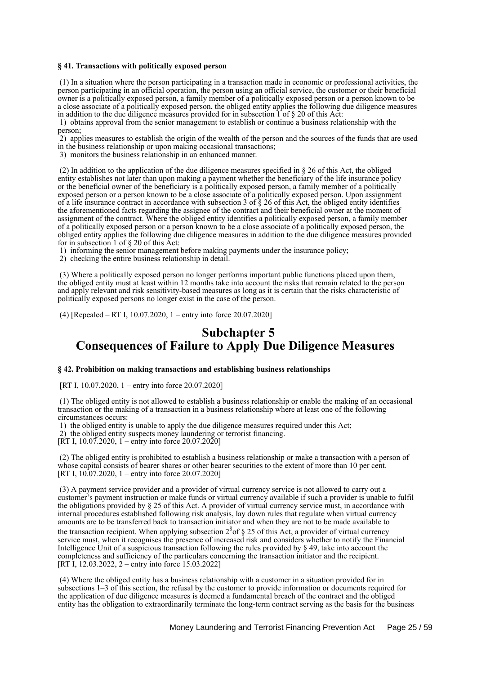### **§ 41. Transactions with politically exposed person**

 (1) In a situation where the person participating in a transaction made in economic or professional activities, the person participating in an official operation, the person using an official service, the customer or their beneficial owner is a politically exposed person, a family member of a politically exposed person or a person known to be a close associate of a politically exposed person, the obliged entity applies the following due diligence measures in addition to the due diligence measures provided for in subsection  $\hat{1}$  of  $\S$  20 of this Act:

 1) obtains approval from the senior management to establish or continue a business relationship with the person;

 2) applies measures to establish the origin of the wealth of the person and the sources of the funds that are used in the business relationship or upon making occasional transactions;

3) monitors the business relationship in an enhanced manner.

 (2) In addition to the application of the due diligence measures specified in § 26 of this Act, the obliged entity establishes not later than upon making a payment whether the beneficiary of the life insurance policy or the beneficial owner of the beneficiary is a politically exposed person, a family member of a politically exposed person or a person known to be a close associate of a politically exposed person. Upon assignment of a life insurance contract in accordance with subsection 3 of  $\S$  26 of this Act, the obliged entity identifies the aforementioned facts regarding the assignee of the contract and their beneficial owner at the moment of assignment of the contract. Where the obliged entity identifies a politically exposed person, a family member of a politically exposed person or a person known to be a close associate of a politically exposed person, the obliged entity applies the following due diligence measures in addition to the due diligence measures provided for in subsection 1 of § 20 of this Act:

1) informing the senior management before making payments under the insurance policy;

2) checking the entire business relationship in detail.

 (3) Where a politically exposed person no longer performs important public functions placed upon them, the obliged entity must at least within 12 months take into account the risks that remain related to the person and apply relevant and risk sensitivity-based measures as long as it is certain that the risks characteristic of politically exposed persons no longer exist in the case of the person.

(4) [Repealed – RT I, 10.07.2020, 1 – entry into force 20.07.2020]

# **Subchapter 5 Consequences of Failure to Apply Due Diligence Measures**

#### **§ 42. Prohibition on making transactions and establishing business relationships**

[RT I, 10.07.2020, 1 – entry into force 20.07.2020]

 (1) The obliged entity is not allowed to establish a business relationship or enable the making of an occasional transaction or the making of a transaction in a business relationship where at least one of the following circumstances occurs:

 1) the obliged entity is unable to apply the due diligence measures required under this Act; 2) the obliged entity suspects money laundering or terrorist financing.

[RT I, 10.07.2020, 1 – entry into force 20.07.2020]

 (2) The obliged entity is prohibited to establish a business relationship or make a transaction with a person of whose capital consists of bearer shares or other bearer securities to the extent of more than 10 per cent. [RT I, 10.07.2020, 1 – entry into force 20.07.2020]

 (3) A payment service provider and a provider of virtual currency service is not allowed to carry out a customer's payment instruction or make funds or virtual currency available if such a provider is unable to fulfil the obligations provided by § 25 of this Act. A provider of virtual currency service must, in accordance with internal procedures established following risk analysis, lay down rules that regulate when virtual currency amounts are to be transferred back to transaction initiator and when they are not to be made available to

the transaction recipient. When applying subsection  $2<sup>8</sup>$  of  $§$  25 of this Act, a provider of virtual currency service must, when it recognises the presence of increased risk and considers whether to notify the Financial Intelligence Unit of a suspicious transaction following the rules provided by § 49, take into account the completeness and sufficiency of the particulars concerning the transaction initiator and the recipient. [RT I, 12.03.2022, 2 – entry into force 15.03.2022]

 (4) Where the obliged entity has a business relationship with a customer in a situation provided for in subsections 1–3 of this section, the refusal by the customer to provide information or documents required for the application of due diligence measures is deemed a fundamental breach of the contract and the obliged entity has the obligation to extraordinarily terminate the long-term contract serving as the basis for the business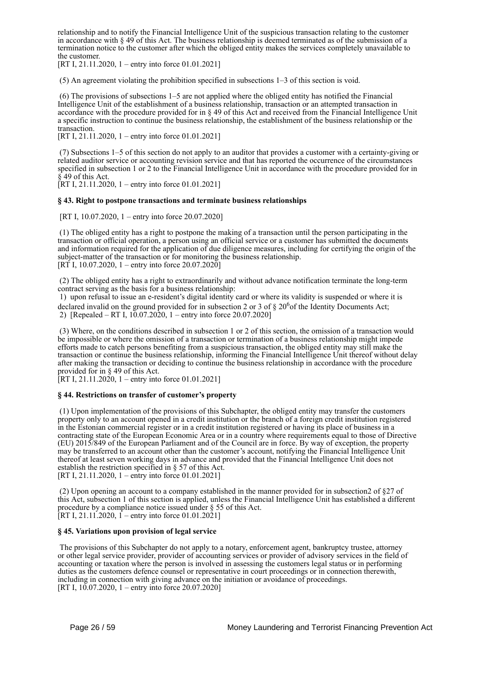relationship and to notify the Financial Intelligence Unit of the suspicious transaction relating to the customer in accordance with  $\S 49$  of this Act. The business relationship is deemed terminated as of the submission of a termination notice to the customer after which the obliged entity makes the services completely unavailable to the customer.

[RT I, 21.11.2020, 1 – entry into force 01.01.2021]

(5) An agreement violating the prohibition specified in subsections 1–3 of this section is void.

 (6) The provisions of subsections 1–5 are not applied where the obliged entity has notified the Financial Intelligence Unit of the establishment of a business relationship, transaction or an attempted transaction in accordance with the procedure provided for in § 49 of this Act and received from the Financial Intelligence Unit a specific instruction to continue the business relationship, the establishment of the business relationship or the transaction.

[RT I, 21.11.2020, 1 – entry into force 01.01.2021]

 (7) Subsections 1–5 of this section do not apply to an auditor that provides a customer with a certainty-giving or related auditor service or accounting revision service and that has reported the occurrence of the circumstances specified in subsection 1 or 2 to the Financial Intelligence Unit in accordance with the procedure provided for in § 49 of this Act.

[RT I, 21.11.2020, 1 – entry into force 01.01.2021]

## **§ 43. Right to postpone transactions and terminate business relationships**

[RT I, 10.07.2020, 1 – entry into force 20.07.2020]

 (1) The obliged entity has a right to postpone the making of a transaction until the person participating in the transaction or official operation, a person using an official service or a customer has submitted the documents and information required for the application of due diligence measures, including for certifying the origin of the subject-matter of the transaction or for monitoring the business relationship. [RT I, 10.07.2020, 1 – entry into force 20.07.2020]

 (2) The obliged entity has a right to extraordinarily and without advance notification terminate the long-term contract serving as the basis for a business relationship:

 1) upon refusal to issue an e-resident's digital identity card or where its validity is suspended or where it is declared invalid on the ground provided for in subsection 2 or 3 of  $\S 20^6$  of the Identity Documents Act;

2) [Repealed – RT I, 10.07.2020, 1 – entry into force 20.07.2020]

 (3) Where, on the conditions described in subsection 1 or 2 of this section, the omission of a transaction would be impossible or where the omission of a transaction or termination of a business relationship might impede efforts made to catch persons benefiting from a suspicious transaction, the obliged entity may still make the transaction or continue the business relationship, informing the Financial Intelligence Unit thereof without delay after making the transaction or deciding to continue the business relationship in accordance with the procedure provided for in § 49 of this Act.

 $[RT I, 21.11.2020, 1 - entry into force 01.01.2021]$ 

### **§ 44. Restrictions on transfer of customer's property**

 (1) Upon implementation of the provisions of this Subchapter, the obliged entity may transfer the customers property only to an account opened in a credit institution or the branch of a foreign credit institution registered in the Estonian commercial register or in a credit institution registered or having its place of business in a contracting state of the European Economic Area or in a country where requirements equal to those of Directive (EU) 2015/849 of the European Parliament and of the Council are in force. By way of exception, the property may be transferred to an account other than the customer's account, notifying the Financial Intelligence Unit thereof at least seven working days in advance and provided that the Financial Intelligence Unit does not establish the restriction specified in § 57 of this Act. [RT I, 21.11.2020, 1 – entry into force 01.01.2021]

 (2) Upon opening an account to a company established in the manner provided for in subsection2 of §27 of this Act, subsection 1 of this section is applied, unless the Financial Intelligence Unit has established a different procedure by a compliance notice issued under § 55 of this Act. [RT I, 21.11.2020, 1 – entry into force 01.01.2021]

### **§ 45. Variations upon provision of legal service**

 The provisions of this Subchapter do not apply to a notary, enforcement agent, bankruptcy trustee, attorney or other legal service provider, provider of accounting services or provider of advisory services in the field of accounting or taxation where the person is involved in assessing the customers legal status or in performing duties as the customers defence counsel or representative in court proceedings or in connection therewith, including in connection with giving advance on the initiation or avoidance of proceedings. [RT I,  $10.07.2020$ , 1 – entry into force 20.07.2020]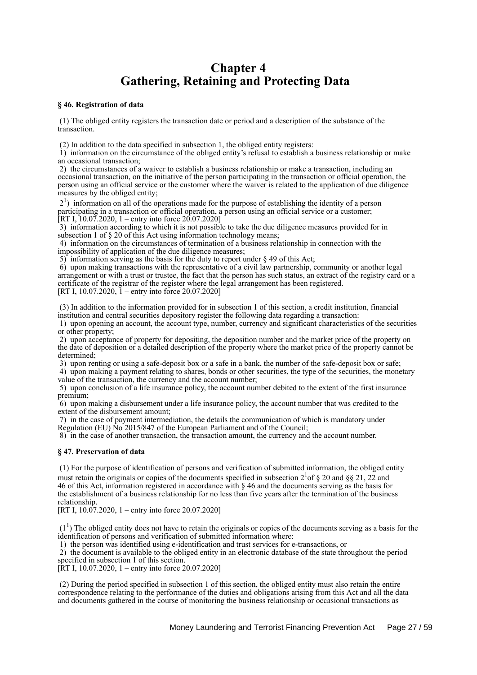# **Chapter 4 Gathering, Retaining and Protecting Data**

### **§ 46. Registration of data**

 (1) The obliged entity registers the transaction date or period and a description of the substance of the transaction.

(2) In addition to the data specified in subsection 1, the obliged entity registers:

 1) information on the circumstance of the obliged entity's refusal to establish a business relationship or make an occasional transaction;

 2) the circumstances of a waiver to establish a business relationship or make a transaction, including an occasional transaction, on the initiative of the person participating in the transaction or official operation, the person using an official service or the customer where the waiver is related to the application of due diligence measures by the obliged entity;

 21 ) information on all of the operations made for the purpose of establishing the identity of a person participating in a transaction or official operation, a person using an official service or a customer; [RT I, 10.07.2020, 1 – entry into force 20.07.2020]

 3) information according to which it is not possible to take the due diligence measures provided for in subsection 1 of § 20 of this Act using information technology means;

 4) information on the circumstances of termination of a business relationship in connection with the impossibility of application of the due diligence measures;

5) information serving as the basis for the duty to report under § 49 of this Act;

 6) upon making transactions with the representative of a civil law partnership, community or another legal arrangement or with a trust or trustee, the fact that the person has such status, an extract of the registry card or a certificate of the registrar of the register where the legal arrangement has been registered. [RT I, 10.07.2020,  $\tilde{1}$  – entry into force 20.07.2020]

 (3) In addition to the information provided for in subsection 1 of this section, a credit institution, financial institution and central securities depository register the following data regarding a transaction:

 1) upon opening an account, the account type, number, currency and significant characteristics of the securities or other property;

 2) upon acceptance of property for depositing, the deposition number and the market price of the property on the date of deposition or a detailed description of the property where the market price of the property cannot be determined;

3) upon renting or using a safe-deposit box or a safe in a bank, the number of the safe-deposit box or safe;

 4) upon making a payment relating to shares, bonds or other securities, the type of the securities, the monetary value of the transaction, the currency and the account number;

 5) upon conclusion of a life insurance policy, the account number debited to the extent of the first insurance premium;

 6) upon making a disbursement under a life insurance policy, the account number that was credited to the extent of the disbursement amount;

 7) in the case of payment intermediation, the details the communication of which is mandatory under Regulation (EU) No 2015/847 of the European Parliament and of the Council;

8) in the case of another transaction, the transaction amount, the currency and the account number.

### **§ 47. Preservation of data**

 (1) For the purpose of identification of persons and verification of submitted information, the obliged entity must retain the originals or copies of the documents specified in subsection  $2^1$  of § 20 and §§ 21, 22 and 46 of this Act, information registered in accordance with § 46 and the documents serving as the basis for the establishment of a business relationship for no less than five years after the termination of the business relationship.

[RT I,  $10.\overline{07}.2020$ ,  $1 -$ entry into force 20.07.2020]

 $(1<sup>1</sup>)$  The obliged entity does not have to retain the originals or copies of the documents serving as a basis for the identification of persons and verification of submitted information where:

1) the person was identified using e-identification and trust services for e-transactions, or

 2) the document is available to the obliged entity in an electronic database of the state throughout the period specified in subsection 1 of this section.

[RT I, 10.07.2020, 1 – entry into force 20.07.2020]

 (2) During the period specified in subsection 1 of this section, the obliged entity must also retain the entire correspondence relating to the performance of the duties and obligations arising from this Act and all the data and documents gathered in the course of monitoring the business relationship or occasional transactions as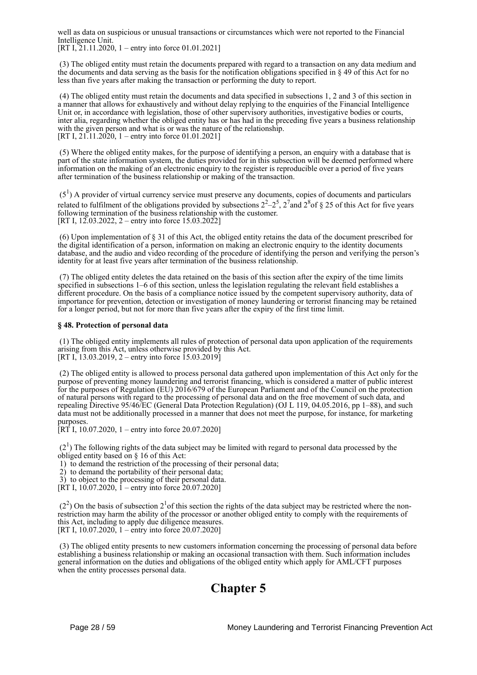well as data on suspicious or unusual transactions or circumstances which were not reported to the Financial Intelligence Unit.

 $[RT I, 21.11.2020, 1 - entry into force 01.01.2021]$ 

 (3) The obliged entity must retain the documents prepared with regard to a transaction on any data medium and the documents and data serving as the basis for the notification obligations specified in § 49 of this Act for no less than five years after making the transaction or performing the duty to report.

 (4) The obliged entity must retain the documents and data specified in subsections 1, 2 and 3 of this section in a manner that allows for exhaustively and without delay replying to the enquiries of the Financial Intelligence Unit or, in accordance with legislation, those of other supervisory authorities, investigative bodies or courts, inter alia, regarding whether the obliged entity has or has had in the preceding five years a business relationship with the given person and what is or was the nature of the relationship. [RT I,  $21.11.2020$ , 1 – entry into force 01.01.2021]

 (5) Where the obliged entity makes, for the purpose of identifying a person, an enquiry with a database that is part of the state information system, the duties provided for in this subsection will be deemed performed where information on the making of an electronic enquiry to the register is reproducible over a period of five years after termination of the business relationship or making of the transaction.

 $(5<sup>1</sup>)$  A provider of virtual currency service must preserve any documents, copies of documents and particulars related to fulfilment of the obligations provided by subsections  $2^2-2^5$ ,  $2^7$  and  $2^8$  of § 25 of this Act for five years following termination of the business relationship with the customer. [RT I, 12.03.2022, 2 – entry into force 15.03.2022]

 (6) Upon implementation of § 31 of this Act, the obliged entity retains the data of the document prescribed for the digital identification of a person, information on making an electronic enquiry to the identity documents database, and the audio and video recording of the procedure of identifying the person and verifying the person's identity for at least five years after termination of the business relationship.

 (7) The obliged entity deletes the data retained on the basis of this section after the expiry of the time limits specified in subsections 1–6 of this section, unless the legislation regulating the relevant field establishes a different procedure. On the basis of a compliance notice issued by the competent supervisory authority, data of importance for prevention, detection or investigation of money laundering or terrorist financing may be retained for a longer period, but not for more than five years after the expiry of the first time limit.

## **§ 48. Protection of personal data**

 (1) The obliged entity implements all rules of protection of personal data upon application of the requirements arising from this Act, unless otherwise provided by this Act. [RT I, 13.03.2019, 2 – entry into force 15.03.2019]

 (2) The obliged entity is allowed to process personal data gathered upon implementation of this Act only for the purpose of preventing money laundering and terrorist financing, which is considered a matter of public interest for the purposes of Regulation (EU) 2016/679 of the European Parliament and of the Council on the protection of natural persons with regard to the processing of personal data and on the free movement of such data, and repealing Directive 95/46/EC (General Data Protection Regulation) (OJ L 119, 04.05.2016, pp 1–88), and such data must not be additionally processed in a manner that does not meet the purpose, for instance, for marketing purposes.

 $[RT I, 10.07.2020, 1 -$  entry into force 20.07.2020]

 $(2<sup>1</sup>)$  The following rights of the data subject may be limited with regard to personal data processed by the obliged entity based on § 16 of this Act:

1) to demand the restriction of the processing of their personal data;

2) to demand the portability of their personal data;

3) to object to the processing of their personal data.

[RT I,  $10.07.2020$ ,  $1 -$ entry into force 20.07.2020]

 $(2<sup>2</sup>)$  On the basis of subsection  $2<sup>1</sup>$  of this section the rights of the data subject may be restricted where the nonrestriction may harm the ability of the processor or another obliged entity to comply with the requirements of this Act, including to apply due diligence measures. [RT I,  $10.07.2020$ ,  $1 -$ entry into force 20.07.2020]

 (3) The obliged entity presents to new customers information concerning the processing of personal data before establishing a business relationship or making an occasional transaction with them. Such information includes general information on the duties and obligations of the obliged entity which apply for AML/CFT purposes when the entity processes personal data.

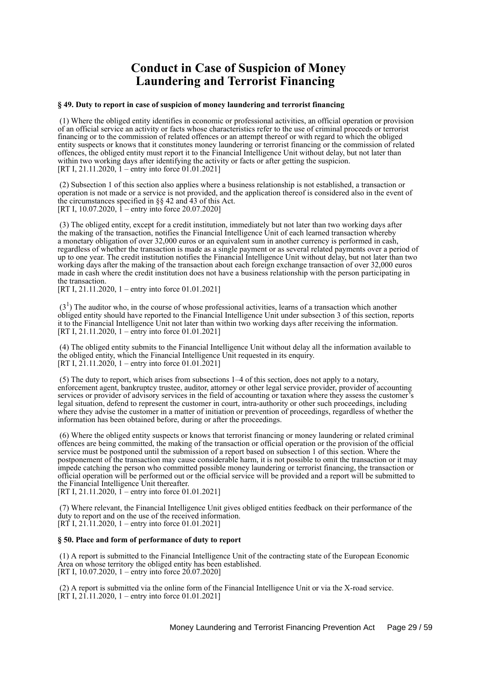# **Conduct in Case of Suspicion of Money Laundering and Terrorist Financing**

### **§ 49. Duty to report in case of suspicion of money laundering and terrorist financing**

 (1) Where the obliged entity identifies in economic or professional activities, an official operation or provision of an official service an activity or facts whose characteristics refer to the use of criminal proceeds or terrorist financing or to the commission of related offences or an attempt thereof or with regard to which the obliged entity suspects or knows that it constitutes money laundering or terrorist financing or the commission of related offences, the obliged entity must report it to the Financial Intelligence Unit without delay, but not later than within two working days after identifying the activity or facts or after getting the suspicion. [RT I, 21.11.2020, 1 – entry into force 01.01.2021]

 (2) Subsection 1 of this section also applies where a business relationship is not established, a transaction or operation is not made or a service is not provided, and the application thereof is considered also in the event of the circumstances specified in §§ 42 and 43 of this Act. [RT I, 10.07.2020,  $\hat{1}$  – entry into force 20.07.2020]

 (3) The obliged entity, except for a credit institution, immediately but not later than two working days after the making of the transaction, notifies the Financial Intelligence Unit of each learned transaction whereby a monetary obligation of over 32,000 euros or an equivalent sum in another currency is performed in cash, regardless of whether the transaction is made as a single payment or as several related payments over a period of up to one year. The credit institution notifies the Financial Intelligence Unit without delay, but not later than two working days after the making of the transaction about each foreign exchange transaction of over 32,000 euros made in cash where the credit institution does not have a business relationship with the person participating in the transaction.

[RT I, 21.11.2020, 1 – entry into force 01.01.2021]

 $(3<sup>1</sup>)$  The auditor who, in the course of whose professional activities, learns of a transaction which another obliged entity should have reported to the Financial Intelligence Unit under subsection 3 of this section, reports it to the Financial Intelligence Unit not later than within two working days after receiving the information. [RT I, 21.11.2020, 1 – entry into force 01.01.2021]

 (4) The obliged entity submits to the Financial Intelligence Unit without delay all the information available to the obliged entity, which the Financial Intelligence Unit requested in its enquiry. [RT I,  $2\overline{1}$ .11.2020, 1 – entry into force 01.01.2021]

 (5) The duty to report, which arises from subsections 1–4 of this section, does not apply to a notary, enforcement agent, bankruptcy trustee, auditor, attorney or other legal service provider, provider of accounting services or provider of advisory services in the field of accounting or taxation where they assess the customer's legal situation, defend to represent the customer in court, intra-authority or other such proceedings, including where they advise the customer in a matter of initiation or prevention of proceedings, regardless of whether the information has been obtained before, during or after the proceedings.

 (6) Where the obliged entity suspects or knows that terrorist financing or money laundering or related criminal offences are being committed, the making of the transaction or official operation or the provision of the official service must be postponed until the submission of a report based on subsection 1 of this section. Where the postponement of the transaction may cause considerable harm, it is not possible to omit the transaction or it may impede catching the person who committed possible money laundering or terrorist financing, the transaction or official operation will be performed out or the official service will be provided and a report will be submitted to the Financial Intelligence Unit thereafter.

[RT I, 21.11.2020, 1 – entry into force 01.01.2021]

 (7) Where relevant, the Financial Intelligence Unit gives obliged entities feedback on their performance of the duty to report and on the use of the received information. [RT I, 21.11.2020, 1 – entry into force 01.01.2021]

### **§ 50. Place and form of performance of duty to report**

 (1) A report is submitted to the Financial Intelligence Unit of the contracting state of the European Economic Area on whose territory the obliged entity has been established. [RT I, 10.07.2020, 1 – entry into force 20.07.2020]

 (2) A report is submitted via the online form of the Financial Intelligence Unit or via the X-road service. [RT I,  $21.11.2020$ , 1 – entry into force 01.01.2021]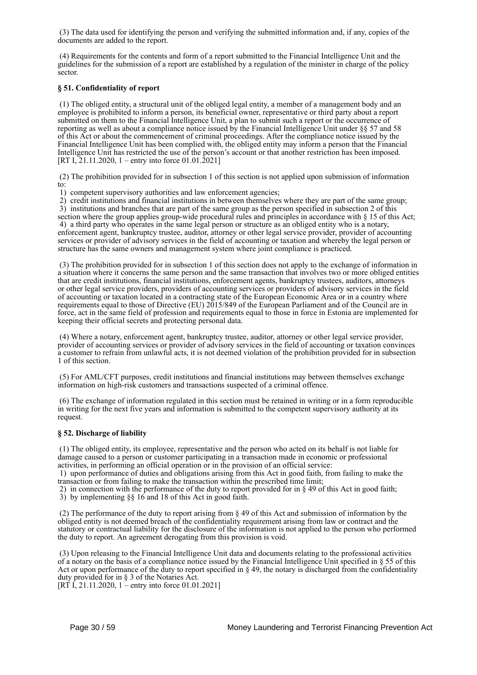(3) The data used for identifying the person and verifying the submitted information and, if any, copies of the documents are added to the report.

 (4) Requirements for the contents and form of a report submitted to the Financial Intelligence Unit and the guidelines for the submission of a report are established by a regulation of the minister in charge of the policy sector.

# **§ 51. Confidentiality of report**

 (1) The obliged entity, a structural unit of the obliged legal entity, a member of a management body and an employee is prohibited to inform a person, its beneficial owner, representative or third party about a report submitted on them to the Financial Intelligence Unit, a plan to submit such a report or the occurrence of reporting as well as about a compliance notice issued by the Financial Intelligence Unit under §§ 57 and 58 of this Act or about the commencement of criminal proceedings. After the compliance notice issued by the Financial Intelligence Unit has been complied with, the obliged entity may inform a person that the Financial Intelligence Unit has restricted the use of the person's account or that another restriction has been imposed. [RT I, 21.11.2020, 1 – entry into force 01.01.2021]

 (2) The prohibition provided for in subsection 1 of this section is not applied upon submission of information to:

1) competent supervisory authorities and law enforcement agencies;

2) credit institutions and financial institutions in between themselves where they are part of the same group;

 3) institutions and branches that are part of the same group as the person specified in subsection 2 of this section where the group applies group-wide procedural rules and principles in accordance with § 15 of this Act; 4) a third party who operates in the same legal person or structure as an obliged entity who is a notary, enforcement agent, bankruptcy trustee, auditor, attorney or other legal service provider, provider of accounting services or provider of advisory services in the field of accounting or taxation and whereby the legal person or structure has the same owners and management system where joint compliance is practiced.

 (3) The prohibition provided for in subsection 1 of this section does not apply to the exchange of information in a situation where it concerns the same person and the same transaction that involves two or more obliged entities that are credit institutions, financial institutions, enforcement agents, bankruptcy trustees, auditors, attorneys or other legal service providers, providers of accounting services or providers of advisory services in the field of accounting or taxation located in a contracting state of the European Economic Area or in a country where requirements equal to those of Directive (EU) 2015/849 of the European Parliament and of the Council are in force, act in the same field of profession and requirements equal to those in force in Estonia are implemented for keeping their official secrets and protecting personal data.

 (4) Where a notary, enforcement agent, bankruptcy trustee, auditor, attorney or other legal service provider, provider of accounting services or provider of advisory services in the field of accounting or taxation convinces a customer to refrain from unlawful acts, it is not deemed violation of the prohibition provided for in subsection 1 of this section.

 (5) For AML/CFT purposes, credit institutions and financial institutions may between themselves exchange information on high-risk customers and transactions suspected of a criminal offence.

 (6) The exchange of information regulated in this section must be retained in writing or in a form reproducible in writing for the next five years and information is submitted to the competent supervisory authority at its request.

# **§ 52. Discharge of liability**

 (1) The obliged entity, its employee, representative and the person who acted on its behalf is not liable for damage caused to a person or customer participating in a transaction made in economic or professional activities, in performing an official operation or in the provision of an official service:

 1) upon performance of duties and obligations arising from this Act in good faith, from failing to make the transaction or from failing to make the transaction within the prescribed time limit;

2) in connection with the performance of the duty to report provided for in  $\S$  49 of this Act in good faith;

3) by implementing §§ 16 and 18 of this Act in good faith.

 (2) The performance of the duty to report arising from § 49 of this Act and submission of information by the obliged entity is not deemed breach of the confidentiality requirement arising from law or contract and the statutory or contractual liability for the disclosure of the information is not applied to the person who performed the duty to report. An agreement derogating from this provision is void.

 (3) Upon releasing to the Financial Intelligence Unit data and documents relating to the professional activities of a notary on the basis of a compliance notice issued by the Financial Intelligence Unit specified in  $\S 55$  of this Act or upon performance of the duty to report specified in  $\S$  49, the notary is discharged from the confidentiality duty provided for in § 3 of the Notaries Act.

 $[RT\ I, 21.11.2020, 1 -$  entry into force 01.01.2021]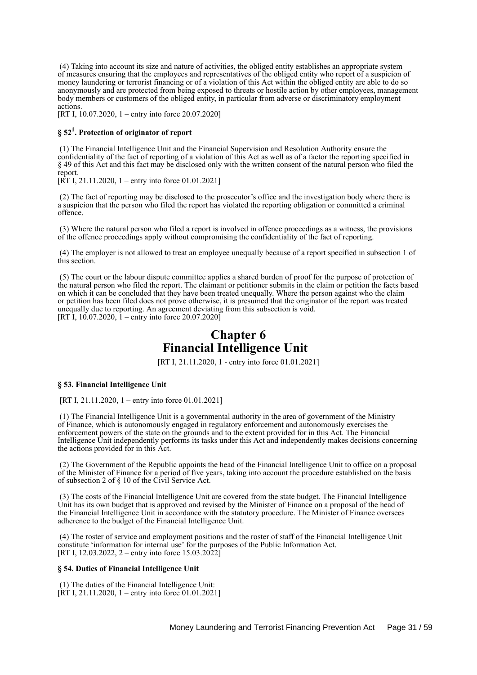(4) Taking into account its size and nature of activities, the obliged entity establishes an appropriate system of measures ensuring that the employees and representatives of the obliged entity who report of a suspicion of money laundering or terrorist financing or of a violation of this Act within the obliged entity are able to do so anonymously and are protected from being exposed to threats or hostile action by other employees, management body members or customers of the obliged entity, in particular from adverse or discriminatory employment actions.

[RT I, 10.07.2020, 1 – entry into force 20.07.2020]

# **§ 52<sup>1</sup> . Protection of originator of report**

 (1) The Financial Intelligence Unit and the Financial Supervision and Resolution Authority ensure the confidentiality of the fact of reporting of a violation of this Act as well as of a factor the reporting specified in § 49 of this Act and this fact may be disclosed only with the written consent of the natural person who filed the report.

 $[\overline{RT} I, 21.11.2020, 1 -$  entry into force 01.01.2021]

 (2) The fact of reporting may be disclosed to the prosecutor's office and the investigation body where there is a suspicion that the person who filed the report has violated the reporting obligation or committed a criminal offence.

 (3) Where the natural person who filed a report is involved in offence proceedings as a witness, the provisions of the offence proceedings apply without compromising the confidentiality of the fact of reporting.

 (4) The employer is not allowed to treat an employee unequally because of a report specified in subsection 1 of this section.

 (5) The court or the labour dispute committee applies a shared burden of proof for the purpose of protection of the natural person who filed the report. The claimant or petitioner submits in the claim or petition the facts based on which it can be concluded that they have been treated unequally. Where the person against who the claim or petition has been filed does not prove otherwise, it is presumed that the originator of the report was treated unequally due to reporting. An agreement deviating from this subsection is void. [RT I,  $10.07.2020$ , I – entry into force  $20.07.2020$ ]

# **Chapter 6 Financial Intelligence Unit**

[RT I, 21.11.2020, 1 - entry into force 01.01.2021]

#### **§ 53. Financial Intelligence Unit**

[RT I, 21.11.2020, 1 – entry into force 01.01.2021]

 (1) The Financial Intelligence Unit is a governmental authority in the area of government of the Ministry of Finance, which is autonomously engaged in regulatory enforcement and autonomously exercises the enforcement powers of the state on the grounds and to the extent provided for in this Act. The Financial Intelligence Unit independently performs its tasks under this Act and independently makes decisions concerning the actions provided for in this Act.

 (2) The Government of the Republic appoints the head of the Financial Intelligence Unit to office on a proposal of the Minister of Finance for a period of five years, taking into account the procedure established on the basis of subsection 2 of § 10 of the Civil Service Act.

 (3) The costs of the Financial Intelligence Unit are covered from the state budget. The Financial Intelligence Unit has its own budget that is approved and revised by the Minister of Finance on a proposal of the head of the Financial Intelligence Unit in accordance with the statutory procedure. The Minister of Finance oversees adherence to the budget of the Financial Intelligence Unit.

 (4) The roster of service and employment positions and the roster of staff of the Financial Intelligence Unit constitute 'information for internal use' for the purposes of the Public Information Act. [RT I, 12.03.2022, 2 – entry into force 15.03.2022]

#### **§ 54. Duties of Financial Intelligence Unit**

 (1) The duties of the Financial Intelligence Unit:  $[\overline{RT} I, 21.11.2020, 1 -$  entry into force 01.01.2021]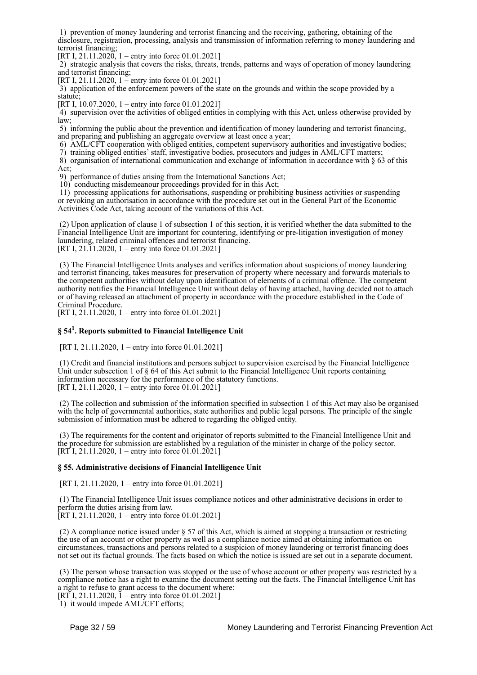1) prevention of money laundering and terrorist financing and the receiving, gathering, obtaining of the disclosure, registration, processing, analysis and transmission of information referring to money laundering and terrorist financing;

[RT I,  $21.11.2020$ , 1 – entry into force 01.01.2021]

 2) strategic analysis that covers the risks, threats, trends, patterns and ways of operation of money laundering and terrorist financing;

[RT I, 21.11.2020, 1 – entry into force 01.01.2021]

 3) application of the enforcement powers of the state on the grounds and within the scope provided by a statute;

[RT I, 10.07.2020, 1 – entry into force 01.01.2021]

 4) supervision over the activities of obliged entities in complying with this Act, unless otherwise provided by law;

 5) informing the public about the prevention and identification of money laundering and terrorist financing, and preparing and publishing an aggregate overview at least once a year;

6) AML/CFT cooperation with obliged entities, competent supervisory authorities and investigative bodies;

7) training obliged entities' staff, investigative bodies, prosecutors and judges in AML/CFT matters;

 8) organisation of international communication and exchange of information in accordance with § 63 of this Act;

9) performance of duties arising from the International Sanctions Act;

10) conducting misdemeanour proceedings provided for in this Act;

 11) processing applications for authorisations, suspending or prohibiting business activities or suspending or revoking an authorisation in accordance with the procedure set out in the General Part of the Economic Activities Code Act, taking account of the variations of this Act.

 (2) Upon application of clause 1 of subsection 1 of this section, it is verified whether the data submitted to the Financial Intelligence Unit are important for countering, identifying or pre-litigation investigation of money laundering, related criminal offences and terrorist financing. [RT I, 21.11.2020, 1 – entry into force 01.01.2021]

 (3) The Financial Intelligence Units analyses and verifies information about suspicions of money laundering and terrorist financing, takes measures for preservation of property where necessary and forwards materials to the competent authorities without delay upon identification of elements of a criminal offence. The competent authority notifies the Financial Intelligence Unit without delay of having attached, having decided not to attach or of having released an attachment of property in accordance with the procedure established in the Code of Criminal Procedure.

[RT I, 21.11.2020, 1 – entry into force 01.01.2021]

# **§ 54<sup>1</sup> . Reports submitted to Financial Intelligence Unit**

[RT I, 21.11.2020, 1 – entry into force 01.01.2021]

 (1) Credit and financial institutions and persons subject to supervision exercised by the Financial Intelligence Unit under subsection 1 of § 64 of this Act submit to the Financial Intelligence Unit reports containing information necessary for the performance of the statutory functions. [RT I, 21.11.2020, 1 – entry into force 01.01.2021]

 (2) The collection and submission of the information specified in subsection 1 of this Act may also be organised with the help of governmental authorities, state authorities and public legal persons. The principle of the single submission of information must be adhered to regarding the obliged entity.

 (3) The requirements for the content and originator of reports submitted to the Financial Intelligence Unit and the procedure for submission are established by a regulation of the minister in charge of the policy sector. [RT I, 21.11.2020, 1 – entry into force 01.01.2021]

### **§ 55. Administrative decisions of Financial Intelligence Unit**

[RT I, 21.11.2020, 1 – entry into force 01.01.2021]

 (1) The Financial Intelligence Unit issues compliance notices and other administrative decisions in order to perform the duties arising from law.

 $[RT I, 21.11.2020, 1 - entry into force 01.01.2021]$ 

 (2) A compliance notice issued under § 57 of this Act, which is aimed at stopping a transaction or restricting the use of an account or other property as well as a compliance notice aimed at obtaining information on circumstances, transactions and persons related to a suspicion of money laundering or terrorist financing does not set out its factual grounds. The facts based on which the notice is issued are set out in a separate document.

 (3) The person whose transaction was stopped or the use of whose account or other property was restricted by a compliance notice has a right to examine the document setting out the facts. The Financial Intelligence Unit has a right to refuse to grant access to the document where:

[RT I, 21.11.2020,  $\bar{1}$  – entry into force 01.01.2021]

1) it would impede AML/CFT efforts;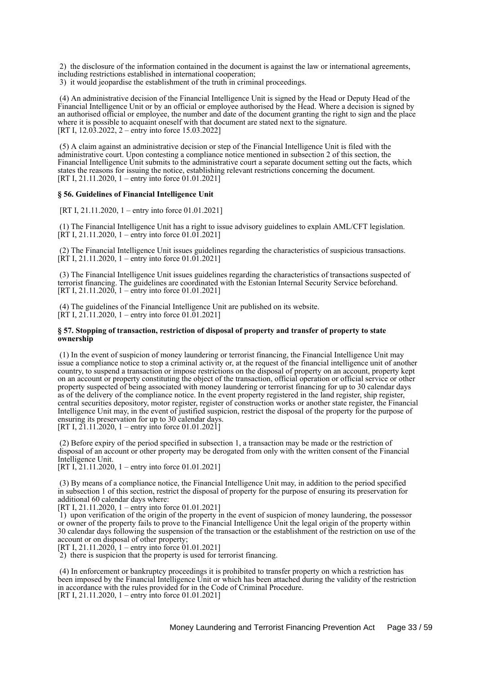2) the disclosure of the information contained in the document is against the law or international agreements, including restrictions established in international cooperation;

3) it would jeopardise the establishment of the truth in criminal proceedings.

 (4) An administrative decision of the Financial Intelligence Unit is signed by the Head or Deputy Head of the Financial Intelligence Unit or by an official or employee authorised by the Head. Where a decision is signed by an authorised official or employee, the number and date of the document granting the right to sign and the place where it is possible to acquaint oneself with that document are stated next to the signature. [RT I, 12.03.2022, 2 – entry into force 15.03.2022]

 (5) A claim against an administrative decision or step of the Financial Intelligence Unit is filed with the administrative court. Upon contesting a compliance notice mentioned in subsection 2 of this section, the Financial Intelligence Unit submits to the administrative court a separate document setting out the facts, which states the reasons for issuing the notice, establishing relevant restrictions concerning the document. [RT I, 21.11.2020, 1 – entry into force 01.01.2021]

#### **§ 56. Guidelines of Financial Intelligence Unit**

[RT I, 21.11.2020, 1 – entry into force 01.01.2021]

 (1) The Financial Intelligence Unit has a right to issue advisory guidelines to explain AML/CFT legislation.  $[\hat{R} \hat{T} I, 21.11.2020, 1 -$  entry into force 01.01.2021]

 (2) The Financial Intelligence Unit issues guidelines regarding the characteristics of suspicious transactions.  $[\hat{R} \hat{T} I, 21.11.2020, 1 -$  entry into force 01.01.2021]

 (3) The Financial Intelligence Unit issues guidelines regarding the characteristics of transactions suspected of terrorist financing. The guidelines are coordinated with the Estonian Internal Security Service beforehand. [RT I, 21.11.2020, 1 – entry into force 01.01.2021]

 (4) The guidelines of the Financial Intelligence Unit are published on its website.  $[\hat{R}T I, 21.11.2020, 1 - entry into force 01.01.2021]$ 

### **§ 57. Stopping of transaction, restriction of disposal of property and transfer of property to state ownership**

 (1) In the event of suspicion of money laundering or terrorist financing, the Financial Intelligence Unit may issue a compliance notice to stop a criminal activity or, at the request of the financial intelligence unit of another country, to suspend a transaction or impose restrictions on the disposal of property on an account, property kept on an account or property constituting the object of the transaction, official operation or official service or other property suspected of being associated with money laundering or terrorist financing for up to 30 calendar days as of the delivery of the compliance notice. In the event property registered in the land register, ship register, central securities depository, motor register, register of construction works or another state register, the Financial Intelligence Unit may, in the event of justified suspicion, restrict the disposal of the property for the purpose of ensuring its preservation for up to 30 calendar days. [RT I,  $21.11.2020$ , 1 – entry into force  $01.01.2021$ ]

 (2) Before expiry of the period specified in subsection 1, a transaction may be made or the restriction of disposal of an account or other property may be derogated from only with the written consent of the Financial Intelligence Unit.

[RT I, 21.11.2020, 1 – entry into force 01.01.2021]

 (3) By means of a compliance notice, the Financial Intelligence Unit may, in addition to the period specified in subsection 1 of this section, restrict the disposal of property for the purpose of ensuring its preservation for additional 60 calendar days where:

[RT I, 21.11.2020, 1 – entry into force 01.01.2021]

 1) upon verification of the origin of the property in the event of suspicion of money laundering, the possessor or owner of the property fails to prove to the Financial Intelligence Unit the legal origin of the property within 30 calendar days following the suspension of the transaction or the establishment of the restriction on use of the account or on disposal of other property;

[RT I, 21.11.2020, 1 – entry into force  $01.01.2021$ ]

2) there is suspicion that the property is used for terrorist financing.

 (4) In enforcement or bankruptcy proceedings it is prohibited to transfer property on which a restriction has been imposed by the Financial Intelligence Unit or which has been attached during the validity of the restriction in accordance with the rules provided for in the Code of Criminal Procedure. [RT I, 21.11.2020, 1 – entry into force 01.01.2021]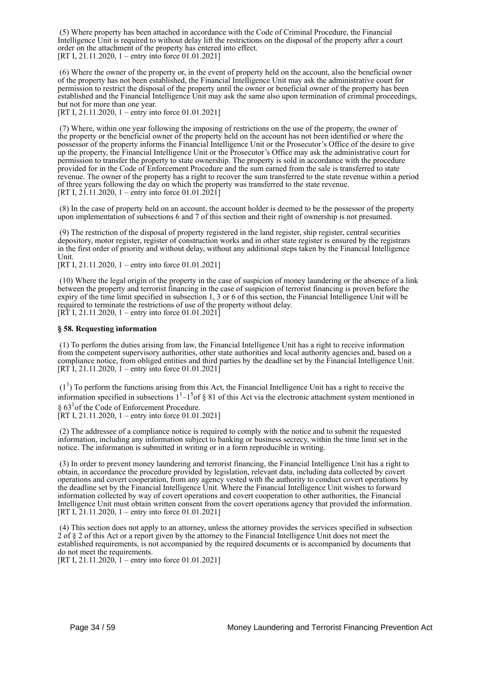(5) Where property has been attached in accordance with the Code of Criminal Procedure, the Financial Intelligence Unit is required to without delay lift the restrictions on the disposal of the property after a court order on the attachment of the property has entered into effect. [RT I, 21.11.2020, 1 – entry into force 01.01.2021]

 (6) Where the owner of the property or, in the event of property held on the account, also the beneficial owner of the property has not been established, the Financial Intelligence Unit may ask the administrative court for permission to restrict the disposal of the property until the owner or beneficial owner of the property has been established and the Financial Intelligence Unit may ask the same also upon termination of criminal proceedings, but not for more than one year.

[RT I, 21.11.2020, 1 – entry into force 01.01.2021]

 (7) Where, within one year following the imposing of restrictions on the use of the property, the owner of the property or the beneficial owner of the property held on the account has not been identified or where the possessor of the property informs the Financial Intelligence Unit or the Prosecutor's Office of the desire to give up the property, the Financial Intelligence Unit or the Prosecutor's Office may ask the administrative court for permission to transfer the property to state ownership. The property is sold in accordance with the procedure provided for in the Code of Enforcement Procedure and the sum earned from the sale is transferred to state revenue. The owner of the property has a right to recover the sum transferred to the state revenue within a period of three years following the day on which the property was transferred to the state revenue. [RT I, 21.11.2020, 1 – entry into force 01.01.2021]

 (8) In the case of property held on an account, the account holder is deemed to be the possessor of the property upon implementation of subsections 6 and 7 of this section and their right of ownership is not presumed.

 (9) The restriction of the disposal of property registered in the land register, ship register, central securities depository, motor register, register of construction works and in other state register is ensured by the registrars in the first order of priority and without delay, without any additional steps taken by the Financial Intelligence Unit.

[RT I, 21.11.2020, 1 – entry into force 01.01.2021]

 (10) Where the legal origin of the property in the case of suspicion of money laundering or the absence of a link between the property and terrorist financing in the case of suspicion of terrorist financing is proven before the expiry of the time limit specified in subsection 1, 3 or 6 of this section, the Financial Intelligence Unit will be required to terminate the restrictions of use of the property without delay. [RT I, 21.11.2020, 1 – entry into force 01.01.2021]

### **§ 58. Requesting information**

 (1) To perform the duties arising from law, the Financial Intelligence Unit has a right to receive information from the competent supervisory authorities, other state authorities and local authority agencies and, based on a compliance notice, from obliged entities and third parties by the deadline set by the Financial Intelligence Unit.  $[RT\overline{1}, 21.11.2020, 1 -$  entry into force 01.01.2021]

 $(1<sup>1</sup>)$  To perform the functions arising from this Act, the Financial Intelligence Unit has a right to receive the information specified in subsections  $1^1$ – $1^5$ of § 81 of this Act via the electronic attachment system mentioned in  $\S 63<sup>1</sup>$  of the Code of Enforcement Procedure.

[RT I, 21.11.2020, 1 – entry into force 01.01.2021]

 (2) The addressee of a compliance notice is required to comply with the notice and to submit the requested information, including any information subject to banking or business secrecy, within the time limit set in the notice. The information is submitted in writing or in a form reproducible in writing.

 (3) In order to prevent money laundering and terrorist financing, the Financial Intelligence Unit has a right to obtain, in accordance the procedure provided by legislation, relevant data, including data collected by covert operations and covert cooperation, from any agency vested with the authority to conduct covert operations by the deadline set by the Financial Intelligence Unit. Where the Financial Intelligence Unit wishes to forward information collected by way of covert operations and covert cooperation to other authorities, the Financial Intelligence Unit must obtain written consent from the covert operations agency that provided the information. [RT I, 21.11.2020, 1 – entry into force 01.01.2021]

 (4) This section does not apply to an attorney, unless the attorney provides the services specified in subsection 2 of § 2 of this Act or a report given by the attorney to the Financial Intelligence Unit does not meet the established requirements, is not accompanied by the required documents or is accompanied by documents that do not meet the requirements.

[RT I, 21.11.2020,  $1 -$ entry into force 01.01.2021]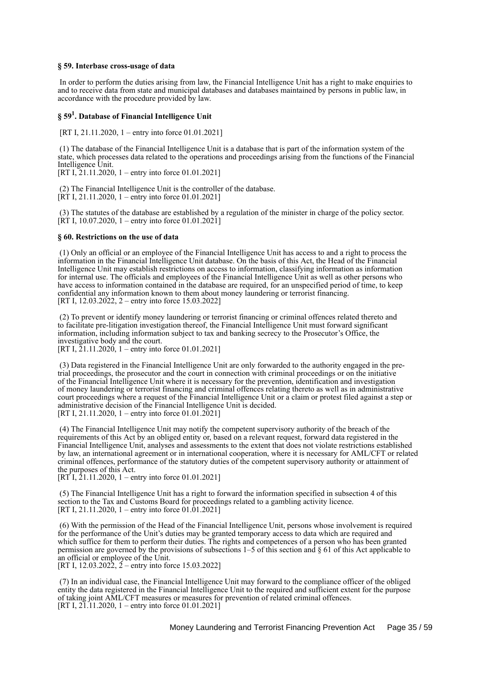#### **§ 59. Interbase cross-usage of data**

 In order to perform the duties arising from law, the Financial Intelligence Unit has a right to make enquiries to and to receive data from state and municipal databases and databases maintained by persons in public law, in accordance with the procedure provided by law.

# **§ 59<sup>1</sup> . Database of Financial Intelligence Unit**

[RT I, 21.11.2020, 1 – entry into force 01.01.2021]

 (1) The database of the Financial Intelligence Unit is a database that is part of the information system of the state, which processes data related to the operations and proceedings arising from the functions of the Financial Intelligence Unit

[RT I, 21.11.2020, 1 – entry into force 01.01.2021]

 (2) The Financial Intelligence Unit is the controller of the database.  $[\hat{RT} I, 21.11.2020, 1 - entry into force 01.01.2021]$ 

 (3) The statutes of the database are established by a regulation of the minister in charge of the policy sector. [RT I, 10.07.2020, 1 – entry into force 01.01.2021]

#### **§ 60. Restrictions on the use of data**

 (1) Only an official or an employee of the Financial Intelligence Unit has access to and a right to process the information in the Financial Intelligence Unit database. On the basis of this Act, the Head of the Financial Intelligence Unit may establish restrictions on access to information, classifying information as information for internal use. The officials and employees of the Financial Intelligence Unit as well as other persons who have access to information contained in the database are required, for an unspecified period of time, to keep confidential any information known to them about money laundering or terrorist financing. [RT I, 12.03.2022, 2 – entry into force 15.03.2022]

 (2) To prevent or identify money laundering or terrorist financing or criminal offences related thereto and to facilitate pre-litigation investigation thereof, the Financial Intelligence Unit must forward significant information, including information subject to tax and banking secrecy to the Prosecutor's Office, the investigative body and the court.

[RT I,  $21.11.2020$ , 1 – entry into force 01.01.2021]

 (3) Data registered in the Financial Intelligence Unit are only forwarded to the authority engaged in the pretrial proceedings, the prosecutor and the court in connection with criminal proceedings or on the initiative of the Financial Intelligence Unit where it is necessary for the prevention, identification and investigation of money laundering or terrorist financing and criminal offences relating thereto as well as in administrative court proceedings where a request of the Financial Intelligence Unit or a claim or protest filed against a step or administrative decision of the Financial Intelligence Unit is decided. [RT I, 21.11.2020, 1 – entry into force 01.01.2021]

 (4) The Financial Intelligence Unit may notify the competent supervisory authority of the breach of the requirements of this Act by an obliged entity or, based on a relevant request, forward data registered in the Financial Intelligence Unit, analyses and assessments to the extent that does not violate restrictions established by law, an international agreement or in international cooperation, where it is necessary for AML/CFT or related criminal offences, performance of the statutory duties of the competent supervisory authority or attainment of the purposes of this Act.

 $[RT<sup>†</sup> I, 21.11.2020, 1 - entry into force 01.01.2021]$ 

 (5) The Financial Intelligence Unit has a right to forward the information specified in subsection 4 of this section to the Tax and Customs Board for proceedings related to a gambling activity licence. [RT I, 21.11.2020, 1 – entry into force 01.01.2021]

 (6) With the permission of the Head of the Financial Intelligence Unit, persons whose involvement is required for the performance of the Unit's duties may be granted temporary access to data which are required and which suffice for them to perform their duties. The rights and competences of a person who has been granted permission are governed by the provisions of subsections 1–5 of this section and § 61 of this Act applicable to an official or employee of the Unit.

[RT I, 12.03.2022,  $2 -$  entry into force 15.03.2022]

 (7) In an individual case, the Financial Intelligence Unit may forward to the compliance officer of the obliged entity the data registered in the Financial Intelligence Unit to the required and sufficient extent for the purpose of taking joint AML/CFT measures or measures for prevention of related criminal offences. [RT I,  $21.11.2020$ , 1 – entry into force 01.01.2021]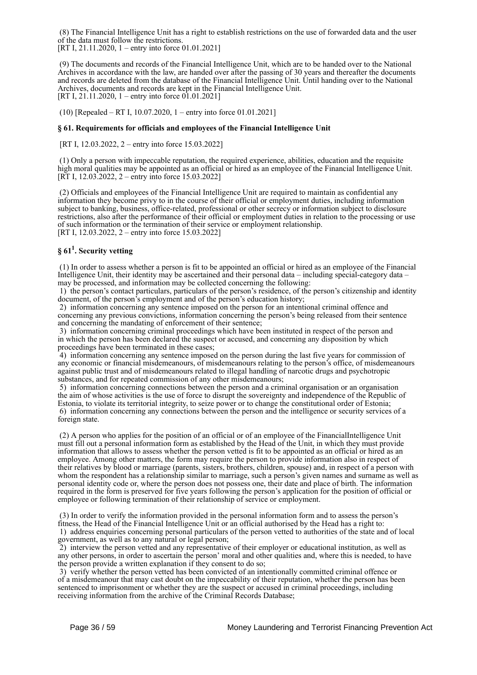(8) The Financial Intelligence Unit has a right to establish restrictions on the use of forwarded data and the user of the data must follow the restrictions.

[RT I, 21.11.2020, 1 – entry into force 01.01.2021]

 (9) The documents and records of the Financial Intelligence Unit, which are to be handed over to the National Archives in accordance with the law, are handed over after the passing of 30 years and thereafter the documents and records are deleted from the database of the Financial Intelligence Unit. Until handing over to the National Archives, documents and records are kept in the Financial Intelligence Unit. [RT I, 21.11.2020, 1 – entry into force  $01.01.2021$ ]

(10) [Repealed – RT I, 10.07.2020, 1 – entry into force 01.01.2021]

## **§ 61. Requirements for officials and employees of the Financial Intelligence Unit**

[RT I, 12.03.2022, 2 – entry into force 15.03.2022]

 (1) Only a person with impeccable reputation, the required experience, abilities, education and the requisite high moral qualities may be appointed as an official or hired as an employee of the Financial Intelligence Unit. [RT I, 12.03.2022, 2 – entry into force 15.03.2022]

 (2) Officials and employees of the Financial Intelligence Unit are required to maintain as confidential any information they become privy to in the course of their official or employment duties, including information subject to banking, business, office-related, professional or other secrecy or information subject to disclosure restrictions, also after the performance of their official or employment duties in relation to the processing or use of such information or the termination of their service or employment relationship. [RT I, 12.03.2022, 2 – entry into force 15.03.2022]

# **§ 61<sup>1</sup> . Security vetting**

 (1) In order to assess whether a person is fit to be appointed an official or hired as an employee of the Financial Intelligence Unit, their identity may be ascertained and their personal data – including special-category data – may be processed, and information may be collected concerning the following:

 1) the person's contact particulars, particulars of the person's residence, of the person's citizenship and identity document, of the person's employment and of the person's education history;

 2) information concerning any sentence imposed on the person for an intentional criminal offence and concerning any previous convictions, information concerning the person's being released from their sentence and concerning the mandating of enforcement of their sentence;

 3) information concerning criminal proceedings which have been instituted in respect of the person and in which the person has been declared the suspect or accused, and concerning any disposition by which proceedings have been terminated in these cases;

4) information concerning any sentence imposed on the person during the last five years for commission of any economic or financial misdemeanours, of misdemeanours relating to the person's office, of misdemeanours against public trust and of misdemeanours related to illegal handling of narcotic drugs and psychotropic substances, and for repeated commission of any other misdemeanours;

 5) information concerning connections between the person and a criminal organisation or an organisation the aim of whose activities is the use of force to disrupt the sovereignty and independence of the Republic of Estonia, to violate its territorial integrity, to seize power or to change the constitutional order of Estonia; 6) information concerning any connections between the person and the intelligence or security services of a foreign state.

 (2) A person who applies for the position of an official or of an employee of the FinancialIntelligence Unit must fill out a personal information form as established by the Head of the Unit, in which they must provide information that allows to assess whether the person vetted is fit to be appointed as an official or hired as an employee. Among other matters, the form may require the person to provide information also in respect of their relatives by blood or marriage (parents, sisters, brothers, children, spouse) and, in respect of a person with whom the respondent has a relationship similar to marriage, such a person's given names and surname as well as personal identity code or, where the person does not possess one, their date and place of birth. The information required in the form is preserved for five years following the person's application for the position of official or employee or following termination of their relationship of service or employment.

 (3) In order to verify the information provided in the personal information form and to assess the person's fitness, the Head of the Financial Intelligence Unit or an official authorised by the Head has a right to: 1) address enquiries concerning personal particulars of the person vetted to authorities of the state and of local government, as well as to any natural or legal person;

 2) interview the person vetted and any representative of their employer or educational institution, as well as any other persons, in order to ascertain the person' moral and other qualities and, where this is needed, to have the person provide a written explanation if they consent to do so;

 3) verify whether the person vetted has been convicted of an intentionally committed criminal offence or of a misdemeanour that may cast doubt on the impeccability of their reputation, whether the person has been sentenced to imprisonment or whether they are the suspect or accused in criminal proceedings, including receiving information from the archive of the Criminal Records Database;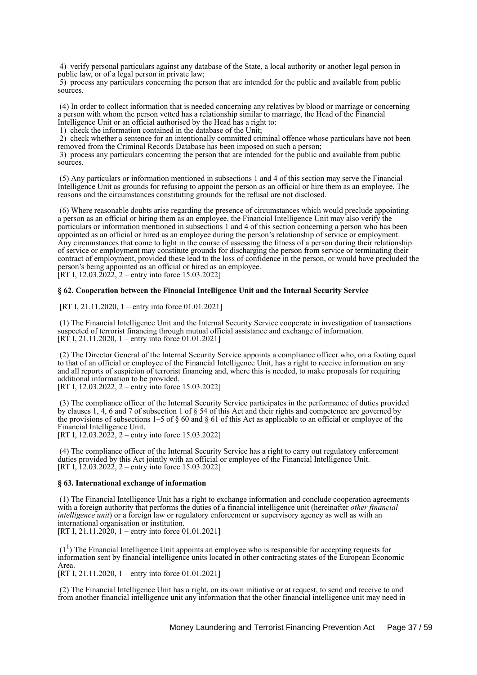4) verify personal particulars against any database of the State, a local authority or another legal person in public law, or of a legal person in private law;

 5) process any particulars concerning the person that are intended for the public and available from public sources.

 (4) In order to collect information that is needed concerning any relatives by blood or marriage or concerning a person with whom the person vetted has a relationship similar to marriage, the Head of the Financial Intelligence Unit or an official authorised by the Head has a right to:

1) check the information contained in the database of the Unit;

 2) check whether a sentence for an intentionally committed criminal offence whose particulars have not been removed from the Criminal Records Database has been imposed on such a person;

 3) process any particulars concerning the person that are intended for the public and available from public sources.

 (5) Any particulars or information mentioned in subsections 1 and 4 of this section may serve the Financial Intelligence Unit as grounds for refusing to appoint the person as an official or hire them as an employee. The reasons and the circumstances constituting grounds for the refusal are not disclosed.

 (6) Where reasonable doubts arise regarding the presence of circumstances which would preclude appointing a person as an official or hiring them as an employee, the Financial Intelligence Unit may also verify the particulars or information mentioned in subsections 1 and 4 of this section concerning a person who has been appointed as an official or hired as an employee during the person's relationship of service or employment. Any circumstances that come to light in the course of assessing the fitness of a person during their relationship of service or employment may constitute grounds for discharging the person from service or terminating their contract of employment, provided these lead to the loss of confidence in the person, or would have precluded the person's being appointed as an official or hired as an employee. [RT I, 12.03.2022, 2 – entry into force 15.03.2022]

## **§ 62. Cooperation between the Financial Intelligence Unit and the Internal Security Service**

[RT I, 21.11.2020, 1 – entry into force 01.01.2021]

 (1) The Financial Intelligence Unit and the Internal Security Service cooperate in investigation of transactions suspected of terrorist financing through mutual official assistance and exchange of information. [RT I, 21.11.2020, 1 – entry into force 01.01.2021]

 (2) The Director General of the Internal Security Service appoints a compliance officer who, on a footing equal to that of an official or employee of the Financial Intelligence Unit, has a right to receive information on any and all reports of suspicion of terrorist financing and, where this is needed, to make proposals for requiring additional information to be provided.

[RT I, 12.03.2022, 2 – entry into force 15.03.2022]

 (3) The compliance officer of the Internal Security Service participates in the performance of duties provided by clauses 1, 4, 6 and 7 of subsection 1 of § 54 of this Act and their rights and competence are governed by the provisions of subsections 1–5 of § 60 and § 61 of this Act as applicable to an official or employee of the Financial Intelligence Unit. [RT I, 12.03.2022, 2 – entry into force 15.03.2022]

 (4) The compliance officer of the Internal Security Service has a right to carry out regulatory enforcement duties provided by this Act jointly with an official or employee of the Financial Intelligence Unit. [RT I, 12.03.2022, 2 – entry into force 15.03.2022]

### **§ 63. International exchange of information**

 (1) The Financial Intelligence Unit has a right to exchange information and conclude cooperation agreements with a foreign authority that performs the duties of a financial intelligence unit (hereinafter *other financial intelligence unit*) or a foreign law or regulatory enforcement or supervisory agency as well as with an international organisation or institution. [RT I, 21.11.2020, 1 – entry into force 01.01.2021]

 $(1<sup>1</sup>)$  The Financial Intelligence Unit appoints an employee who is responsible for accepting requests for information sent by financial intelligence units located in other contracting states of the European Economic Area.

[RT I, 21.11.2020, 1 – entry into force 01.01.2021]

 (2) The Financial Intelligence Unit has a right, on its own initiative or at request, to send and receive to and from another financial intelligence unit any information that the other financial intelligence unit may need in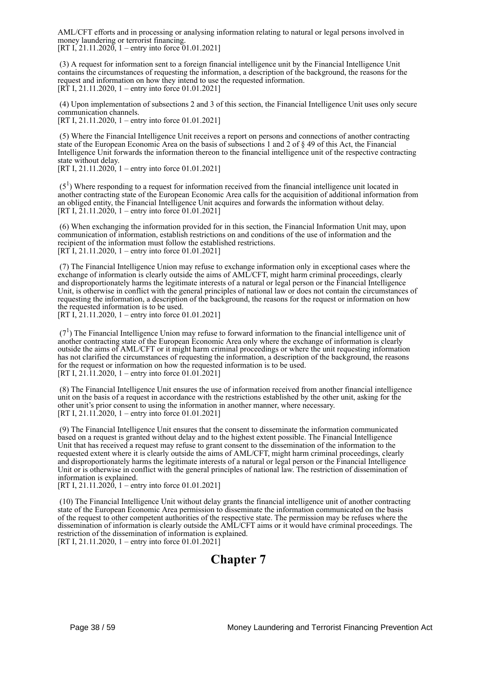AML/CFT efforts and in processing or analysing information relating to natural or legal persons involved in money laundering or terrorist financing. [RT I, 21.11.2020, 1 – entry into force 01.01.2021]

 (3) A request for information sent to a foreign financial intelligence unit by the Financial Intelligence Unit contains the circumstances of requesting the information, a description of the background, the reasons for the request and information on how they intend to use the requested information. [RT I, 21.11.2020, 1 – entry into force 01.01.2021]

 (4) Upon implementation of subsections 2 and 3 of this section, the Financial Intelligence Unit uses only secure communication channels.

[RT I, 21.11.2020, 1 – entry into force 01.01.2021]

 (5) Where the Financial Intelligence Unit receives a report on persons and connections of another contracting state of the European Economic Area on the basis of subsections 1 and 2 of § 49 of this Act, the Financial Intelligence Unit forwards the information thereon to the financial intelligence unit of the respective contracting state without delay.

[RT I, 21.11.2020, 1 – entry into force 01.01.2021]

 $(5<sup>1</sup>)$  Where responding to a request for information received from the financial intelligence unit located in another contracting state of the European Economic Area calls for the acquisition of additional information from an obliged entity, the Financial Intelligence Unit acquires and forwards the information without delay. [RT I, 21.11.2020, 1 – entry into force 01.01.2021]

 (6) When exchanging the information provided for in this section, the Financial Information Unit may, upon communication of information, establish restrictions on and conditions of the use of information and the recipient of the information must follow the established restrictions. [RT I, 21.11.2020, 1 – entry into force 01.01.2021]

 (7) The Financial Intelligence Union may refuse to exchange information only in exceptional cases where the exchange of information is clearly outside the aims of AML/CFT, might harm criminal proceedings, clearly and disproportionately harms the legitimate interests of a natural or legal person or the Financial Intelligence Unit, is otherwise in conflict with the general principles of national law or does not contain the circumstances of requesting the information, a description of the background, the reasons for the request or information on how the requested information is to be used.

[RT I, 21.11.2020, 1 – entry into force 01.01.2021]

 $(7<sup>1</sup>)$  The Financial Intelligence Union may refuse to forward information to the financial intelligence unit of another contracting state of the European Economic Area only where the exchange of information is clearly outside the aims of AML/CFT or it might harm criminal proceedings or where the unit requesting information has not clarified the circumstances of requesting the information, a description of the background, the reasons for the request or information on how the requested information is to be used. [RT I, 21.11.2020, 1 – entry into force 01.01.2021]

 (8) The Financial Intelligence Unit ensures the use of information received from another financial intelligence unit on the basis of a request in accordance with the restrictions established by the other unit, asking for the other unit's prior consent to using the information in another manner, where necessary. [RT I, 21.11.2020, 1 – entry into force 01.01.2021]

 (9) The Financial Intelligence Unit ensures that the consent to disseminate the information communicated based on a request is granted without delay and to the highest extent possible. The Financial Intelligence Unit that has received a request may refuse to grant consent to the dissemination of the information to the requested extent where it is clearly outside the aims of AML/CFT, might harm criminal proceedings, clearly and disproportionately harms the legitimate interests of a natural or legal person or the Financial Intelligence Unit or is otherwise in conflict with the general principles of national law. The restriction of dissemination of information is explained.

[RT I, 21.11.2020, 1 – entry into force 01.01.2021]

 (10) The Financial Intelligence Unit without delay grants the financial intelligence unit of another contracting state of the European Economic Area permission to disseminate the information communicated on the basis of the request to other competent authorities of the respective state. The permission may be refuses where the dissemination of information is clearly outside the AML/CFT aims or it would have criminal proceedings. The restriction of the dissemination of information is explained. [RT I, 21.11.2020, 1 – entry into force 01.01.2021]

# **Chapter 7**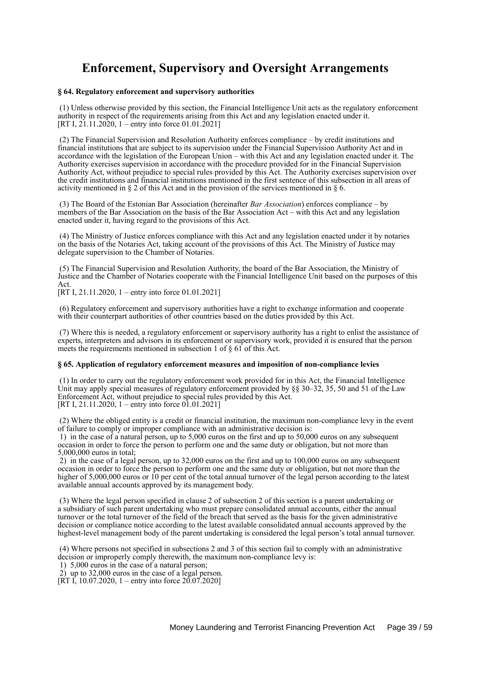# **Enforcement, Supervisory and Oversight Arrangements**

#### **§ 64. Regulatory enforcement and supervisory authorities**

 (1) Unless otherwise provided by this section, the Financial Intelligence Unit acts as the regulatory enforcement authority in respect of the requirements arising from this Act and any legislation enacted under it. [RT I, 21.11.2020, 1 – entry into force 01.01.2021]

 (2) The Financial Supervision and Resolution Authority enforces compliance – by credit institutions and financial institutions that are subject to its supervision under the Financial Supervision Authority Act and in accordance with the legislation of the European Union – with this Act and any legislation enacted under it. The Authority exercises supervision in accordance with the procedure provided for in the Financial Supervision Authority Act, without prejudice to special rules provided by this Act. The Authority exercises supervision over the credit institutions and financial institutions mentioned in the first sentence of this subsection in all areas of activity mentioned in § 2 of this Act and in the provision of the services mentioned in § 6.

 (3) The Board of the Estonian Bar Association (hereinafter *Bar Association*) enforces compliance – by members of the Bar Association on the basis of the Bar Association Act – with this Act and any legislation enacted under it, having regard to the provisions of this Act.

 (4) The Ministry of Justice enforces compliance with this Act and any legislation enacted under it by notaries on the basis of the Notaries Act, taking account of the provisions of this Act. The Ministry of Justice may delegate supervision to the Chamber of Notaries.

 (5) The Financial Supervision and Resolution Authority, the board of the Bar Association, the Ministry of Justice and the Chamber of Notaries cooperate with the Financial Intelligence Unit based on the purposes of this Act.

[RT I, 21.11.2020, 1 – entry into force 01.01.2021]

 (6) Regulatory enforcement and supervisory authorities have a right to exchange information and cooperate with their counterpart authorities of other countries based on the duties provided by this Act.

 (7) Where this is needed, a regulatory enforcement or supervisory authority has a right to enlist the assistance of experts, interpreters and advisors in its enforcement or supervisory work, provided it is ensured that the person meets the requirements mentioned in subsection 1 of § 61 of this Act.

#### **§ 65. Application of regulatory enforcement measures and imposition of non-compliance levies**

 (1) In order to carry out the regulatory enforcement work provided for in this Act, the Financial Intelligence Unit may apply special measures of regulatory enforcement provided by §§ 30–32, 35, 50 and 51 of the Law Enforcement Act, without prejudice to special rules provided by this Act. [RT I, 21.11.2020, 1 – entry into force 01.01.2021]

 (2) Where the obliged entity is a credit or financial institution, the maximum non-compliance levy in the event of failure to comply or improper compliance with an administrative decision is:

 1) in the case of a natural person, up to 5,000 euros on the first and up to 50,000 euros on any subsequent occasion in order to force the person to perform one and the same duty or obligation, but not more than 5,000,000 euros in total;

 2) in the case of a legal person, up to 32,000 euros on the first and up to 100,000 euros on any subsequent occasion in order to force the person to perform one and the same duty or obligation, but not more than the higher of 5,000,000 euros or 10 per cent of the total annual turnover of the legal person according to the latest available annual accounts approved by its management body.

 (3) Where the legal person specified in clause 2 of subsection 2 of this section is a parent undertaking or a subsidiary of such parent undertaking who must prepare consolidated annual accounts, either the annual turnover or the total turnover of the field of the breach that served as the basis for the given administrative decision or compliance notice according to the latest available consolidated annual accounts approved by the highest-level management body of the parent undertaking is considered the legal person's total annual turnover.

 (4) Where persons not specified in subsections 2 and 3 of this section fail to comply with an administrative decision or improperly comply therewith, the maximum non-compliance levy is:

1) 5,000 euros in the case of a natural person;

2) up to 32,000 euros in the case of a legal person.

[RT I, 10.07.2020, 1 – entry into force  $20.07.2020$ ]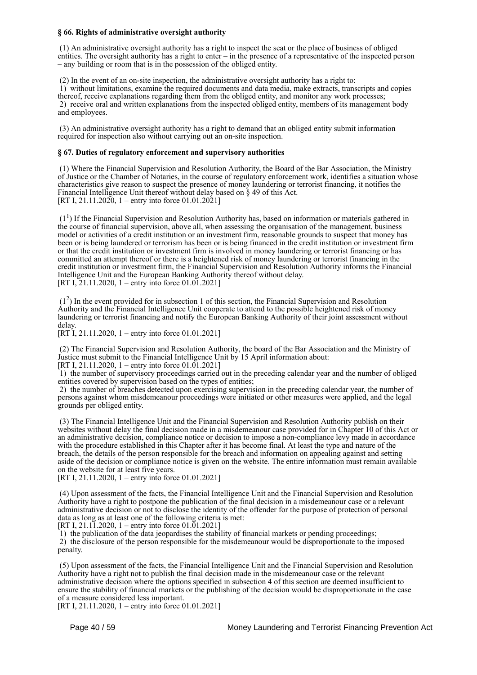## **§ 66. Rights of administrative oversight authority**

 (1) An administrative oversight authority has a right to inspect the seat or the place of business of obliged entities. The oversight authority has a right to enter – in the presence of a representative of the inspected person – any building or room that is in the possession of the obliged entity.

(2) In the event of an on-site inspection, the administrative oversight authority has a right to:

 1) without limitations, examine the required documents and data media, make extracts, transcripts and copies thereof, receive explanations regarding them from the obliged entity, and monitor any work processes; 2) receive oral and written explanations from the inspected obliged entity, members of its management body and employees.

 (3) An administrative oversight authority has a right to demand that an obliged entity submit information required for inspection also without carrying out an on-site inspection.

### **§ 67. Duties of regulatory enforcement and supervisory authorities**

 (1) Where the Financial Supervision and Resolution Authority, the Board of the Bar Association, the Ministry of Justice or the Chamber of Notaries, in the course of regulatory enforcement work, identifies a situation whose characteristics give reason to suspect the presence of money laundering or terrorist financing, it notifies the Financial Intelligence Unit thereof without delay based on § 49 of this Act. [RT I, 21.11.2020, 1 – entry into force 01.01.2021]

 (1<sup>1</sup> ) If the Financial Supervision and Resolution Authority has, based on information or materials gathered in the course of financial supervision, above all, when assessing the organisation of the management, business model or activities of a credit institution or an investment firm, reasonable grounds to suspect that money has been or is being laundered or terrorism has been or is being financed in the credit institution or investment firm or that the credit institution or investment firm is involved in money laundering or terrorist financing or has committed an attempt thereof or there is a heightened risk of money laundering or terrorist financing in the credit institution or investment firm, the Financial Supervision and Resolution Authority informs the Financial Intelligence Unit and the European Banking Authority thereof without delay. [RT I, 21.11.2020, 1 – entry into force 01.01.2021]

 (1<sup>2</sup> ) In the event provided for in subsection 1 of this section, the Financial Supervision and Resolution Authority and the Financial Intelligence Unit cooperate to attend to the possible heightened risk of money laundering or terrorist financing and notify the European Banking Authority of their joint assessment without delay.

[RT I, 21.11.2020, 1 – entry into force 01.01.2021]

 (2) The Financial Supervision and Resolution Authority, the board of the Bar Association and the Ministry of Justice must submit to the Financial Intelligence Unit by 15 April information about: [RT I, 21.11.2020, 1 – entry into force 01.01.2021]

 1) the number of supervisory proceedings carried out in the preceding calendar year and the number of obliged entities covered by supervision based on the types of entities;

 2) the number of breaches detected upon exercising supervision in the preceding calendar year, the number of persons against whom misdemeanour proceedings were initiated or other measures were applied, and the legal grounds per obliged entity.

 (3) The Financial Intelligence Unit and the Financial Supervision and Resolution Authority publish on their websites without delay the final decision made in a misdemeanour case provided for in Chapter 10 of this Act or an administrative decision, compliance notice or decision to impose a non-compliance levy made in accordance with the procedure established in this Chapter after it has become final. At least the type and nature of the breach, the details of the person responsible for the breach and information on appealing against and setting aside of the decision or compliance notice is given on the website. The entire information must remain available on the website for at least five years.

[RT I, 21.11.2020, 1 – entry into force 01.01.2021]

 (4) Upon assessment of the facts, the Financial Intelligence Unit and the Financial Supervision and Resolution Authority have a right to postpone the publication of the final decision in a misdemeanour case or a relevant administrative decision or not to disclose the identity of the offender for the purpose of protection of personal data as long as at least one of the following criteria is met:

[RT I, 21.11.2020, 1 – entry into force 01.01.2021]

 1) the publication of the data jeopardises the stability of financial markets or pending proceedings; 2) the disclosure of the person responsible for the misdemeanour would be disproportionate to the imposed penalty.

 (5) Upon assessment of the facts, the Financial Intelligence Unit and the Financial Supervision and Resolution Authority have a right not to publish the final decision made in the misdemeanour case or the relevant administrative decision where the options specified in subsection 4 of this section are deemed insufficient to ensure the stability of financial markets or the publishing of the decision would be disproportionate in the case of a measure considered less important.

[RT I, 21.11.2020, 1 – entry into force 01.01.2021]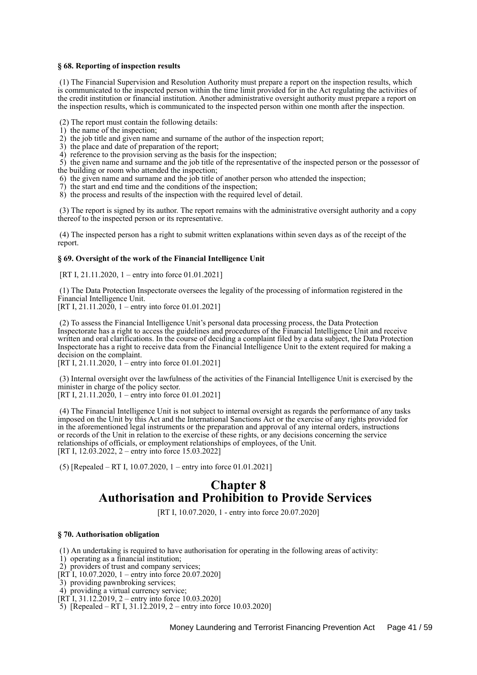### **§ 68. Reporting of inspection results**

 (1) The Financial Supervision and Resolution Authority must prepare a report on the inspection results, which is communicated to the inspected person within the time limit provided for in the Act regulating the activities of the credit institution or financial institution. Another administrative oversight authority must prepare a report on the inspection results, which is communicated to the inspected person within one month after the inspection.

(2) The report must contain the following details:

- 1) the name of the inspection;
- 2) the job title and given name and surname of the author of the inspection report;
- 3) the place and date of preparation of the report;
- 4) reference to the provision serving as the basis for the inspection;
- 5) the given name and surname and the job title of the representative of the inspected person or the possessor of the building or room who attended the inspection;
- 6) the given name and surname and the job title of another person who attended the inspection;
- 7) the start and end time and the conditions of the inspection;
- 8) the process and results of the inspection with the required level of detail.

 (3) The report is signed by its author. The report remains with the administrative oversight authority and a copy thereof to the inspected person or its representative.

 (4) The inspected person has a right to submit written explanations within seven days as of the receipt of the report.

## **§ 69. Oversight of the work of the Financial Intelligence Unit**

[RT I, 21.11.2020, 1 – entry into force 01.01.2021]

 (1) The Data Protection Inspectorate oversees the legality of the processing of information registered in the Financial Intelligence Unit.

[RT I,  $21.11.2020$ , 1 – entry into force 01.01.2021]

 (2) To assess the Financial Intelligence Unit's personal data processing process, the Data Protection Inspectorate has a right to access the guidelines and procedures of the Financial Intelligence Unit and receive written and oral clarifications. In the course of deciding a complaint filed by a data subject, the Data Protection Inspectorate has a right to receive data from the Financial Intelligence Unit to the extent required for making a decision on the complaint.

[RT I, 21.11.2020, 1<sup>-</sup> – entry into force 01.01.2021]

 (3) Internal oversight over the lawfulness of the activities of the Financial Intelligence Unit is exercised by the minister in charge of the policy sector.

[RT I,  $21.11.2020$ , 1 – entry into force 01.01.2021]

 (4) The Financial Intelligence Unit is not subject to internal oversight as regards the performance of any tasks imposed on the Unit by this Act and the International Sanctions Act or the exercise of any rights provided for in the aforementioned legal instruments or the preparation and approval of any internal orders, instructions or records of the Unit in relation to the exercise of these rights, or any decisions concerning the service relationships of officials, or employment relationships of employees, of the Unit. [RT I, 12.03.2022, 2 – entry into force 15.03.2022]

(5) [Repealed – RT I, 10.07.2020, 1 – entry into force 01.01.2021]

# **Chapter 8 Authorisation and Prohibition to Provide Services**

[RT I, 10.07.2020, 1 - entry into force 20.07.2020]

### **§ 70. Authorisation obligation**

(1) An undertaking is required to have authorisation for operating in the following areas of activity:

- 1) operating as a financial institution;
- 2) providers of trust and company services;
- [RT I, 10.07.2020, 1 entry into force 20.07.2020]
- 3) providing pawnbroking services;
- 4) providing a virtual currency service;
- $[\overline{RT} \overline{1}, 31.12.2019, 2 -$  entry into force 10.03.2020]
- 5) [Repealed RT I, 31.12.2019, 2 entry into force 10.03.2020]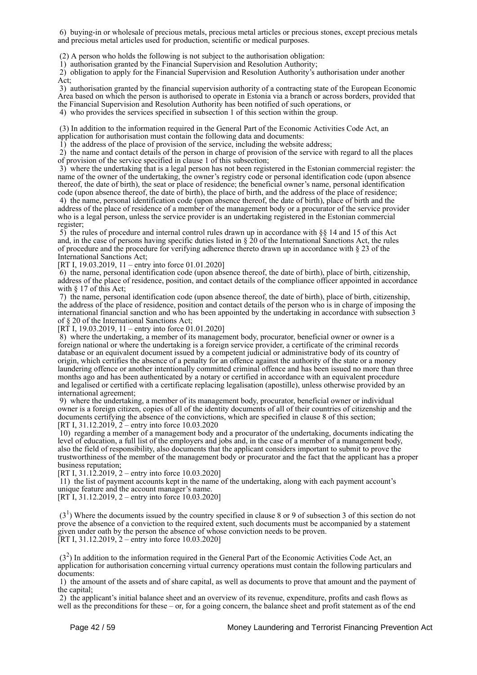6) buying-in or wholesale of precious metals, precious metal articles or precious stones, except precious metals and precious metal articles used for production, scientific or medical purposes.

(2) A person who holds the following is not subject to the authorisation obligation:

1) authorisation granted by the Financial Supervision and Resolution Authority;

 2) obligation to apply for the Financial Supervision and Resolution Authority's authorisation under another Act;

 3) authorisation granted by the financial supervision authority of a contracting state of the European Economic Area based on which the person is authorised to operate in Estonia via a branch or across borders, provided that the Financial Supervision and Resolution Authority has been notified of such operations, or

4) who provides the services specified in subsection 1 of this section within the group.

(3) In addition to the information required in the General Part of the Economic Activities Code Act, an

application for authorisation must contain the following data and documents:

1) the address of the place of provision of the service, including the website address;

 2) the name and contact details of the person in charge of provision of the service with regard to all the places of provision of the service specified in clause 1 of this subsection;

 3) where the undertaking that is a legal person has not been registered in the Estonian commercial register: the name of the owner of the undertaking, the owner's registry code or personal identification code (upon absence thereof, the date of birth), the seat or place of residence; the beneficial owner's name, personal identification code (upon absence thereof, the date of birth), the place of birth, and the address of the place of residence;

 4) the name, personal identification code (upon absence thereof, the date of birth), place of birth and the address of the place of residence of a member of the management body or a procurator of the service provider who is a legal person, unless the service provider is an undertaking registered in the Estonian commercial register;

 $5)$  the rules of procedure and internal control rules drawn up in accordance with  $\S$  14 and 15 of this Act and, in the case of persons having specific duties listed in  $\S$  20 of the International Sanctions Act, the rules of procedure and the procedure for verifying adherence thereto drawn up in accordance with § 23 of the International Sanctions Act;

[RT I, 19.03.2019, 11 – entry into force 01.01.2020]

 6) the name, personal identification code (upon absence thereof, the date of birth), place of birth, citizenship, address of the place of residence, position, and contact details of the compliance officer appointed in accordance with § 17 of this Act;

 7) the name, personal identification code (upon absence thereof, the date of birth), place of birth, citizenship, the address of the place of residence, position and contact details of the person who is in charge of imposing the international financial sanction and who has been appointed by the undertaking in accordance with subsection 3 of § 20 of the International Sanctions Act;

 $[R\ddot{T} I, 19.03.2019, 11 - entry into force 01.01.2020]$ 

 8) where the undertaking, a member of its management body, procurator, beneficial owner or owner is a foreign national or where the undertaking is a foreign service provider, a certificate of the criminal records database or an equivalent document issued by a competent judicial or administrative body of its country of origin, which certifies the absence of a penalty for an offence against the authority of the state or a money laundering offence or another intentionally committed criminal offence and has been issued no more than three months ago and has been authenticated by a notary or certified in accordance with an equivalent procedure and legalised or certified with a certificate replacing legalisation (apostille), unless otherwise provided by an international agreement;

 9) where the undertaking, a member of its management body, procurator, beneficial owner or individual owner is a foreign citizen, copies of all of the identity documents of all of their countries of citizenship and the documents certifying the absence of the convictions, which are specified in clause 8 of this section; [RT I, 31.12.2019,  $2$  – entry into force 10.03.2020

 10) regarding a member of a management body and a procurator of the undertaking, documents indicating the level of education, a full list of the employers and jobs and, in the case of a member of a management body, also the field of responsibility, also documents that the applicant considers important to submit to prove the trustworthiness of the member of the management body or procurator and the fact that the applicant has a proper business reputation;

[RT I, 31.12.2019, 2 – entry into force 10.03.2020]

 11) the list of payment accounts kept in the name of the undertaking, along with each payment account's unique feature and the account manager's name.

[RT I, 31.12.2019, 2 – entry into force 10.03.2020]

 $(3<sup>1</sup>)$  Where the documents issued by the country specified in clause 8 or 9 of subsection 3 of this section do not prove the absence of a conviction to the required extent, such documents must be accompanied by a statement given under oath by the person the absence of whose conviction needs to be proven. [RT I, 31.12.2019,  $2 -$  entry into force 10.03.2020]

 (3<sup>2</sup> ) In addition to the information required in the General Part of the Economic Activities Code Act, an application for authorisation concerning virtual currency operations must contain the following particulars and documents:

 1) the amount of the assets and of share capital, as well as documents to prove that amount and the payment of the capital;

 2) the applicant's initial balance sheet and an overview of its revenue, expenditure, profits and cash flows as well as the preconditions for these – or, for a going concern, the balance sheet and profit statement as of the end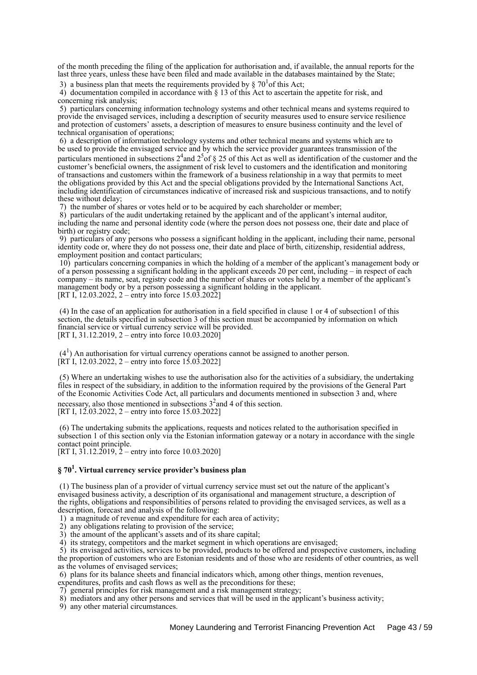of the month preceding the filing of the application for authorisation and, if available, the annual reports for the last three years, unless these have been filed and made available in the databases maintained by the State;

3) a business plan that meets the requirements provided by  $\S 70^{1}$  of this Act;

 4) documentation compiled in accordance with § 13 of this Act to ascertain the appetite for risk, and concerning risk analysis;

 5) particulars concerning information technology systems and other technical means and systems required to provide the envisaged services, including a description of security measures used to ensure service resilience and protection of customers' assets, a description of measures to ensure business continuity and the level of technical organisation of operations;

 6) a description of information technology systems and other technical means and systems which are to be used to provide the envisaged service and by which the service provider guarantees transmission of the

particulars mentioned in subsections  $2^4$  and  $2^5$  of  $\S 25$  of this Act as well as identification of the customer and the customer's beneficial owners, the assignment of risk level to customers and the identification and monitoring of transactions and customers within the framework of a business relationship in a way that permits to meet the obligations provided by this Act and the special obligations provided by the International Sanctions Act, including identification of circumstances indicative of increased risk and suspicious transactions, and to notify these without delay;

7) the number of shares or votes held or to be acquired by each shareholder or member;

 8) particulars of the audit undertaking retained by the applicant and of the applicant's internal auditor, including the name and personal identity code (where the person does not possess one, their date and place of birth) or registry code;

 9) particulars of any persons who possess a significant holding in the applicant, including their name, personal identity code or, where they do not possess one, their date and place of birth, citizenship, residential address, employment position and contact particulars;

 10) particulars concerning companies in which the holding of a member of the applicant's management body or of a person possessing a significant holding in the applicant exceeds 20 per cent, including – in respect of each company – its name, seat, registry code and the number of shares or votes held by a member of the applicant's management body or by a person possessing a significant holding in the applicant. [RT I, 12.03.2022, 2 – entry into force  $15.03.2022$ ]

 (4) In the case of an application for authorisation in a field specified in clause 1 or 4 of subsection1 of this section, the details specified in subsection 3 of this section must be accompanied by information on which financial service or virtual currency service will be provided. [RT I, 31.12.2019, 2 – entry into force 10.03.2020]

 $(4<sup>1</sup>)$  An authorisation for virtual currency operations cannot be assigned to another person. [RT I, 12.03.2022, 2 – entry into force 15.03.2022]

 (5) Where an undertaking wishes to use the authorisation also for the activities of a subsidiary, the undertaking files in respect of the subsidiary, in addition to the information required by the provisions of the General Part of the Economic Activities Code Act, all particulars and documents mentioned in subsection 3 and, where necessary, also those mentioned in subsections  $3<sup>2</sup>$  and 4 of this section. [RT I, 12.03.2022, 2 – entry into force 15.03.2022]

 (6) The undertaking submits the applications, requests and notices related to the authorisation specified in subsection 1 of this section only via the Estonian information gateway or a notary in accordance with the single contact point principle.

[RT I,  $3\overline{1}$ .12.2019,  $\overline{2}$  – entry into force 10.03.2020]

# **§ 70<sup>1</sup> . Virtual currency service provider's business plan**

 (1) The business plan of a provider of virtual currency service must set out the nature of the applicant's envisaged business activity, a description of its organisational and management structure, a description of the rights, obligations and responsibilities of persons related to providing the envisaged services, as well as a description, forecast and analysis of the following:

1) a magnitude of revenue and expenditure for each area of activity;

2) any obligations relating to provision of the service;

3) the amount of the applicant's assets and of its share capital;

4) its strategy, competitors and the market segment in which operations are envisaged;

 5) its envisaged activities, services to be provided, products to be offered and prospective customers, including the proportion of customers who are Estonian residents and of those who are residents of other countries, as well as the volumes of envisaged services;

6) plans for its balance sheets and financial indicators which, among other things, mention revenues,

expenditures, profits and cash flows as well as the preconditions for these;

7) general principles for risk management and a risk management strategy;

8) mediators and any other persons and services that will be used in the applicant's business activity;

9) any other material circumstances.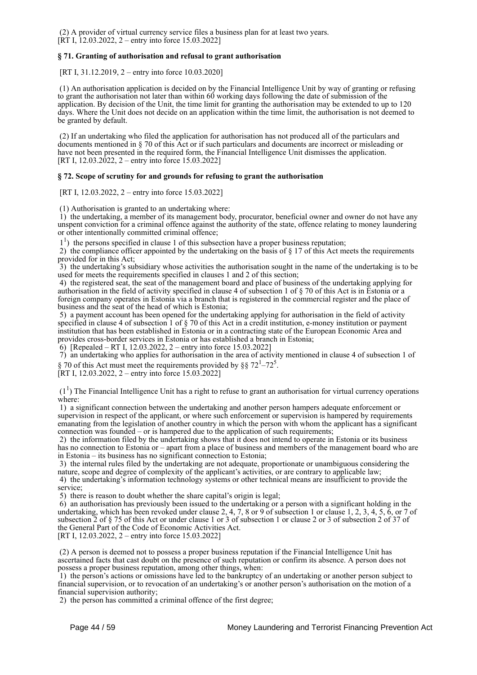(2) A provider of virtual currency service files a business plan for at least two years.  $[\hat{R}T I, 12.03.2022, 2 -$  entry into force 15.03.2022]

# **§ 71. Granting of authorisation and refusal to grant authorisation**

[RT I, 31.12.2019, 2 – entry into force 10.03.2020]

 (1) An authorisation application is decided on by the Financial Intelligence Unit by way of granting or refusing to grant the authorisation not later than within 60 working days following the date of submission of the application. By decision of the Unit, the time limit for granting the authorisation may be extended to up to 120 days. Where the Unit does not decide on an application within the time limit, the authorisation is not deemed to be granted by default.

 (2) If an undertaking who filed the application for authorisation has not produced all of the particulars and documents mentioned in § 70 of this Act or if such particulars and documents are incorrect or misleading or have not been presented in the required form, the Financial Intelligence Unit dismisses the application. [RT I, 12.03.2022, 2 – entry into force 15.03.2022]

## **§ 72. Scope of scrutiny for and grounds for refusing to grant the authorisation**

[RT I, 12.03.2022, 2 – entry into force 15.03.2022]

(1) Authorisation is granted to an undertaking where:

 1) the undertaking, a member of its management body, procurator, beneficial owner and owner do not have any unspent conviction for a criminal offence against the authority of the state, offence relating to money laundering or other intentionally committed criminal offence;

<sup>1</sup>) the persons specified in clause 1 of this subsection have a proper business reputation;

2) the compliance officer appointed by the undertaking on the basis of  $\S 17$  of this Act meets the requirements provided for in this Act;

 3) the undertaking's subsidiary whose activities the authorisation sought in the name of the undertaking is to be used for meets the requirements specified in clauses 1 and 2 of this section;

 4) the registered seat, the seat of the management board and place of business of the undertaking applying for authorisation in the field of activity specified in clause 4 of subsection 1 of § 70 of this Act is in Estonia or a foreign company operates in Estonia via a branch that is registered in the commercial register and the place of business and the seat of the head of which is Estonia;

 5) a payment account has been opened for the undertaking applying for authorisation in the field of activity specified in clause 4 of subsection 1 of § 70 of this Act in a credit institution, e-money institution or payment institution that has been established in Estonia or in a contracting state of the European Economic Area and provides cross-border services in Estonia or has established a branch in Estonia;

6) [Repealed – RT I, 12.03.2022, 2 – entry into force 15.03.2022]

 7) an undertaking who applies for authorisation in the area of activity mentioned in clause 4 of subsection 1 of § 70 of this Act must meet the requirements provided by §§  $72^1 - 72^5$ .

[RT I, 12.03.2022, 2 – entry into force 15.03.2022]

 $(1<sup>1</sup>)$  The Financial Intelligence Unit has a right to refuse to grant an authorisation for virtual currency operations where:

 1) a significant connection between the undertaking and another person hampers adequate enforcement or supervision in respect of the applicant, or where such enforcement or supervision is hampered by requirements emanating from the legislation of another country in which the person with whom the applicant has a significant connection was founded  $-$  or is hampered due to the application of such requirements;

 2) the information filed by the undertaking shows that it does not intend to operate in Estonia or its business has no connection to Estonia or – apart from a place of business and members of the management board who are in Estonia – its business has no significant connection to Estonia;

 3) the internal rules filed by the undertaking are not adequate, proportionate or unambiguous considering the nature, scope and degree of complexity of the applicant's activities, or are contrary to applicable law;

 4) the undertaking's information technology systems or other technical means are insufficient to provide the service;

5) there is reason to doubt whether the share capital's origin is legal;

 6) an authorisation has previously been issued to the undertaking or a person with a significant holding in the undertaking, which has been revoked under clause 2, 4, 7, 8 or 9 of subsection 1 or clause 1, 2, 3, 4, 5, 6, or 7 of subsection 2 of § 75 of this Act or under clause 1 or 3 of subsection 1 or clause 2 or 3 of subsection 2 of 37 of the General Part of the Code of Economic Activities Act.

[RT I, 12.03.2022, 2 – entry into force 15.03.2022]

 (2) A person is deemed not to possess a proper business reputation if the Financial Intelligence Unit has ascertained facts that cast doubt on the presence of such reputation or confirm its absence. A person does not possess a proper business reputation, among other things, when:

 1) the person's actions or omissions have led to the bankruptcy of an undertaking or another person subject to financial supervision, or to revocation of an undertaking's or another person's authorisation on the motion of a financial supervision authority;

2) the person has committed a criminal offence of the first degree;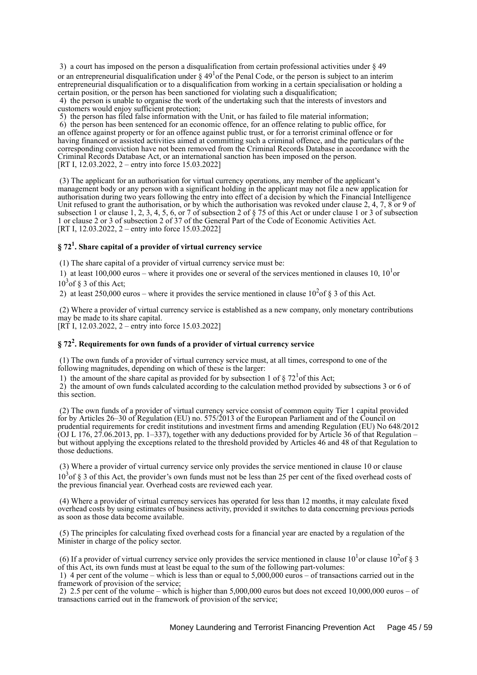3) a court has imposed on the person a disqualification from certain professional activities under § 49 or an entrepreneurial disqualification under  $\S 49<sup>1</sup>$  of the Penal Code, or the person is subject to an interim entrepreneurial disqualification or to a disqualification from working in a certain specialisation or holding a certain position, or the person has been sanctioned for violating such a disqualification;

 4) the person is unable to organise the work of the undertaking such that the interests of investors and customers would enjoy sufficient protection;

5) the person has filed false information with the Unit, or has failed to file material information;

 6) the person has been sentenced for an economic offence, for an offence relating to public office, for an offence against property or for an offence against public trust, or for a terrorist criminal offence or for having financed or assisted activities aimed at committing such a criminal offence, and the particulars of the corresponding conviction have not been removed from the Criminal Records Database in accordance with the Criminal Records Database Act, or an international sanction has been imposed on the person. [RT I, 12.03.2022, 2 – entry into force 15.03.2022]

 (3) The applicant for an authorisation for virtual currency operations, any member of the applicant's management body or any person with a significant holding in the applicant may not file a new application for authorisation during two years following the entry into effect of a decision by which the Financial Intelligence Unit refused to grant the authorisation, or by which the authorisation was revoked under clause 2, 4, 7, 8 or 9 of subsection 1 or clause 1, 2, 3, 4, 5, 6, or 7 of subsection 2 of § 75 of this Act or under clause 1 or 3 of subsection 1 or clause 2 or 3 of subsection 2 of 37 of the General Part of the Code of Economic Activities Act. [RT I, 12.03.2022, 2 – entry into force 15.03.2022]

# **§ 72<sup>1</sup> . Share capital of a provider of virtual currency service**

(1) The share capital of a provider of virtual currency service must be:

1) at least 100,000 euros – where it provides one or several of the services mentioned in clauses 10,  $10<sup>1</sup>$ or  $10<sup>3</sup>$  of § 3 of this Act;

2) at least 250,000 euros – where it provides the service mentioned in clause  $10<sup>2</sup>$ of § 3 of this Act.

 (2) Where a provider of virtual currency service is established as a new company, only monetary contributions may be made to its share capital. [RT I, 12.03.2022, 2 – entry into force 15.03.2022]

# **§ 72<sup>2</sup> . Requirements for own funds of a provider of virtual currency service**

 (1) The own funds of a provider of virtual currency service must, at all times, correspond to one of the following magnitudes, depending on which of these is the larger:

1) the amount of the share capital as provided for by subsection 1 of  $\S 72<sup>1</sup>$  of this Act;

 2) the amount of own funds calculated according to the calculation method provided by subsections 3 or 6 of this section.

 (2) The own funds of a provider of virtual currency service consist of common equity Tier 1 capital provided for by Articles 26–30 of Regulation (EU) no. 575/2013 of the European Parliament and of the Council on prudential requirements for credit institutions and investment firms and amending Regulation (EU) No 648/2012 (OJ L 176, 27.06.2013, pp. 1–337), together with any deductions provided for by Article 36 of that Regulation – but without applying the exceptions related to the threshold provided by Articles 46 and 48 of that Regulation to those deductions.

 (3) Where a provider of virtual currency service only provides the service mentioned in clause 10 or clause 10<sup>3</sup> of § 3 of this Act, the provider's own funds must not be less than 25 per cent of the fixed overhead costs of the previous financial year. Overhead costs are reviewed each year.

 (4) Where a provider of virtual currency services has operated for less than 12 months, it may calculate fixed overhead costs by using estimates of business activity, provided it switches to data concerning previous periods as soon as those data become available.

 (5) The principles for calculating fixed overhead costs for a financial year are enacted by a regulation of the Minister in charge of the policy sector.

(6) If a provider of virtual currency service only provides the service mentioned in clause  $10^1$ or clause  $10^2$ of § 3 of this Act, its own funds must at least be equal to the sum of the following part-volumes:

 1) 4 per cent of the volume – which is less than or equal to 5,000,000 euros – of transactions carried out in the framework of provision of the service;

 2) 2.5 per cent of the volume – which is higher than 5,000,000 euros but does not exceed 10,000,000 euros – of transactions carried out in the framework of provision of the service;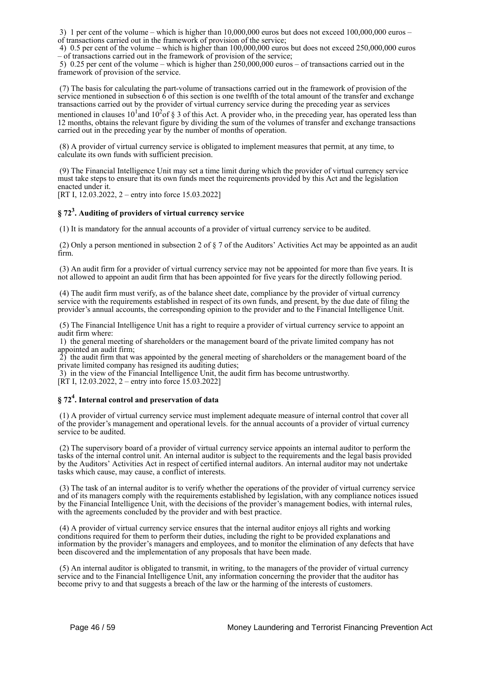3) 1 per cent of the volume – which is higher than  $10,000,000$  euros but does not exceed  $100,000,000$  euros – of transactions carried out in the framework of provision of the service;

 4) 0.5 per cent of the volume – which is higher than 100,000,000 euros but does not exceed 250,000,000 euros – of transactions carried out in the framework of provision of the service;

 5) 0.25 per cent of the volume – which is higher than 250,000,000 euros – of transactions carried out in the framework of provision of the service.

 (7) The basis for calculating the part-volume of transactions carried out in the framework of provision of the service mentioned in subsection  $\dot{6}$  of this section is one twelfth of the total amount of the transfer and exchange transactions carried out by the provider of virtual currency service during the preceding year as services mentioned in clauses  $10^1$  and  $10^2$  of § 3 of this Act. A provider who, in the preceding year, has operated less than 12 months, obtains the relevant figure by dividing the sum of the volumes of transfer and exchange transactions carried out in the preceding year by the number of months of operation.

 (8) A provider of virtual currency service is obligated to implement measures that permit, at any time, to calculate its own funds with sufficient precision.

 (9) The Financial Intelligence Unit may set a time limit during which the provider of virtual currency service must take steps to ensure that its own funds meet the requirements provided by this Act and the legislation enacted under it.

[RT I, 12.03.2022, 2 – entry into force 15.03.2022]

# **§ 72<sup>3</sup> . Auditing of providers of virtual currency service**

(1) It is mandatory for the annual accounts of a provider of virtual currency service to be audited.

 (2) Only a person mentioned in subsection 2 of § 7 of the Auditors' Activities Act may be appointed as an audit firm.

 (3) An audit firm for a provider of virtual currency service may not be appointed for more than five years. It is not allowed to appoint an audit firm that has been appointed for five years for the directly following period.

 (4) The audit firm must verify, as of the balance sheet date, compliance by the provider of virtual currency service with the requirements established in respect of its own funds, and present, by the due date of filing the provider's annual accounts, the corresponding opinion to the provider and to the Financial Intelligence Unit.

 (5) The Financial Intelligence Unit has a right to require a provider of virtual currency service to appoint an audit firm where:

 1) the general meeting of shareholders or the management board of the private limited company has not appointed an audit firm;

 $\hat{2}$ ) the audit firm that was appointed by the general meeting of shareholders or the management board of the private limited company has resigned its auditing duties;

3) in the view of the Financial Intelligence Unit, the audit firm has become untrustworthy.

[RT I, 12.03.2022, 2 – entry into force 15.03.2022]

# **§ 72<sup>4</sup> . Internal control and preservation of data**

 (1) A provider of virtual currency service must implement adequate measure of internal control that cover all of the provider's management and operational levels. for the annual accounts of a provider of virtual currency service to be audited.

 (2) The supervisory board of a provider of virtual currency service appoints an internal auditor to perform the tasks of the internal control unit. An internal auditor is subject to the requirements and the legal basis provided by the Auditors' Activities Act in respect of certified internal auditors. An internal auditor may not undertake tasks which cause, may cause, a conflict of interests.

 (3) The task of an internal auditor is to verify whether the operations of the provider of virtual currency service and of its managers comply with the requirements established by legislation, with any compliance notices issued by the Financial Intelligence Unit, with the decisions of the provider's management bodies, with internal rules, with the agreements concluded by the provider and with best practice.

 (4) A provider of virtual currency service ensures that the internal auditor enjoys all rights and working conditions required for them to perform their duties, including the right to be provided explanations and information by the provider's managers and employees, and to monitor the elimination of any defects that have been discovered and the implementation of any proposals that have been made.

 (5) An internal auditor is obligated to transmit, in writing, to the managers of the provider of virtual currency service and to the Financial Intelligence Unit, any information concerning the provider that the auditor has become privy to and that suggests a breach of the law or the harming of the interests of customers.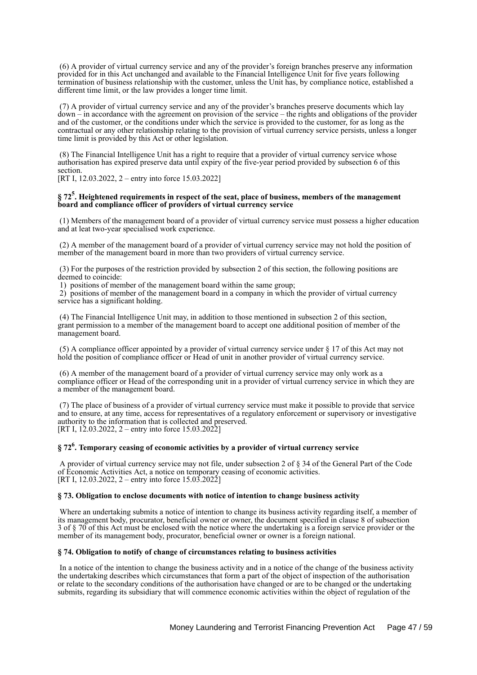(6) A provider of virtual currency service and any of the provider's foreign branches preserve any information provided for in this Act unchanged and available to the Financial Intelligence Unit for five years following termination of business relationship with the customer, unless the Unit has, by compliance notice, established a different time limit, or the law provides a longer time limit.

 (7) A provider of virtual currency service and any of the provider's branches preserve documents which lay down – in accordance with the agreement on provision of the service – the rights and obligations of the provider and of the customer, or the conditions under which the service is provided to the customer, for as long as the contractual or any other relationship relating to the provision of virtual currency service persists, unless a longer time limit is provided by this Act or other legislation.

 (8) The Financial Intelligence Unit has a right to require that a provider of virtual currency service whose authorisation has expired preserve data until expiry of the five-year period provided by subsection 6 of this section.

[RT I, 12,03,2022, 2 – entry into force 15,03,2022]

## **§ 72<sup>5</sup> . Heightened requirements in respect of the seat, place of business, members of the management board and compliance officer of providers of virtual currency service**

 (1) Members of the management board of a provider of virtual currency service must possess a higher education and at leat two-year specialised work experience.

 (2) A member of the management board of a provider of virtual currency service may not hold the position of member of the management board in more than two providers of virtual currency service.

 (3) For the purposes of the restriction provided by subsection 2 of this section, the following positions are deemed to coincide:

1) positions of member of the management board within the same group;

 2) positions of member of the management board in a company in which the provider of virtual currency service has a significant holding.

 (4) The Financial Intelligence Unit may, in addition to those mentioned in subsection 2 of this section, grant permission to a member of the management board to accept one additional position of member of the management board.

 (5) A compliance officer appointed by a provider of virtual currency service under § 17 of this Act may not hold the position of compliance officer or Head of unit in another provider of virtual currency service.

 (6) A member of the management board of a provider of virtual currency service may only work as a compliance officer or Head of the corresponding unit in a provider of virtual currency service in which they are a member of the management board.

 (7) The place of business of a provider of virtual currency service must make it possible to provide that service and to ensure, at any time, access for representatives of a regulatory enforcement or supervisory or investigative authority to the information that is collected and preserved. [RT I, 12.03.2022, 2 – entry into force 15.03.2022]

# **§ 72<sup>6</sup> . Temporary ceasing of economic activities by a provider of virtual currency service**

 A provider of virtual currency service may not file, under subsection 2 of § 34 of the General Part of the Code of Economic Activities Act, a notice on temporary ceasing of economic activities. [RT I, 12.03.2022, 2 – entry into force  $15.03.2022$ ]

# **§ 73. Obligation to enclose documents with notice of intention to change business activity**

 Where an undertaking submits a notice of intention to change its business activity regarding itself, a member of its management body, procurator, beneficial owner or owner, the document specified in clause 8 of subsection 3 of § 70 of this Act must be enclosed with the notice where the undertaking is a foreign service provider or the member of its management body, procurator, beneficial owner or owner is a foreign national.

### **§ 74. Obligation to notify of change of circumstances relating to business activities**

 In a notice of the intention to change the business activity and in a notice of the change of the business activity the undertaking describes which circumstances that form a part of the object of inspection of the authorisation or relate to the secondary conditions of the authorisation have changed or are to be changed or the undertaking submits, regarding its subsidiary that will commence economic activities within the object of regulation of the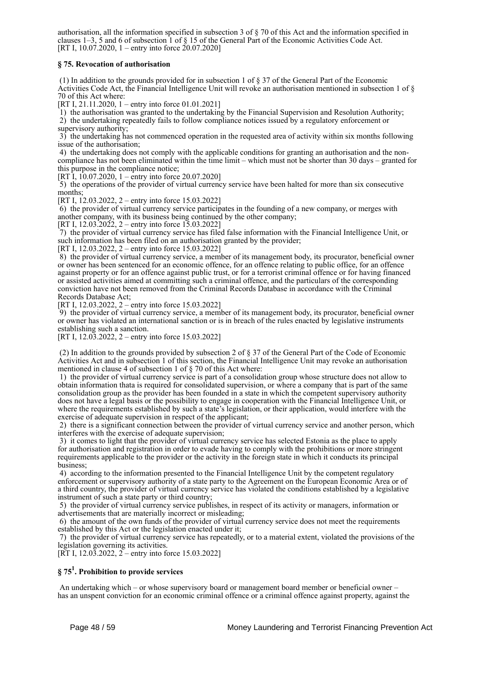authorisation, all the information specified in subsection 3 of § 70 of this Act and the information specified in clauses 1–3, 5 and 6 of subsection 1 of § 15 of the General Part of the Economic Activities Code Act. [RT I, 10.07.2020, 1 – entry into force 20.07.2020]

# **§ 75. Revocation of authorisation**

 (1) In addition to the grounds provided for in subsection 1 of § 37 of the General Part of the Economic Activities Code Act, the Financial Intelligence Unit will revoke an authorisation mentioned in subsection 1 of § 70 of this Act where:

[RT I, 21.11.2020, 1 – entry into force 01.01.2021]

1) the authorisation was granted to the undertaking by the Financial Supervision and Resolution Authority;

 2) the undertaking repeatedly fails to follow compliance notices issued by a regulatory enforcement or supervisory authority;

 3) the undertaking has not commenced operation in the requested area of activity within six months following issue of the authorisation;

 4) the undertaking does not comply with the applicable conditions for granting an authorisation and the noncompliance has not been eliminated within the time limit – which must not be shorter than 30 days – granted for this purpose in the compliance notice;

[RT I, 10.07.2020, 1 – entry into force 20.07.2020]

 5) the operations of the provider of virtual currency service have been halted for more than six consecutive months;

[RT I, 12,03,2022, 2 – entry into force 15,03,2022]

 6) the provider of virtual currency service participates in the founding of a new company, or merges with another company, with its business being continued by the other company;

[RT I, 12.03.2022, 2 – entry into force 15.03.2022]

 7) the provider of virtual currency service has filed false information with the Financial Intelligence Unit, or such information has been filed on an authorisation granted by the provider;

[RT I, 12.03.2022, 2 – entry into force 15.03.2022]

 8) the provider of virtual currency service, a member of its management body, its procurator, beneficial owner or owner has been sentenced for an economic offence, for an offence relating to public office, for an offence against property or for an offence against public trust, or for a terrorist criminal offence or for having financed or assisted activities aimed at committing such a criminal offence, and the particulars of the corresponding conviction have not been removed from the Criminal Records Database in accordance with the Criminal Records Database Act;

[RT I, 12.03.2022, 2 – entry into force 15.03.2022]

 9) the provider of virtual currency service, a member of its management body, its procurator, beneficial owner or owner has violated an international sanction or is in breach of the rules enacted by legislative instruments establishing such a sanction.

[RT I, 12.03.2022, 2 – entry into force 15.03.2022]

 (2) In addition to the grounds provided by subsection 2 of § 37 of the General Part of the Code of Economic Activities Act and in subsection 1 of this section, the Financial Intelligence Unit may revoke an authorisation mentioned in clause 4 of subsection 1 of § 70 of this Act where:

 1) the provider of virtual currency service is part of a consolidation group whose structure does not allow to obtain information thata is required for consolidated supervision, or where a company that is part of the same consolidation group as the provider has been founded in a state in which the competent supervisory authority does not have a legal basis or the possibility to engage in cooperation with the Financial Intelligence Unit, or where the requirements established by such a state's legislation, or their application, would interfere with the exercise of adequate supervision in respect of the applicant;

 2) there is a significant connection between the provider of virtual currency service and another person, which interferes with the exercise of adequate supervision;

 3) it comes to light that the provider of virtual currency service has selected Estonia as the place to apply for authorisation and registration in order to evade having to comply with the prohibitions or more stringent requirements applicable to the provider or the activity in the foreign state in which it conducts its principal business;

 4) according to the information presented to the Financial Intelligence Unit by the competent regulatory enforcement or supervisory authority of a state party to the Agreement on the European Economic Area or of a third country, the provider of virtual currency service has violated the conditions established by a legislative instrument of such a state party or third country;

 5) the provider of virtual currency service publishes, in respect of its activity or managers, information or advertisements that are materially incorrect or misleading;

 6) the amount of the own funds of the provider of virtual currency service does not meet the requirements established by this Act or the legislation enacted under it;

 7) the provider of virtual currency service has repeatedly, or to a material extent, violated the provisions of the legislation governing its activities.

[RT I, 12.03.2022,  $2 -$  entry into force 15.03.2022]

# **§ 75<sup>1</sup> . Prohibition to provide services**

 An undertaking which – or whose supervisory board or management board member or beneficial owner – has an unspent conviction for an economic criminal offence or a criminal offence against property, against the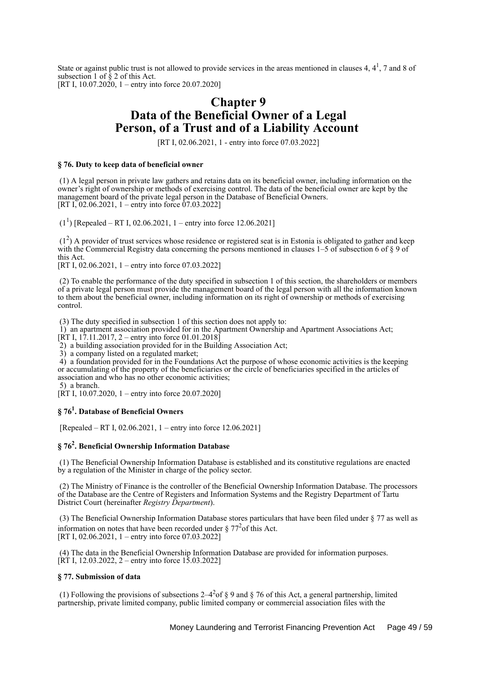State or against public trust is not allowed to provide services in the areas mentioned in clauses 4,  $4<sup>1</sup>$ , 7 and 8 of subsection 1 of § 2 of this Act. [RT I, 10.07.2020, 1 – entry into force 20.07.2020]

# **Chapter 9 Data of the Beneficial Owner of a Legal Person, of a Trust and of a Liability Account**

[RT I, 02.06.2021, 1 - entry into force 07.03.2022]

## **§ 76. Duty to keep data of beneficial owner**

 (1) A legal person in private law gathers and retains data on its beneficial owner, including information on the owner's right of ownership or methods of exercising control. The data of the beneficial owner are kept by the management board of the private legal person in the Database of Beneficial Owners. [RT I, 02.06.2021, 1 – entry into force 07.03.2022]

 $(1^1)$  [Repealed – RT I, 02.06.2021, 1 – entry into force 12.06.2021]

 (1<sup>2</sup> ) A provider of trust services whose residence or registered seat is in Estonia is obligated to gather and keep with the Commercial Registry data concerning the persons mentioned in clauses 1–5 of subsection 6 of § 9 of this Act.

[RT I, 02.06.2021, 1 – entry into force 07.03.2022]

 (2) To enable the performance of the duty specified in subsection 1 of this section, the shareholders or members of a private legal person must provide the management board of the legal person with all the information known to them about the beneficial owner, including information on its right of ownership or methods of exercising control.

(3) The duty specified in subsection 1 of this section does not apply to:

1) an apartment association provided for in the Apartment Ownership and Apartment Associations Act;

 $[\text{RT I}, 17.11.2017, 2 -$  entry into force 01.01.2018]

2) a building association provided for in the Building Association Act;

3) a company listed on a regulated market;

 4) a foundation provided for in the Foundations Act the purpose of whose economic activities is the keeping or accumulating of the property of the beneficiaries or the circle of beneficiaries specified in the articles of association and who has no other economic activities;

5) a branch.

[RT I, 10.07.2020, 1 – entry into force 20.07.2020]

# **§ 76<sup>1</sup> . Database of Beneficial Owners**

[Repealed – RT I, 02.06.2021, 1 – entry into force 12.06.2021]

# **§ 76<sup>2</sup> . Beneficial Ownership Information Database**

 (1) The Beneficial Ownership Information Database is established and its constitutive regulations are enacted by a regulation of the Minister in charge of the policy sector.

 (2) The Ministry of Finance is the controller of the Beneficial Ownership Information Database. The processors of the Database are the Centre of Registers and Information Systems and the Registry Department of Tartu District Court (hereinafter *Registry Department*).

 (3) The Beneficial Ownership Information Database stores particulars that have been filed under § 77 as well as information on notes that have been recorded under  $\S 77<sup>2</sup>$  of this Act. [RT I, 02.06.2021, 1 – entry into force 07.03.2022]

 (4) The data in the Beneficial Ownership Information Database are provided for information purposes.  $[\hat{R}T]$  I, 12.03.2022, 2 – entry into force 15.03.2022]

### **§ 77. Submission of data**

(1) Following the provisions of subsections  $2-4^2$  of § 9 and § 76 of this Act, a general partnership, limited partnership, private limited company, public limited company or commercial association files with the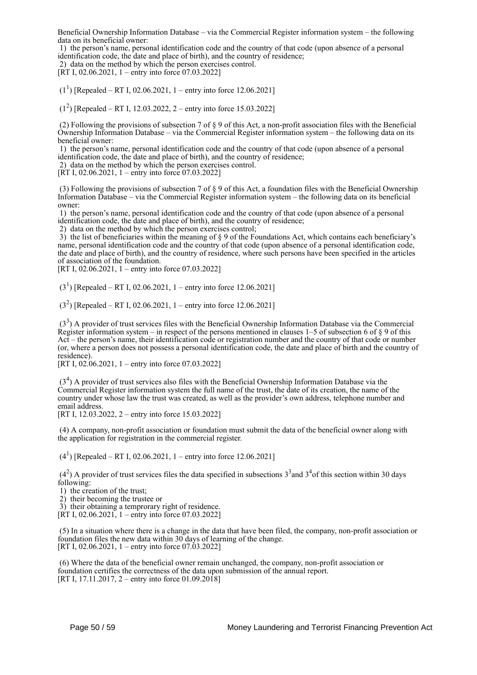Beneficial Ownership Information Database – via the Commercial Register information system – the following data on its beneficial owner:

 1) the person's name, personal identification code and the country of that code (upon absence of a personal identification code, the date and place of birth), and the country of residence;

2) data on the method by which the person exercises control.

[RT I, 02.06.2021, 1 – entry into force 07.03.2022]

 $(1^1)$  [Repealed – RT I, 02.06.2021, 1 – entry into force 12.06.2021]

(1<sup>2</sup> ) [Repealed – RT I, 12.03.2022, 2 – entry into force 15.03.2022]

 (2) Following the provisions of subsection 7 of § 9 of this Act, a non-profit association files with the Beneficial Ownership Information Database – via the Commercial Register information system – the following data on its beneficial owner:

 1) the person's name, personal identification code and the country of that code (upon absence of a personal identification code, the date and place of birth), and the country of residence;

2) data on the method by which the person exercises control.

[RT I, 02.06.2021, 1 – entry into force 07.03.2022]

(3) Following the provisions of subsection 7 of  $\S$  9 of this Act, a foundation files with the Beneficial Ownership Information Database – via the Commercial Register information system – the following data on its beneficial owner:

 1) the person's name, personal identification code and the country of that code (upon absence of a personal identification code, the date and place of birth), and the country of residence;

2) data on the method by which the person exercises control;

 3) the list of beneficiaries within the meaning of § 9 of the Foundations Act, which contains each beneficiary's name, personal identification code and the country of that code (upon absence of a personal identification code, the date and place of birth), and the country of residence, where such persons have been specified in the articles of association of the foundation.

[RT I, 02.06.2021, 1 – entry into force 07.03.2022]

 $(3<sup>1</sup>)$  [Repealed – RT I, 02.06.2021, 1 – entry into force 12.06.2021]

 $(3<sup>2</sup>)$  [Repealed – RT I, 02.06.2021, 1 – entry into force 12.06.2021]

 (3<sup>3</sup> ) A provider of trust services files with the Beneficial Ownership Information Database via the Commercial Register information system – in respect of the persons mentioned in clauses  $1-5$  of subsection 6 of  $\S$  9 of this Act – the person's name, their identification code or registration number and the country of that code or number (or, where a person does not possess a personal identification code, the date and place of birth and the country of residence).

[RT I, 02.06.2021, 1 – entry into force 07.03.2022]

 (3<sup>4</sup> ) A provider of trust services also files with the Beneficial Ownership Information Database via the Commercial Register information system the full name of the trust, the date of its creation, the name of the country under whose law the trust was created, as well as the provider's own address, telephone number and email address.

[RT I, 12.03.2022, 2 – entry into force 15.03.2022]

 (4) A company, non-profit association or foundation must submit the data of the beneficial owner along with the application for registration in the commercial register.

 $(4^1)$  [Repealed – RT I, 02.06.2021, 1 – entry into force 12.06.2021]

 $(4<sup>2</sup>)$  A provider of trust services files the data specified in subsections  $3<sup>3</sup>$  and  $3<sup>4</sup>$  of this section within 30 days following:

1) the creation of the trust;

2) their becoming the trustee or

3) their obtaining a temprorary right of residence.

[RT I, 02.06.2021],  $1 -$ entry into force 07.03.2022]

 (5) In a situation where there is a change in the data that have been filed, the company, non-profit association or foundation files the new data within 30 days of learning of the change. [RT I, 02.06.2021, 1 – entry into force 07.03.2022]

 (6) Where the data of the beneficial owner remain unchanged, the company, non-profit association or foundation certifies the correctness of the data upon submission of the annual report. [RT I, 17.11.2017, 2 – entry into force 01.09.2018]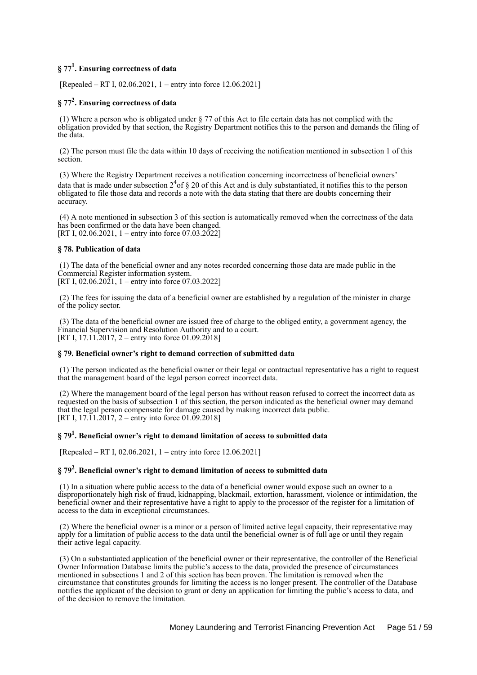# **§ 77<sup>1</sup> . Ensuring correctness of data**

[Repealed – RT I, 02.06.2021, 1 – entry into force 12.06.2021]

# **§ 77<sup>2</sup> . Ensuring correctness of data**

 (1) Where a person who is obligated under § 77 of this Act to file certain data has not complied with the obligation provided by that section, the Registry Department notifies this to the person and demands the filing of the data.

 (2) The person must file the data within 10 days of receiving the notification mentioned in subsection 1 of this section.

 (3) Where the Registry Department receives a notification concerning incorrectness of beneficial owners' data that is made under subsection  $2<sup>4</sup>$  of § 20 of this Act and is duly substantiated, it notifies this to the person obligated to file those data and records a note with the data stating that there are doubts concerning their accuracy.

 (4) A note mentioned in subsection 3 of this section is automatically removed when the correctness of the data has been confirmed or the data have been changed. [RT I, 02.06.2021, 1 – entry into force 07.03.2022]

# **§ 78. Publication of data**

 (1) The data of the beneficial owner and any notes recorded concerning those data are made public in the Commercial Register information system.

[RT I, 02.06.2021, 1 – entry into force 07.03.2022]

 (2) The fees for issuing the data of a beneficial owner are established by a regulation of the minister in charge of the policy sector.

 (3) The data of the beneficial owner are issued free of charge to the obliged entity, a government agency, the Financial Supervision and Resolution Authority and to a court. [RT I, 17.11.2017, 2 – entry into force 01.09.2018]

# **§ 79. Beneficial owner's right to demand correction of submitted data**

 (1) The person indicated as the beneficial owner or their legal or contractual representative has a right to request that the management board of the legal person correct incorrect data.

 (2) Where the management board of the legal person has without reason refused to correct the incorrect data as requested on the basis of subsection 1 of this section, the person indicated as the beneficial owner may demand that the legal person compensate for damage caused by making incorrect data public. [RT I,  $17.11.2017$ ,  $2$  – entry into force 01.09.2018]

# **§ 79<sup>1</sup> . Beneficial owner's right to demand limitation of access to submitted data**

[Repealed – RT I, 02.06.2021, 1 – entry into force 12.06.2021]

# **§ 79<sup>2</sup> . Beneficial owner's right to demand limitation of access to submitted data**

 (1) In a situation where public access to the data of a beneficial owner would expose such an owner to a disproportionately high risk of fraud, kidnapping, blackmail, extortion, harassment, violence or intimidation, the beneficial owner and their representative have a right to apply to the processor of the register for a limitation of access to the data in exceptional circumstances.

 (2) Where the beneficial owner is a minor or a person of limited active legal capacity, their representative may apply for a limitation of public access to the data until the beneficial owner is of full age or until they regain their active legal capacity.

 (3) On a substantiated application of the beneficial owner or their representative, the controller of the Beneficial Owner Information Database limits the public's access to the data, provided the presence of circumstances mentioned in subsections 1 and 2 of this section has been proven. The limitation is removed when the circumstance that constitutes grounds for limiting the access is no longer present. The controller of the Database notifies the applicant of the decision to grant or deny an application for limiting the public's access to data, and of the decision to remove the limitation.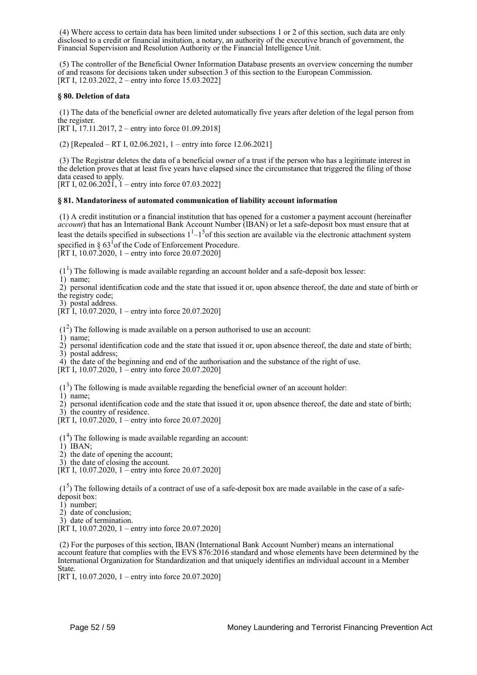(4) Where access to certain data has been limited under subsections 1 or 2 of this section, such data are only disclosed to a credit or financial insitution, a notary, an authority of the executive branch of government, the Financial Supervision and Resolution Authority or the Financial Intelligence Unit.

 (5) The controller of the Beneficial Owner Information Database presents an overview concerning the number of and reasons for decisions taken under subsection 3 of this section to the European Commission. [RT I, 12.03.2022, 2 – entry into force 15.03.2022]

## **§ 80. Deletion of data**

 (1) The data of the beneficial owner are deleted automatically five years after deletion of the legal person from the register.

[RT I, 17.11.2017, 2 – entry into force 01.09.2018]

(2) [Repealed – RT I, 02.06.2021, 1 – entry into force 12.06.2021]

 (3) The Registrar deletes the data of a beneficial owner of a trust if the person who has a legitimate interest in the deletion proves that at least five years have elapsed since the circumstance that triggered the filing of those data ceased to apply.

[RT I,  $02.06.20\overline{2}$ ],  $1 -$ entry into force 07.03.2022]

### **§ 81. Mandatoriness of automated communication of liability account information**

 (1) A credit institution or a financial institution that has opened for a customer a payment account (hereinafter *account*) that has an International Bank Account Number (IBAN) or let a safe-deposit box must ensure that at least the details specified in subsections  $1<sup>1</sup>-1<sup>5</sup>$  of this section are available via the electronic attachment system specified in  $\S 63<sup>1</sup>$  of the Code of Enforcement Procedure.

[RT I, 10.07.2020, 1 – entry into force 20.07.2020]

 $(1<sup>1</sup>)$  The following is made available regarding an account holder and a safe-deposit box lessee:

1) name;

 2) personal identification code and the state that issued it or, upon absence thereof, the date and state of birth or the registry code;

3) postal address.

 $[\hat{R}T\hat{I}, 10.07.2020, 1 -$  entry into force 20.07.2020]

 $(1<sup>2</sup>)$  The following is made available on a person authorised to use an account:

1) name;

 2) personal identification code and the state that issued it or, upon absence thereof, the date and state of birth; 3) postal address;

4) the date of the beginning and end of the authorisation and the substance of the right of use.

[RT I, 10.07.2020, 1 – entry into force 20.07.2020]

 $(1<sup>3</sup>)$  The following is made available regarding the beneficial owner of an account holder:

1) name;

2) personal identification code and the state that issued it or, upon absence thereof, the date and state of birth;

 3) the country of residence. [RT I, 10.07.2020, 1 – entry into force 20.07.2020]

 $(1<sup>4</sup>)$  The following is made available regarding an account:

1) IBAN;

2) the date of opening the account;

3) the date of closing the account.

[RT I, 10.07.2020, 1 – entry into force 20.07.2020]

 $(1<sup>5</sup>)$  The following details of a contract of use of a safe-deposit box are made available in the case of a safedeposit box:

1) number;

2) date of conclusion;

3) date of termination.

[RT I, 10.07.2020, 1 – entry into force 20.07.2020]

 (2) For the purposes of this section, IBAN (International Bank Account Number) means an international account feature that complies with the EVS 876:2016 standard and whose elements have been determined by the International Organization for Standardization and that uniquely identifies an individual account in a Member State.

[RT I, 10.07.2020, 1 – entry into force 20.07.2020]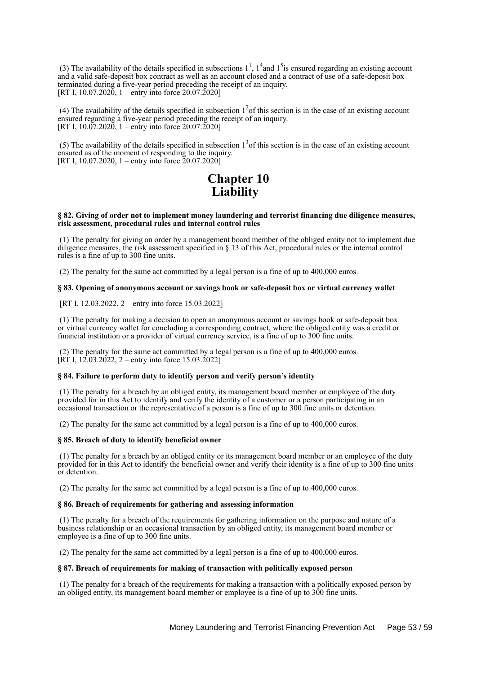(3) The availability of the details specified in subsections  $1^1$ ,  $1^4$  and  $1^5$  is ensured regarding an existing account and a valid safe-deposit box contract as well as an account closed and a contract of use of a safe-deposit box terminated during a five-year period preceding the receipt of an inquiry. [RT I,  $10.07.2020$ ,  $1 -$ entry into force 20.07.2020]

(4) The availability of the details specified in subsection  $1<sup>2</sup>$  of this section is in the case of an existing account ensured regarding a five-year period preceding the receipt of an inquiry. [RT I,  $10.07.2020$ , 1 – entry into force 20.07.2020]

(5) The availability of the details specified in subsection  $1<sup>3</sup>$  of this section is in the case of an existing account ensured as of the moment of responding to the inquiry. [RT I, 10.07.2020, 1 – entry into force  $20.07.2020$ ]

# **Chapter 10 Liability**

#### **§ 82. Giving of order not to implement money laundering and terrorist financing due diligence measures, risk assessment, procedural rules and internal control rules**

 (1) The penalty for giving an order by a management board member of the obliged entity not to implement due diligence measures, the risk assessment specified in § 13 of this Act, procedural rules or the internal control rules is a fine of up to 300 fine units.

(2) The penalty for the same act committed by a legal person is a fine of up to 400,000 euros.

#### **§ 83. Opening of anonymous account or savings book or safe-deposit box or virtual currency wallet**

[RT I, 12.03.2022, 2 – entry into force 15.03.2022]

 (1) The penalty for making a decision to open an anonymous account or savings book or safe-deposit box or virtual currency wallet for concluding a corresponding contract, where the obliged entity was a credit or financial institution or a provider of virtual currency service, is a fine of up to 300 fine units.

 (2) The penalty for the same act committed by a legal person is a fine of up to 400,000 euros. [RT I,  $12.03.2022$ , 2 – entry into force 15.03.2022]

### **§ 84. Failure to perform duty to identify person and verify person's identity**

 (1) The penalty for a breach by an obliged entity, its management board member or employee of the duty provided for in this Act to identify and verify the identity of a customer or a person participating in an occasional transaction or the representative of a person is a fine of up to 300 fine units or detention.

(2) The penalty for the same act committed by a legal person is a fine of up to 400,000 euros.

### **§ 85. Breach of duty to identify beneficial owner**

 (1) The penalty for a breach by an obliged entity or its management board member or an employee of the duty provided for in this Act to identify the beneficial owner and verify their identity is a fine of up to 300 fine units or detention.

(2) The penalty for the same act committed by a legal person is a fine of up to 400,000 euros.

## **§ 86. Breach of requirements for gathering and assessing information**

 (1) The penalty for a breach of the requirements for gathering information on the purpose and nature of a business relationship or an occasional transaction by an obliged entity, its management board member or employee is a fine of up to 300 fine units.

(2) The penalty for the same act committed by a legal person is a fine of up to 400,000 euros.

#### **§ 87. Breach of requirements for making of transaction with politically exposed person**

 (1) The penalty for a breach of the requirements for making a transaction with a politically exposed person by an obliged entity, its management board member or employee is a fine of up to 300 fine units.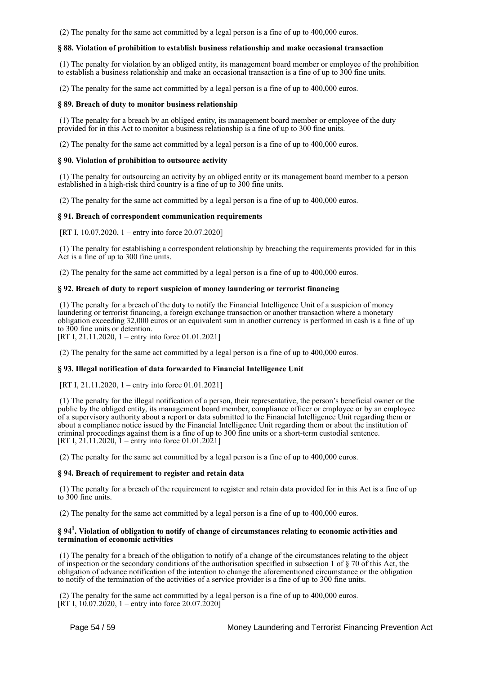(2) The penalty for the same act committed by a legal person is a fine of up to 400,000 euros.

## **§ 88. Violation of prohibition to establish business relationship and make occasional transaction**

 (1) The penalty for violation by an obliged entity, its management board member or employee of the prohibition to establish a business relationship and make an occasional transaction is a fine of up to 300 fine units.

(2) The penalty for the same act committed by a legal person is a fine of up to 400,000 euros.

## **§ 89. Breach of duty to monitor business relationship**

 (1) The penalty for a breach by an obliged entity, its management board member or employee of the duty provided for in this Act to monitor a business relationship is a fine of up to 300 fine units.

(2) The penalty for the same act committed by a legal person is a fine of up to 400,000 euros.

### **§ 90. Violation of prohibition to outsource activity**

 (1) The penalty for outsourcing an activity by an obliged entity or its management board member to a person established in a high-risk third country is a fine of up to 300 fine units.

(2) The penalty for the same act committed by a legal person is a fine of up to 400,000 euros.

## **§ 91. Breach of correspondent communication requirements**

[RT I, 10.07.2020, 1 – entry into force 20.07.2020]

 (1) The penalty for establishing a correspondent relationship by breaching the requirements provided for in this Act is a fine of up to 300 fine units.

(2) The penalty for the same act committed by a legal person is a fine of up to 400,000 euros.

## **§ 92. Breach of duty to report suspicion of money laundering or terrorist financing**

 (1) The penalty for a breach of the duty to notify the Financial Intelligence Unit of a suspicion of money laundering or terrorist financing, a foreign exchange transaction or another transaction where a monetary obligation exceeding 32,000 euros or an equivalent sum in another currency is performed in cash is a fine of up to 300 fine units or detention.

[RT I, 21.11.2020, 1 – entry into force 01.01.2021]

(2) The penalty for the same act committed by a legal person is a fine of up to 400,000 euros.

### **§ 93. Illegal notification of data forwarded to Financial Intelligence Unit**

[RT I, 21.11.2020, 1 – entry into force 01.01.2021]

 (1) The penalty for the illegal notification of a person, their representative, the person's beneficial owner or the public by the obliged entity, its management board member, compliance officer or employee or by an employee of a supervisory authority about a report or data submitted to the Financial Intelligence Unit regarding them or about a compliance notice issued by the Financial Intelligence Unit regarding them or about the institution of criminal proceedings against them is a fine of up to 300 fine units or a short-term custodial sentence. [RT I, 21.11.2020,  $\bar{1}$  – entry into force 01.01.2021]

(2) The penalty for the same act committed by a legal person is a fine of up to 400,000 euros.

### **§ 94. Breach of requirement to register and retain data**

 (1) The penalty for a breach of the requirement to register and retain data provided for in this Act is a fine of up to 300 fine units.

(2) The penalty for the same act committed by a legal person is a fine of up to 400,000 euros.

# **§ 94<sup>1</sup> . Violation of obligation to notify of change of circumstances relating to economic activities and termination of economic activities**

 (1) The penalty for a breach of the obligation to notify of a change of the circumstances relating to the object of inspection or the secondary conditions of the authorisation specified in subsection 1 of  $\S$  70 of this Act, the obligation of advance notification of the intention to change the aforementioned circumstance or the obligation to notify of the termination of the activities of a service provider is a fine of up to 300 fine units.

 (2) The penalty for the same act committed by a legal person is a fine of up to 400,000 euros. [RT I,  $10.07.2020$ , 1 – entry into force 20.07.2020]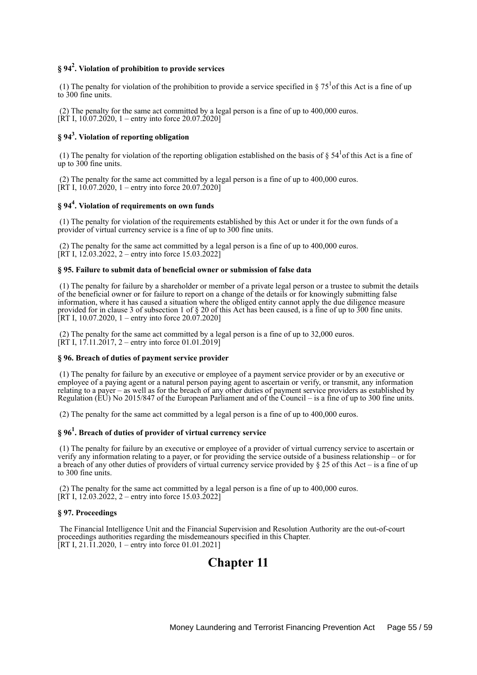# **§ 94<sup>2</sup> . Violation of prohibition to provide services**

(1) The penalty for violation of the prohibition to provide a service specified in  $\S 75<sup>1</sup>$  of this Act is a fine of up to 300 fine units.

 (2) The penalty for the same act committed by a legal person is a fine of up to 400,000 euros.  $[\overline{RT} I, 10.07.2020, 1 -$  entry into force 20.07.2020]

# **§ 94<sup>3</sup> . Violation of reporting obligation**

(1) The penalty for violation of the reporting obligation established on the basis of  $\S 54<sup>1</sup>$ of this Act is a fine of up to 300 fine units.

 (2) The penalty for the same act committed by a legal person is a fine of up to 400,000 euros. [RT I, 10.07.2020, 1 – entry into force 20.07.2020]

# **§ 94<sup>4</sup> . Violation of requirements on own funds**

 (1) The penalty for violation of the requirements established by this Act or under it for the own funds of a provider of virtual currency service is a fine of up to 300 fine units.

 (2) The penalty for the same act committed by a legal person is a fine of up to 400,000 euros. [RT I,  $12.03.2022$ , 2 – entry into force 15.03.2022]

# **§ 95. Failure to submit data of beneficial owner or submission of false data**

 (1) The penalty for failure by a shareholder or member of a private legal person or a trustee to submit the details of the beneficial owner or for failure to report on a change of the details or for knowingly submitting false information, where it has caused a situation where the obliged entity cannot apply the due diligence measure provided for in clause 3 of subsection 1 of § 20 of this Act has been caused, is a fine of up to 300 fine units. [RT I, 10.07.2020, 1 – entry into force  $20.07.2020$ ]

 (2) The penalty for the same act committed by a legal person is a fine of up to 32,000 euros.  $[\overline{RT} I, 17.11.2017, 2 -$  entry into force 01.01.2019]

### **§ 96. Breach of duties of payment service provider**

 (1) The penalty for failure by an executive or employee of a payment service provider or by an executive or employee of a paying agent or a natural person paying agent to ascertain or verify, or transmit, any information relating to a payer – as well as for the breach of any other duties of payment service providers as established by Regulation (EU) No 2015/847 of the European Parliament and of the Council – is a fine of up to 300 fine units.

(2) The penalty for the same act committed by a legal person is a fine of up to 400,000 euros.

# **§ 96<sup>1</sup> . Breach of duties of provider of virtual currency service**

 (1) The penalty for failure by an executive or employee of a provider of virtual currency service to ascertain or verify any information relating to a payer, or for providing the service outside of a business relationship – or for a breach of any other duties of providers of virtual currency service provided by § 25 of this Act – is a fine of up to 300 fine units.

 (2) The penalty for the same act committed by a legal person is a fine of up to 400,000 euros.  $[\overline{RT} I, 12.03.2022, 2 -$  entry into force 15.03.2022]

## **§ 97. Proceedings**

 The Financial Intelligence Unit and the Financial Supervision and Resolution Authority are the out-of-court proceedings authorities regarding the misdemeanours specified in this Chapter. [RT I, 21.11.2020, 1 – entry into force 01.01.2021]

# **Chapter 11**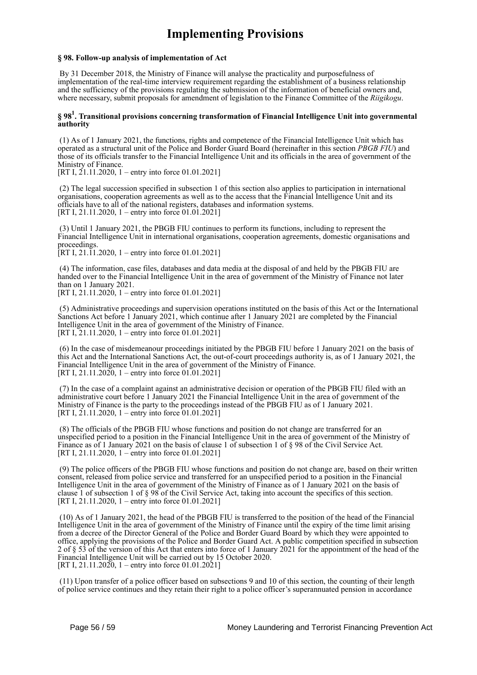# **Implementing Provisions**

### **§ 98. Follow-up analysis of implementation of Act**

 By 31 December 2018, the Ministry of Finance will analyse the practicality and purposefulness of implementation of the real-time interview requirement regarding the establishment of a business relationship and the sufficiency of the provisions regulating the submission of the information of beneficial owners and, where necessary, submit proposals for amendment of legislation to the Finance Committee of the *Riigikogu*.

## **§ 98<sup>1</sup> . Transitional provisions concerning transformation of Financial Intelligence Unit into governmental authority**

 (1) As of 1 January 2021, the functions, rights and competence of the Financial Intelligence Unit which has operated as a structural unit of the Police and Border Guard Board (hereinafter in this section *PBGB FIU*) and those of its officials transfer to the Financial Intelligence Unit and its officials in the area of government of the Ministry of Finance.

[RT I,  $21.11.2020$ , 1 – entry into force 01.01.2021]

 (2) The legal succession specified in subsection 1 of this section also applies to participation in international organisations, cooperation agreements as well as to the access that the Financial Intelligence Unit and its officials have to all of the national registers, databases and information systems. [RT I, 21.11.2020, 1 – entry into force 01.01.2021]

 (3) Until 1 January 2021, the PBGB FIU continues to perform its functions, including to represent the Financial Intelligence Unit in international organisations, cooperation agreements, domestic organisations and proceedings.

[RT I, 21.11.2020, 1 – entry into force 01.01.2021]

 (4) The information, case files, databases and data media at the disposal of and held by the PBGB FIU are handed over to the Financial Intelligence Unit in the area of government of the Ministry of Finance not later than on 1 January 2021. [RT I,  $21.11.2020$ , 1 – entry into force 01.01.2021]

 (5) Administrative proceedings and supervision operations instituted on the basis of this Act or the International Sanctions Act before 1 January 2021, which continue after 1 January 2021 are completed by the Financial Intelligence Unit in the area of government of the Ministry of Finance.

[RT I, 21.11.2020, 1 – entry into force 01.01.2021]

 (6) In the case of misdemeanour proceedings initiated by the PBGB FIU before 1 January 2021 on the basis of this Act and the International Sanctions Act, the out-of-court proceedings authority is, as of 1 January 2021, the Financial Intelligence Unit in the area of government of the Ministry of Finance. [RT I, 21.11.2020, 1 – entry into force 01.01.2021]

 (7) In the case of a complaint against an administrative decision or operation of the PBGB FIU filed with an administrative court before 1 January 2021 the Financial Intelligence Unit in the area of government of the Ministry of Finance is the party to the proceedings instead of the PBGB FIU as of 1 January 2021. [RT I,  $21.11.2020$ , 1 – entry into force  $01.01.2021$ ]

 (8) The officials of the PBGB FIU whose functions and position do not change are transferred for an unspecified period to a position in the Financial Intelligence Unit in the area of government of the Ministry of Finance as of 1 January 2021 on the basis of clause 1 of subsection 1 of § 98 of the Civil Service Act. [RT I, 21.11.2020, 1 – entry into force 01.01.2021]

 (9) The police officers of the PBGB FIU whose functions and position do not change are, based on their written consent, released from police service and transferred for an unspecified period to a position in the Financial Intelligence Unit in the area of government of the Ministry of Finance as of 1 January 2021 on the basis of clause 1 of subsection 1 of § 98 of the Civil Service Act, taking into account the specifics of this section. [RT I, 21.11.2020, 1 – entry into force 01.01.2021]

 (10) As of 1 January 2021, the head of the PBGB FIU is transferred to the position of the head of the Financial Intelligence Unit in the area of government of the Ministry of Finance until the expiry of the time limit arising from a decree of the Director General of the Police and Border Guard Board by which they were appointed to office, applying the provisions of the Police and Border Guard Act. A public competition specified in subsection 2 of § 53 of the version of this Act that enters into force of 1 January 2021 for the appointment of the head of the Financial Intelligence Unit will be carried out by 15 October 2020. [RT I, 21.11.2020, 1 – entry into force 01.01.2021]

 (11) Upon transfer of a police officer based on subsections 9 and 10 of this section, the counting of their length of police service continues and they retain their right to a police officer's superannuated pension in accordance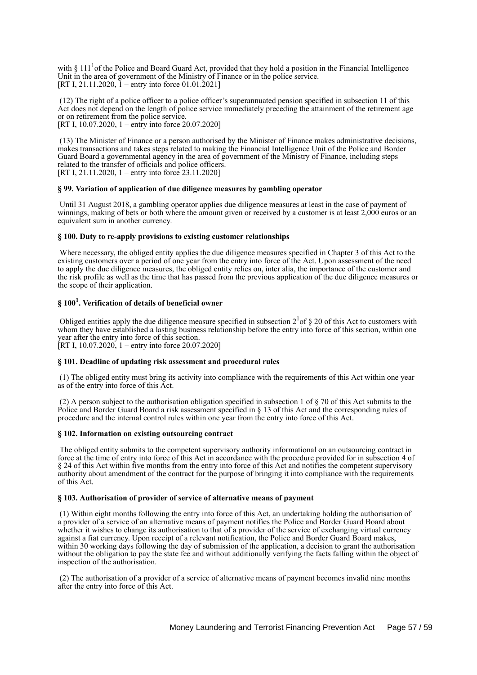with § 111<sup>1</sup> of the Police and Board Guard Act, provided that they hold a position in the Financial Intelligence Unit in the area of government of the Ministry of Finance or in the police service. [RT I, 21.11.2020,  $\tilde{1}$  – entry into force 01.01.2021]

 (12) The right of a police officer to a police officer's superannuated pension specified in subsection 11 of this Act does not depend on the length of police service immediately preceding the attainment of the retirement age or on retirement from the police service.

[RT I, 10.07.2020, 1 – entry into force 20.07.2020]

 (13) The Minister of Finance or a person authorised by the Minister of Finance makes administrative decisions, makes transactions and takes steps related to making the Financial Intelligence Unit of the Police and Border Guard Board a governmental agency in the area of government of the Ministry of Finance, including steps related to the transfer of officials and police officers. [RT I, 21.11.2020, 1 – entry into force 23.11.2020]

#### **§ 99. Variation of application of due diligence measures by gambling operator**

 Until 31 August 2018, a gambling operator applies due diligence measures at least in the case of payment of winnings, making of bets or both where the amount given or received by a customer is at least 2,000 euros or an equivalent sum in another currency.

#### **§ 100. Duty to re-apply provisions to existing customer relationships**

 Where necessary, the obliged entity applies the due diligence measures specified in Chapter 3 of this Act to the existing customers over a period of one year from the entry into force of the Act. Upon assessment of the need to apply the due diligence measures, the obliged entity relies on, inter alia, the importance of the customer and the risk profile as well as the time that has passed from the previous application of the due diligence measures or the scope of their application.

# **§ 100<sup>1</sup> . Verification of details of beneficial owner**

Obliged entities apply the due diligence measure specified in subsection  $2^{1}$  of  $\S 20$  of this Act to customers with whom they have established a lasting business relationship before the entry into force of this section, within one year after the entry into force of this section. [RT I, 10.07.2020, 1 – entry into force 20.07.2020]

#### **§ 101. Deadline of updating risk assessment and procedural rules**

 (1) The obliged entity must bring its activity into compliance with the requirements of this Act within one year as of the entry into force of this Act.

 (2) A person subject to the authorisation obligation specified in subsection 1 of § 70 of this Act submits to the Police and Border Guard Board a risk assessment specified in § 13 of this Act and the corresponding rules of procedure and the internal control rules within one year from the entry into force of this Act.

#### **§ 102. Information on existing outsourcing contract**

 The obliged entity submits to the competent supervisory authority informational on an outsourcing contract in force at the time of entry into force of this Act in accordance with the procedure provided for in subsection 4 of § 24 of this Act within five months from the entry into force of this Act and notifies the competent supervisory authority about amendment of the contract for the purpose of bringing it into compliance with the requirements of this Act.

## **§ 103. Authorisation of provider of service of alternative means of payment**

 (1) Within eight months following the entry into force of this Act, an undertaking holding the authorisation of a provider of a service of an alternative means of payment notifies the Police and Border Guard Board about whether it wishes to change its authorisation to that of a provider of the service of exchanging virtual currency against a fiat currency. Upon receipt of a relevant notification, the Police and Border Guard Board makes, within 30 working days following the day of submission of the application, a decision to grant the authorisation without the obligation to pay the state fee and without additionally verifying the facts falling within the object of inspection of the authorisation.

 (2) The authorisation of a provider of a service of alternative means of payment becomes invalid nine months after the entry into force of this Act.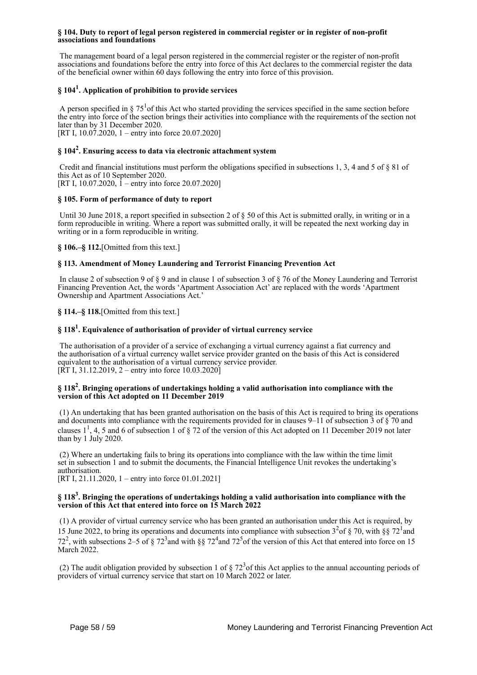### **§ 104. Duty to report of legal person registered in commercial register or in register of non-profit associations and foundations**

 The management board of a legal person registered in the commercial register or the register of non-profit associations and foundations before the entry into force of this Act declares to the commercial register the data of the beneficial owner within 60 days following the entry into force of this provision.

# **§ 104<sup>1</sup> . Application of prohibition to provide services**

A person specified in  $\S 75<sup>1</sup>$  of this Act who started providing the services specified in the same section before the entry into force of the section brings their activities into compliance with the requirements of the section not later than by 31 December 2020. [RT I, 10.07.2020, 1 – entry into force 20.07.2020]

# **§ 104<sup>2</sup> . Ensuring access to data via electronic attachment system**

 Credit and financial institutions must perform the obligations specified in subsections 1, 3, 4 and 5 of § 81 of this Act as of 10 September 2020. [RT I, 10.07.2020, 1 – entry into force 20.07.2020]

## **§ 105. Form of performance of duty to report**

Until 30 June 2018, a report specified in subsection 2 of  $\S 50$  of this Act is submitted orally, in writing or in a form reproducible in writing. Where a report was submitted orally, it will be repeated the next working day in writing or in a form reproducible in writing.

## **§ 106.–§ 112.**[Omitted from this text.]

## **§ 113. Amendment of Money Laundering and Terrorist Financing Prevention Act**

 In clause 2 of subsection 9 of § 9 and in clause 1 of subsection 3 of § 76 of the Money Laundering and Terrorist Financing Prevention Act, the words 'Apartment Association Act' are replaced with the words 'Apartment Ownership and Apartment Associations Act.'

**§ 114.–§ 118.**[Omitted from this text.]

# **§ 118<sup>1</sup> . Equivalence of authorisation of provider of virtual currency service**

 The authorisation of a provider of a service of exchanging a virtual currency against a fiat currency and the authorisation of a virtual currency wallet service provider granted on the basis of this Act is considered equivalent to the authorisation of a virtual currency service provider.  $[\overline{RT} I, 31.12.2019, 2 -$  entry into force 10.03.2020

## **§ 118<sup>2</sup> . Bringing operations of undertakings holding a valid authorisation into compliance with the version of this Act adopted on 11 December 2019**

 (1) An undertaking that has been granted authorisation on the basis of this Act is required to bring its operations and documents into compliance with the requirements provided for in clauses 9–11 of subsection  $\overline{3}$  of  $\overline{\xi}$  70 and clauses  $1^1$ , 4, 5 and 6 of subsection 1 of § 72 of the version of this Act adopted on 11 December 2019 not later than by 1 July 2020.

 (2) Where an undertaking fails to bring its operations into compliance with the law within the time limit set in subsection 1 and to submit the documents, the Financial Intelligence Unit revokes the undertaking's authorisation.

[RT I, 21.11.2020, 1 – entry into force 01.01.2021]

## **§ 118<sup>3</sup> . Bringing the operations of undertakings holding a valid authorisation into compliance with the version of this Act that entered into force on 15 March 2022**

 (1) A provider of virtual currency service who has been granted an authorisation under this Act is required, by 15 June 2022, to bring its operations and documents into compliance with subsection  $3^{2}$  of § 70, with §§ 72<sup>1</sup> and 72<sup>2</sup>, with subsections 2–5 of § 72<sup>3</sup> and with §§ 72<sup>4</sup> and 72<sup>5</sup> of the version of this Act that entered into force on 15 March 2022.

(2) The audit obligation provided by subsection 1 of  $\S 72<sup>3</sup>$  of this Act applies to the annual accounting periods of providers of virtual currency service that start on 10 March 2022 or later.